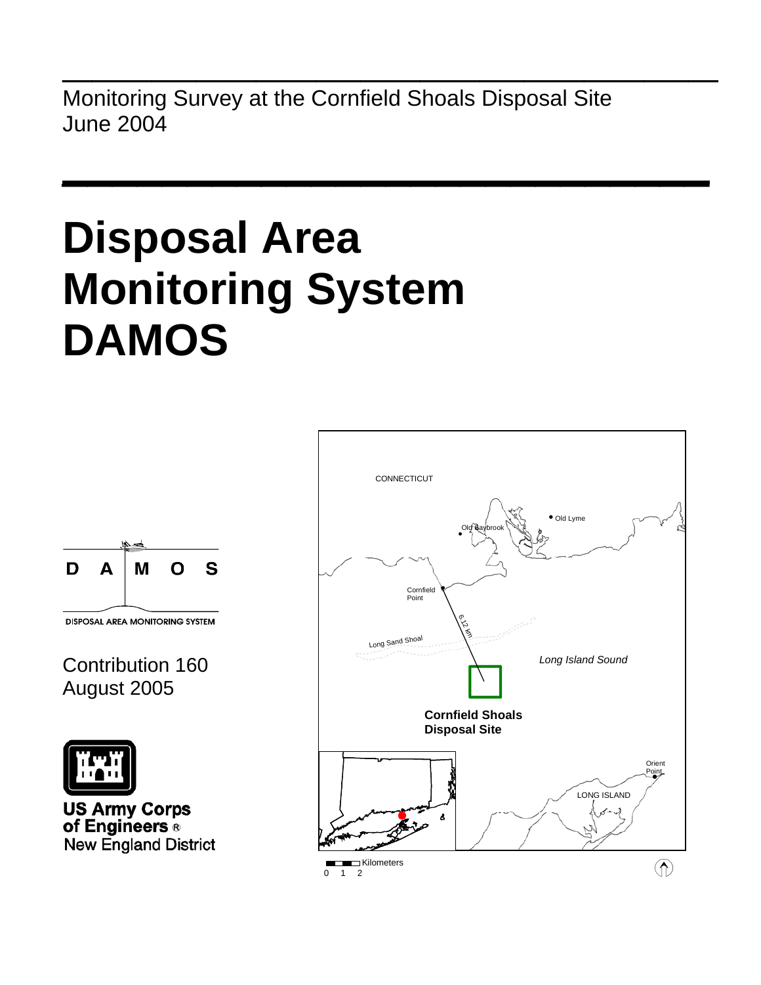Monitoring Survey at the Cornfield Shoals Disposal Site June 2004

**\_\_\_\_\_\_\_\_\_\_\_\_\_\_\_\_\_\_\_\_\_\_\_\_\_\_\_\_\_\_\_\_\_\_\_\_\_\_\_\_\_\_\_\_** 

 $\mathcal{L}_\text{max}$  and  $\mathcal{L}_\text{max}$  are the set of the set of the set of the set of the set of the set of the set of the set of the set of the set of the set of the set of the set of the set of the set of the set of the set o

# **Disposal Area Monitoring System DAMOS**



**DISPOSAL AREA MONITORING SYSTEM** 

# Contribution 160 August 2005



**US Army Corps** of Engineers ® **New England District** 

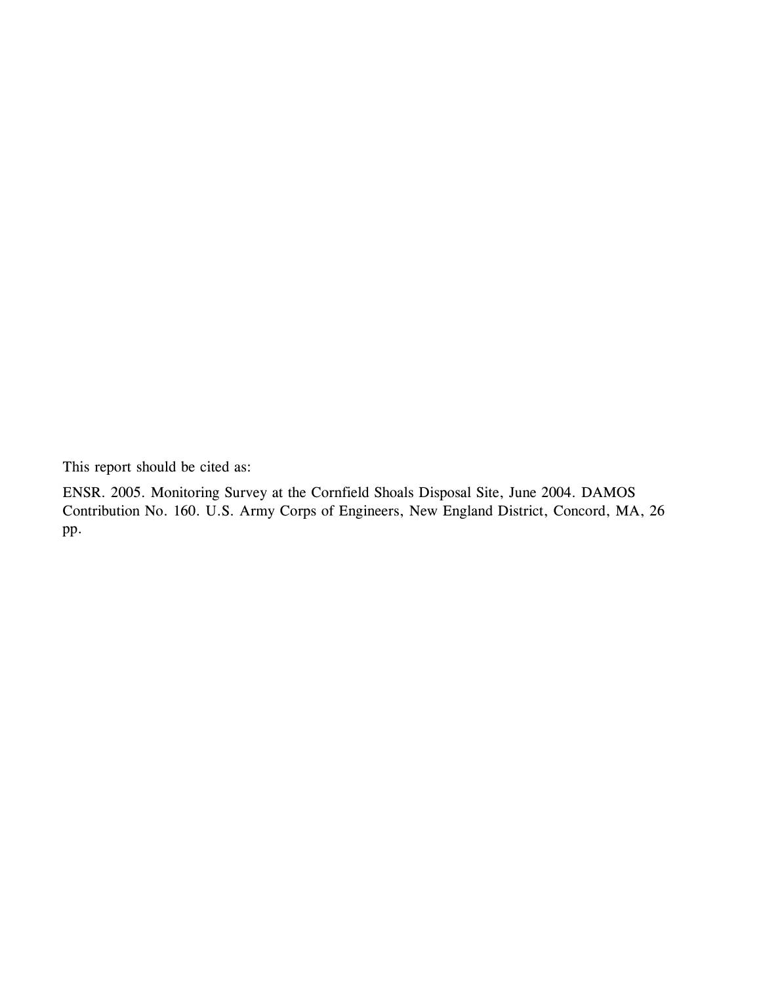This report should be cited as:

ENSR. 2005. Monitoring Survey at the Cornfield Shoals Disposal Site, June 2004. DAMOS Contribution No. 160. U.S. Army Corps of Engineers, New England District, Concord, MA, 26 pp.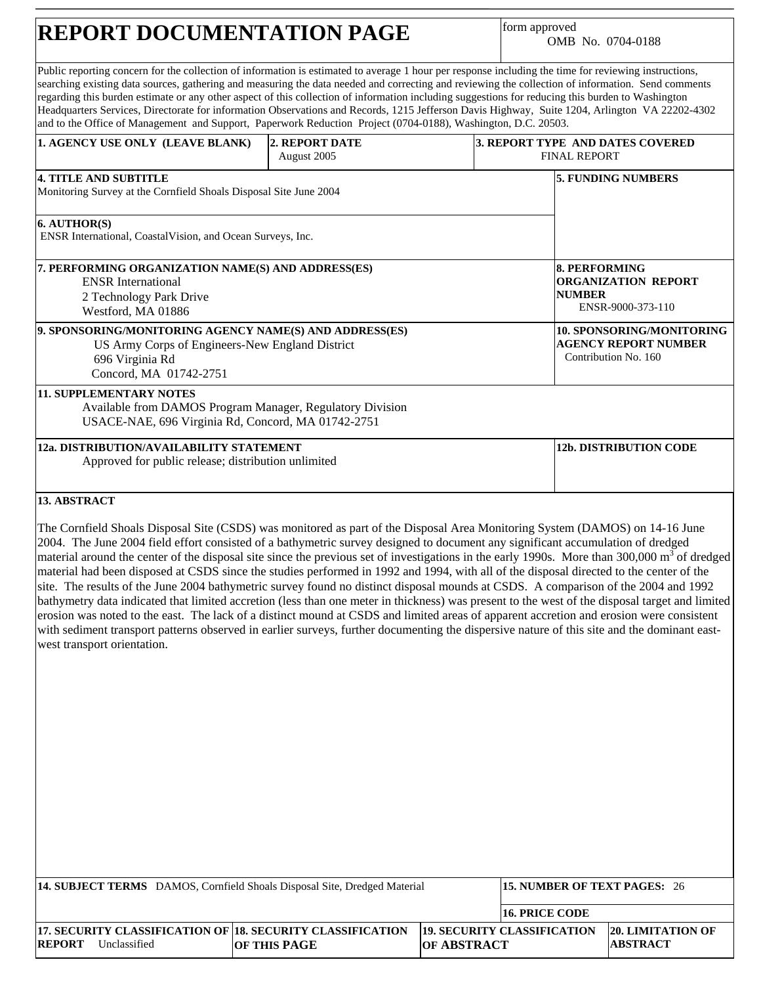# **REPORT DOCUMENTATION PAGE**

form approved OMB No. 0704-0188

| Public reporting concern for the collection of information is estimated to average 1 hour per response including the time for reviewing instructions,<br>searching existing data sources, gathering and measuring the data needed and correcting and reviewing the collection of information. Send comments<br>regarding this burden estimate or any other aspect of this collection of information including suggestions for reducing this burden to Washington<br>Headquarters Services, Directorate for information Observations and Records, 1215 Jefferson Davis Highway, Suite 1204, Arlington VA 22202-4302<br>and to the Office of Management and Support, Paperwork Reduction Project (0704-0188), Washington, D.C. 20503.                                                                                                                                                                                                                                                                                                                                                                                                                                                                     |                               |                    |                                    |                                       |                                                                                  |
|---------------------------------------------------------------------------------------------------------------------------------------------------------------------------------------------------------------------------------------------------------------------------------------------------------------------------------------------------------------------------------------------------------------------------------------------------------------------------------------------------------------------------------------------------------------------------------------------------------------------------------------------------------------------------------------------------------------------------------------------------------------------------------------------------------------------------------------------------------------------------------------------------------------------------------------------------------------------------------------------------------------------------------------------------------------------------------------------------------------------------------------------------------------------------------------------------------|-------------------------------|--------------------|------------------------------------|---------------------------------------|----------------------------------------------------------------------------------|
| 1. AGENCY USE ONLY (LEAVE BLANK)                                                                                                                                                                                                                                                                                                                                                                                                                                                                                                                                                                                                                                                                                                                                                                                                                                                                                                                                                                                                                                                                                                                                                                        | 2. REPORT DATE<br>August 2005 |                    |                                    | <b>FINAL REPORT</b>                   | 3. REPORT TYPE AND DATES COVERED                                                 |
| <b>4. TITLE AND SUBTITLE</b><br>Monitoring Survey at the Cornfield Shoals Disposal Site June 2004                                                                                                                                                                                                                                                                                                                                                                                                                                                                                                                                                                                                                                                                                                                                                                                                                                                                                                                                                                                                                                                                                                       |                               |                    |                                    |                                       | <b>5. FUNDING NUMBERS</b>                                                        |
| 6. AUTHOR(S)<br>ENSR International, CoastalVision, and Ocean Surveys, Inc.                                                                                                                                                                                                                                                                                                                                                                                                                                                                                                                                                                                                                                                                                                                                                                                                                                                                                                                                                                                                                                                                                                                              |                               |                    |                                    |                                       |                                                                                  |
| 7. PERFORMING ORGANIZATION NAME(S) AND ADDRESS(ES)<br><b>ENSR</b> International<br>2 Technology Park Drive<br>Westford, MA 01886                                                                                                                                                                                                                                                                                                                                                                                                                                                                                                                                                                                                                                                                                                                                                                                                                                                                                                                                                                                                                                                                        |                               |                    |                                    | <b>8. PERFORMING</b><br><b>NUMBER</b> | <b>ORGANIZATION REPORT</b><br>ENSR-9000-373-110                                  |
| 9. SPONSORING/MONITORING AGENCY NAME(S) AND ADDRESS(ES)<br>US Army Corps of Engineers-New England District<br>696 Virginia Rd<br>Concord, MA 01742-2751                                                                                                                                                                                                                                                                                                                                                                                                                                                                                                                                                                                                                                                                                                                                                                                                                                                                                                                                                                                                                                                 |                               |                    |                                    |                                       | 10. SPONSORING/MONITORING<br><b>AGENCY REPORT NUMBER</b><br>Contribution No. 160 |
| <b>11. SUPPLEMENTARY NOTES</b><br>Available from DAMOS Program Manager, Regulatory Division<br>USACE-NAE, 696 Virginia Rd, Concord, MA 01742-2751                                                                                                                                                                                                                                                                                                                                                                                                                                                                                                                                                                                                                                                                                                                                                                                                                                                                                                                                                                                                                                                       |                               |                    |                                    |                                       |                                                                                  |
| 12a. DISTRIBUTION/AVAILABILITY STATEMENT<br>Approved for public release; distribution unlimited                                                                                                                                                                                                                                                                                                                                                                                                                                                                                                                                                                                                                                                                                                                                                                                                                                                                                                                                                                                                                                                                                                         |                               |                    |                                    |                                       | <b>12b. DISTRIBUTION CODE</b>                                                    |
| 13. ABSTRACT<br>The Cornfield Shoals Disposal Site (CSDS) was monitored as part of the Disposal Area Monitoring System (DAMOS) on 14-16 June<br>2004. The June 2004 field effort consisted of a bathymetric survey designed to document any significant accumulation of dredged<br>material around the center of the disposal site since the previous set of investigations in the early 1990s. More than 300,000 m <sup>3</sup> of dredged<br>material had been disposed at CSDS since the studies performed in 1992 and 1994, with all of the disposal directed to the center of the<br>site. The results of the June 2004 bathymetric survey found no distinct disposal mounds at CSDS. A comparison of the 2004 and 1992<br>bathymetry data indicated that limited accretion (less than one meter in thickness) was present to the west of the disposal target and limited<br>erosion was noted to the east. The lack of a distinct mound at CSDS and limited areas of apparent accretion and erosion were consistent<br>with sediment transport patterns observed in earlier surveys, further documenting the dispersive nature of this site and the dominant east-<br>west transport orientation. |                               |                    |                                    |                                       |                                                                                  |
| 14. SUBJECT TERMS DAMOS, Cornfield Shoals Disposal Site, Dredged Material                                                                                                                                                                                                                                                                                                                                                                                                                                                                                                                                                                                                                                                                                                                                                                                                                                                                                                                                                                                                                                                                                                                               |                               |                    |                                    |                                       | 15. NUMBER OF TEXT PAGES: 26                                                     |
| 17. SECURITY CLASSIFICATION OF 18. SECURITY CLASSIFICATION<br><b>REPORT</b> Unclassified                                                                                                                                                                                                                                                                                                                                                                                                                                                                                                                                                                                                                                                                                                                                                                                                                                                                                                                                                                                                                                                                                                                | OF THIS PAGE                  | <b>OF ABSTRACT</b> | <b>19. SECURITY CLASSIFICATION</b> | <b>16. PRICE CODE</b>                 | <b>20. LIMITATION OF</b><br><b>ABSTRACT</b>                                      |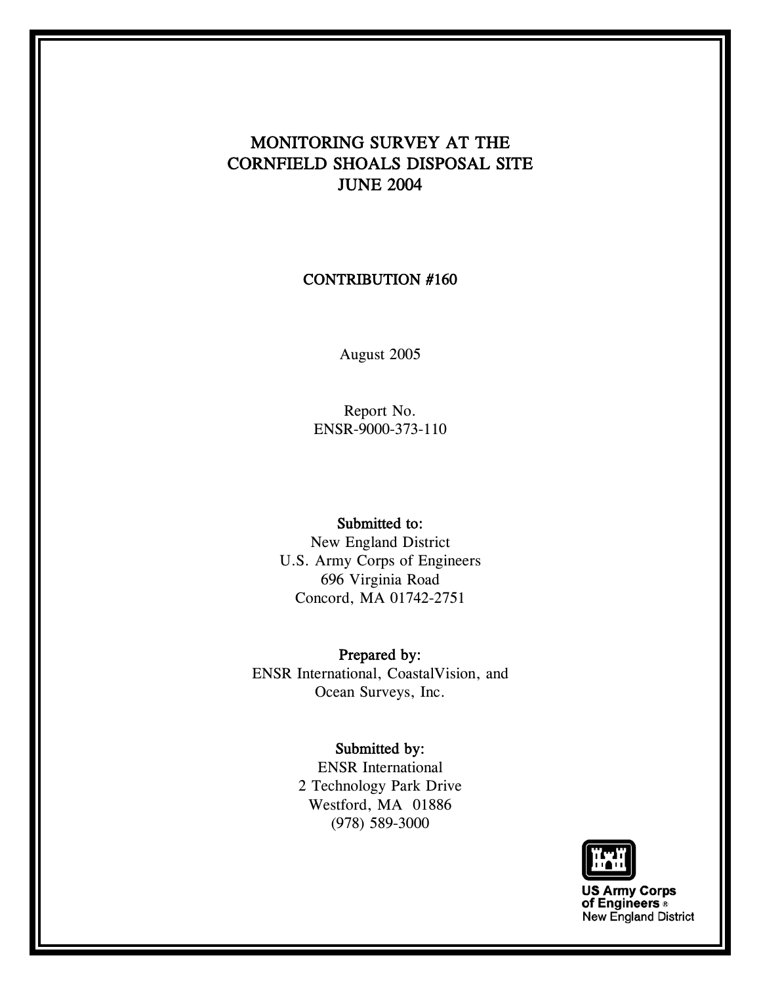# MONITORING SURVEY AT THE CORNFIELD SHOALS DISPOSAL SITE JUNE 2004

#### CONTRIBUTION #160

August 2005

Report No. ENSR-9000-373-110

#### Submitted to:

New England District U.S. Army Corps of Engineers 696 Virginia Road Concord, MA 01742-2751

Prepared by: ENSR International, CoastalVision, and Ocean Surveys, Inc.

#### Submitted by:

ENSR International 2 Technology Park Drive Westford, MA 01886 (978) 589-3000



**US Army Corps<br>of Engineers** New England District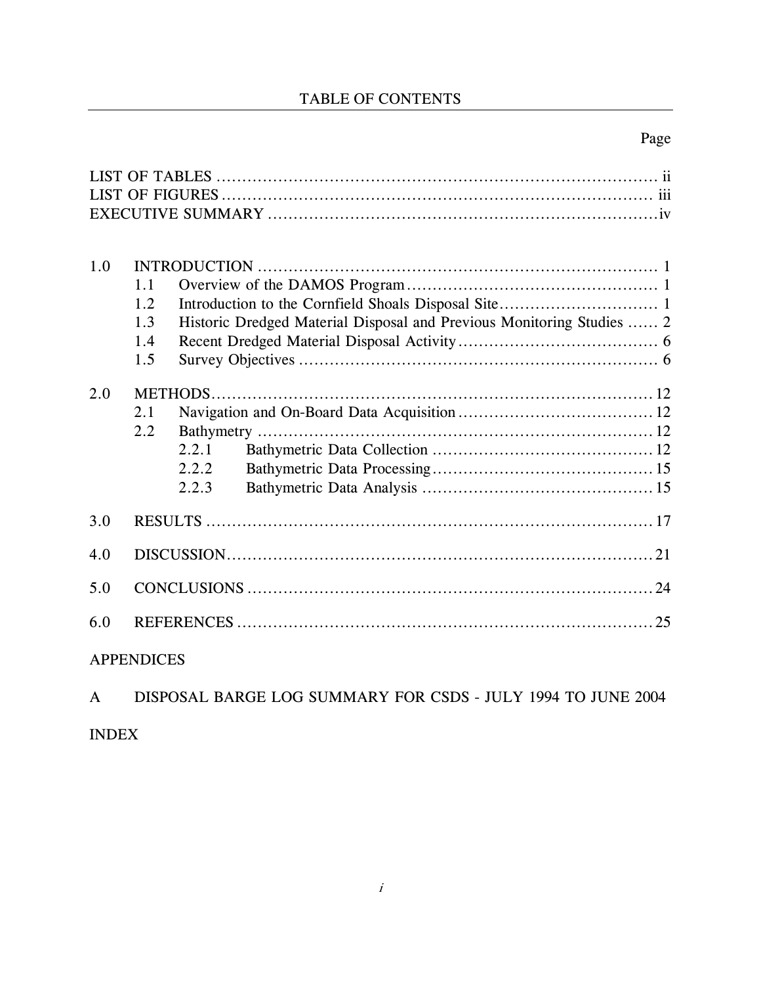### TABLE OF CONTENTS

### Page

| 1.0 |              |       |                                                                       |
|-----|--------------|-------|-----------------------------------------------------------------------|
|     | 1.1          |       |                                                                       |
|     | 1.2          |       |                                                                       |
|     | 1.3          |       | Historic Dredged Material Disposal and Previous Monitoring Studies  2 |
|     | 1.4          |       |                                                                       |
|     | 1.5          |       |                                                                       |
| 2.0 |              |       |                                                                       |
|     | 2.1          |       |                                                                       |
|     | 2.2          |       |                                                                       |
|     |              | 2.2.1 |                                                                       |
|     |              | 2.2.2 |                                                                       |
|     |              | 2.2.3 |                                                                       |
| 3.0 |              |       |                                                                       |
| 4.0 |              |       |                                                                       |
| 5.0 |              |       |                                                                       |
| 6.0 |              |       |                                                                       |
|     | A DDENINICES |       |                                                                       |

#### APPENDICES

|              | DISPOSAL BARGE LOG SUMMARY FOR CSDS - JULY 1994 TO JUNE 2004 |  |  |
|--------------|--------------------------------------------------------------|--|--|
| <b>INDEX</b> |                                                              |  |  |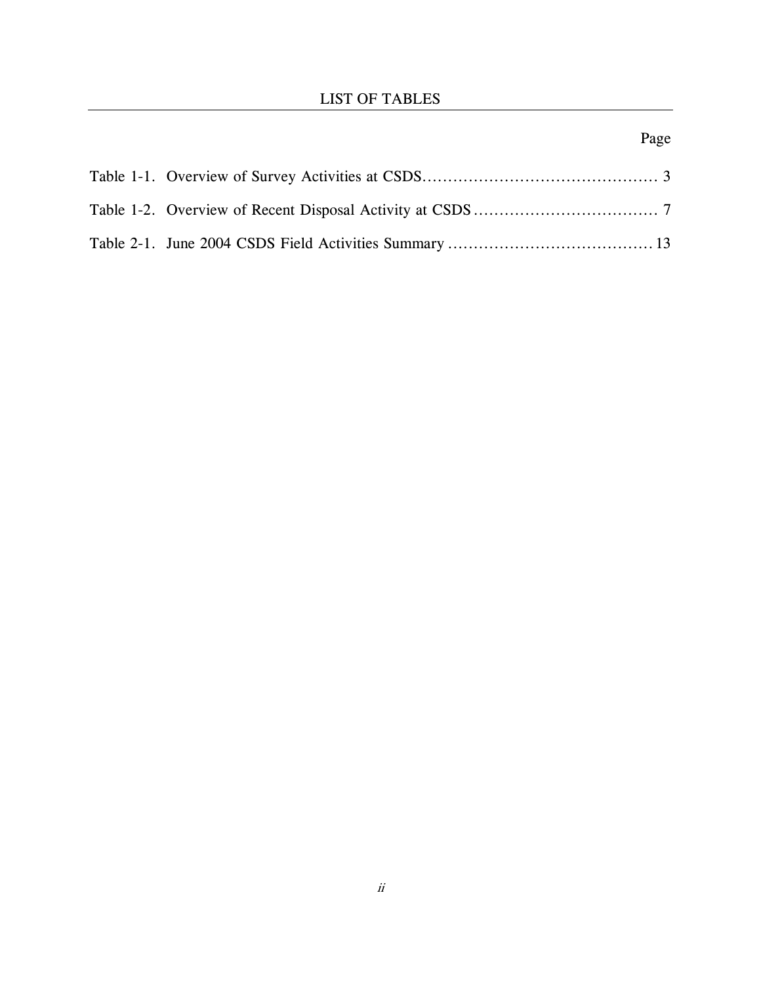# Page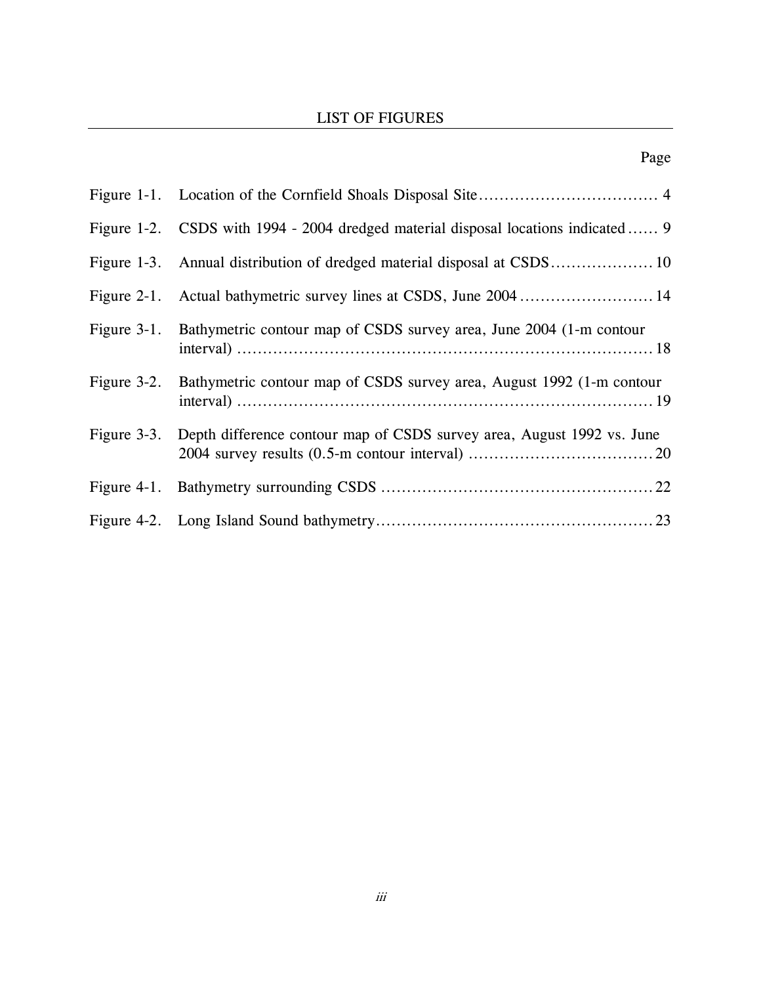#### LIST OF FIGURES

| Figure 1-2. CSDS with 1994 - 2004 dredged material disposal locations indicated  9 |
|------------------------------------------------------------------------------------|
|                                                                                    |
| Figure 2-1. Actual bathymetric survey lines at CSDS, June 2004 14                  |
| Figure 3-1. Bathymetric contour map of CSDS survey area, June 2004 (1-m contour    |
| Figure 3-2. Bathymetric contour map of CSDS survey area, August 1992 (1-m contour  |
| Figure 3-3. Depth difference contour map of CSDS survey area, August 1992 vs. June |
|                                                                                    |
|                                                                                    |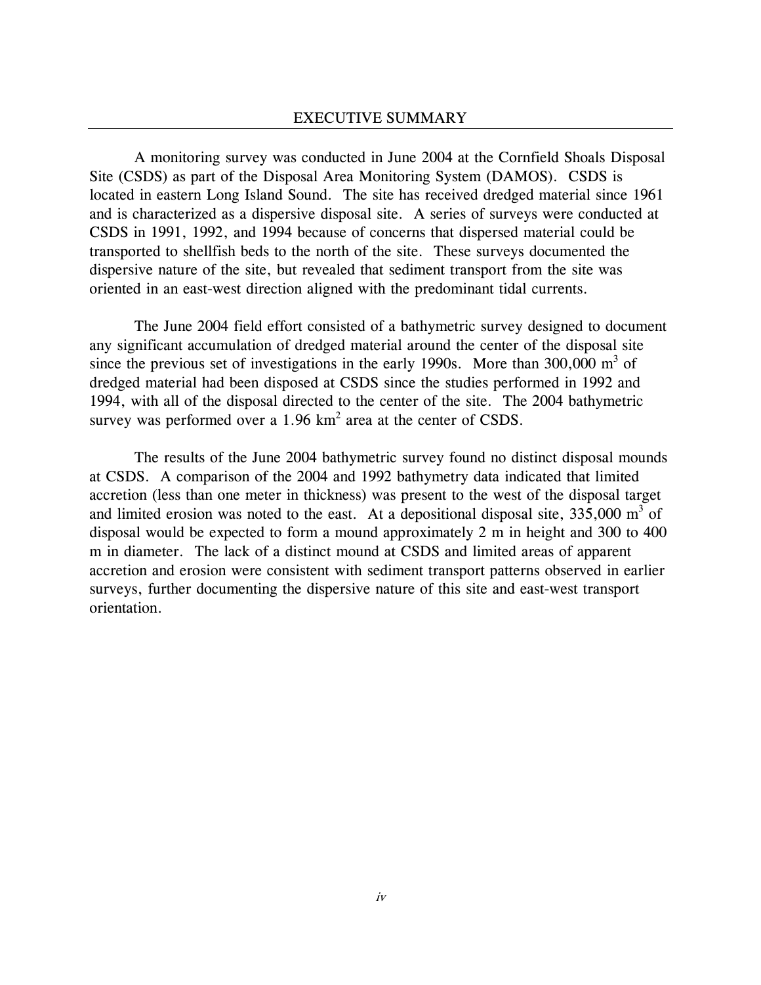A monitoring survey was conducted in June 2004 at the Cornfield Shoals Disposal Site (CSDS) as part of the Disposal Area Monitoring System (DAMOS). CSDS is located in eastern Long Island Sound. The site has received dredged material since 1961 and is characterized as a dispersive disposal site. A series of surveys were conducted at CSDS in 1991, 1992, and 1994 because of concerns that dispersed material could be transported to shellfish beds to the north of the site. These surveys documented the dispersive nature of the site, but revealed that sediment transport from the site was oriented in an east-west direction aligned with the predominant tidal currents.

The June 2004 field effort consisted of a bathymetric survey designed to document any significant accumulation of dredged material around the center of the disposal site since the previous set of investigations in the early 1990s. More than  $300,000 \text{ m}^3$  of dredged material had been disposed at CSDS since the studies performed in 1992 and 1994, with all of the disposal directed to the center of the site. The 2004 bathymetric survey was performed over a 1.96  $km^2$  area at the center of CSDS.

The results of the June 2004 bathymetric survey found no distinct disposal mounds at CSDS. A comparison of the 2004 and 1992 bathymetry data indicated that limited accretion (less than one meter in thickness) was present to the west of the disposal target and limited erosion was noted to the east. At a depositional disposal site,  $335,000 \text{ m}^3$  of disposal would be expected to form a mound approximately 2 m in height and 300 to 400 m in diameter. The lack of a distinct mound at CSDS and limited areas of apparent accretion and erosion were consistent with sediment transport patterns observed in earlier surveys, further documenting the dispersive nature of this site and east-west transport orientation.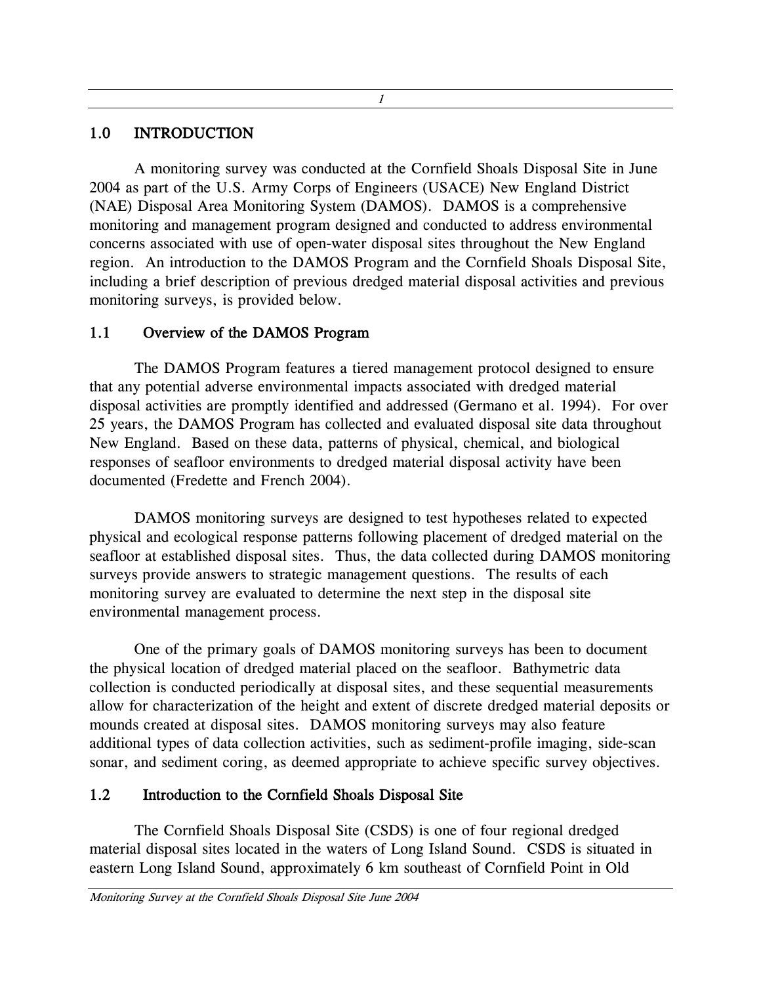#### 1.0 INTRODUCTION

A monitoring survey was conducted at the Cornfield Shoals Disposal Site in June 2004 as part of the U.S. Army Corps of Engineers (USACE) New England District (NAE) Disposal Area Monitoring System (DAMOS). DAMOS is a comprehensive monitoring and management program designed and conducted to address environmental concerns associated with use of open-water disposal sites throughout the New England region. An introduction to the DAMOS Program and the Cornfield Shoals Disposal Site, including a brief description of previous dredged material disposal activities and previous monitoring surveys, is provided below.

1

### 1.1 Overview of the DAMOS Program

The DAMOS Program features a tiered management protocol designed to ensure that any potential adverse environmental impacts associated with dredged material disposal activities are promptly identified and addressed (Germano et al. 1994). For over 25 years, the DAMOS Program has collected and evaluated disposal site data throughout New England. Based on these data, patterns of physical, chemical, and biological responses of seafloor environments to dredged material disposal activity have been documented (Fredette and French 2004).

DAMOS monitoring surveys are designed to test hypotheses related to expected physical and ecological response patterns following placement of dredged material on the seafloor at established disposal sites. Thus, the data collected during DAMOS monitoring surveys provide answers to strategic management questions. The results of each monitoring survey are evaluated to determine the next step in the disposal site environmental management process.

One of the primary goals of DAMOS monitoring surveys has been to document the physical location of dredged material placed on the seafloor. Bathymetric data collection is conducted periodically at disposal sites, and these sequential measurements allow for characterization of the height and extent of discrete dredged material deposits or mounds created at disposal sites. DAMOS monitoring surveys may also feature additional types of data collection activities, such as sediment-profile imaging, side-scan sonar, and sediment coring, as deemed appropriate to achieve specific survey objectives.

# 1.2 Introduction to the Cornfield Shoals Disposal Site

The Cornfield Shoals Disposal Site (CSDS) is one of four regional dredged material disposal sites located in the waters of Long Island Sound. CSDS is situated in eastern Long Island Sound, approximately 6 km southeast of Cornfield Point in Old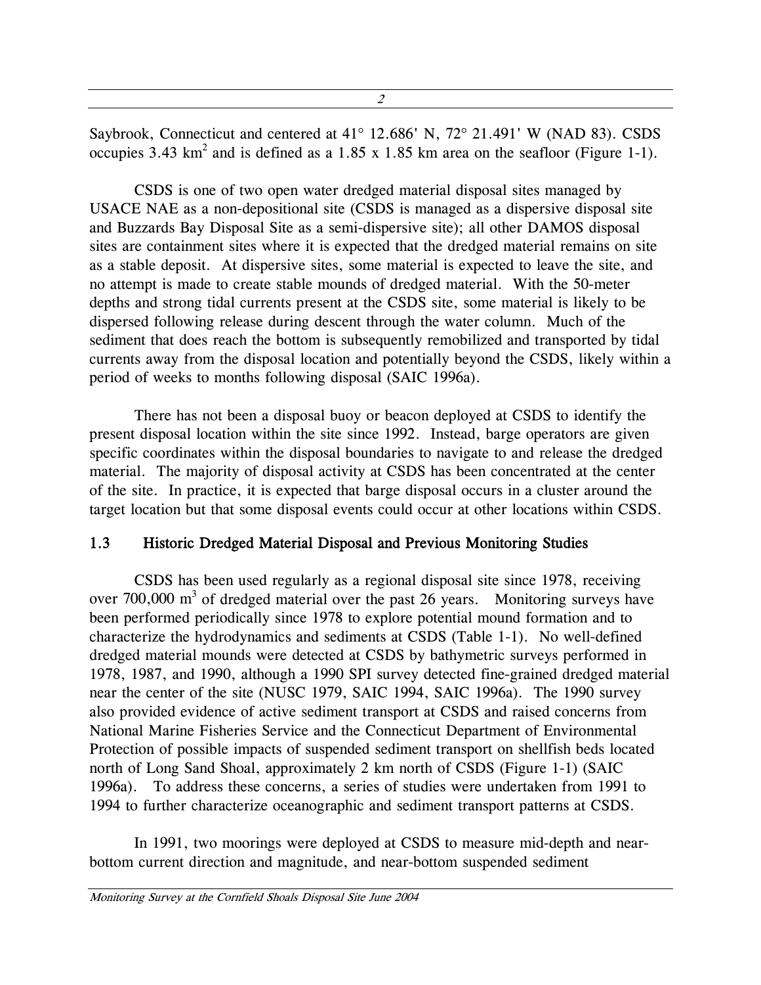<span id="page-9-0"></span>Saybrook, Connecticut and centered at 41° 12.686' N, 72° 21.491' W (NAD 83). CSDS occupies 3.43  $km^2$  and is defined as a 1.85 x 1.85 km area on the seafloor (Figure 1-1).

CSDS is one of two open water dredged material disposal sites managed by USACE NAE as a non-depositional site (CSDS is managed as a dispersive disposal site and Buzzards Bay Disposal Site as a semi-dispersive site); all other DAMOS disposal sites are containment sites where it is expected that the dredged material remains on site as a stable deposit. At dispersive sites, some material is expected to leave the site, and no attempt is made to create stable mounds of dredged material. With the 50-meter depths and strong tidal currents present at the CSDS site, some material is likely to be dispersed following release during descent through the water column. Much of the sediment that does reach the bottom is subsequently remobilized and transported by tidal currents away from the disposal location and potentially beyond the CSDS, likely within a period of weeks to months following disposal (SAIC 1996a).

There has not been a disposal buoy or beacon deployed at CSDS to identify the present disposal location within the site since 1992. Instead, barge operators are given specific coordinates within the disposal boundaries to navigate to and release the dredged material. The majority of disposal activity at CSDS has been concentrated at the center of the site. In practice, it is expected that barge disposal occurs in a cluster around the target location but that some disposal events could occur at other locations within CSDS.

#### 1.3 Historic Dredged Material Disposal and Previous Monitoring Studies

CSDS has been used regularly as a regional disposal site since 1978, receiving over 700,000  $m<sup>3</sup>$  of dredged material over the past 26 years. Monitoring surveys have been performed periodically since 1978 to explore potential mound formation and to characterize the hydrodynamics and sediments at CSDS (Table 1-1). No well-defined dredged material mounds were detected at CSDS by bathymetric surveys performed in 1978, 1987, and 1990, although a 1990 SPI survey detected fine-grained dredged material near the center of the site (NUSC 1979, SAIC 1994, SAIC 1996a). The 1990 survey also provided evidence of active sediment transport at CSDS and raised concerns from National Marine Fisheries Service and the Connecticut Department of Environmental Protection of possible impacts of suspended sediment transport on shellfish beds located north of Long Sand Shoal, approximately 2 km north of CSDS (Figure 1-1) (SAIC 1996a). To address these concerns, a series of studies were undertaken from 1991 to 1994 to further characterize oceanographic and sediment transport patterns at CSDS.

In 1991, two moorings were deployed at CSDS to measure mid-depth and nearbottom current direction and magnitude, and near-bottom suspended sediment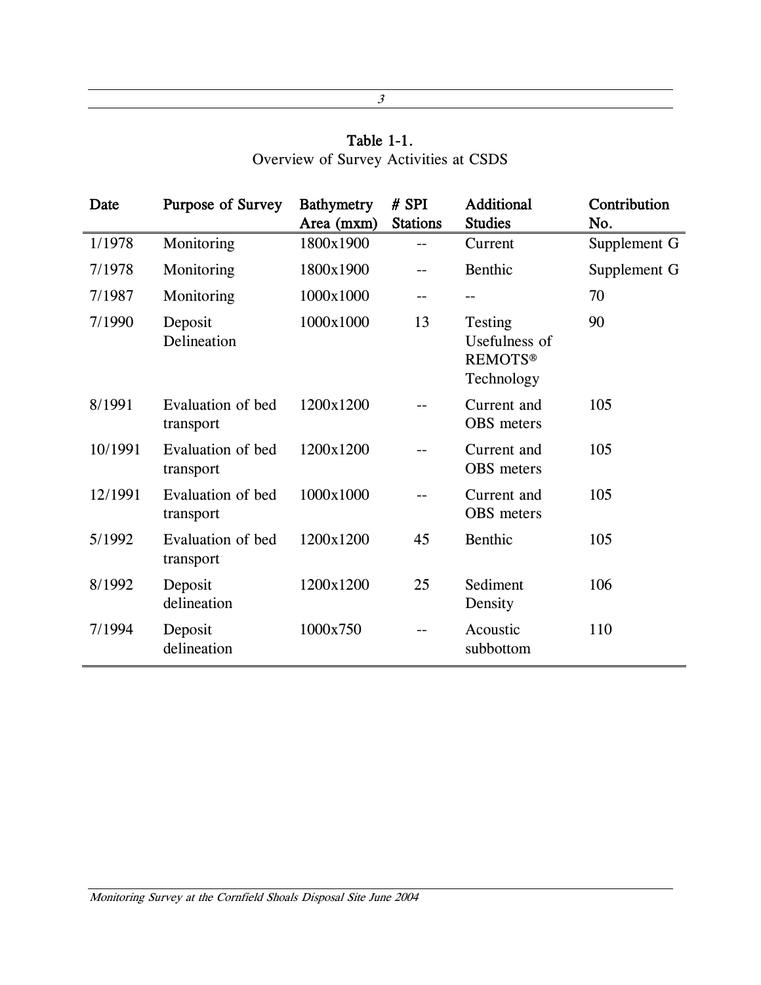# Table 1-1. Overview of Survey Activities at CSDS

<span id="page-10-0"></span>

| Date    | Purpose of Survey              | <b>Bathymetry</b><br>Area (mxm) | # SPI<br><b>Stations</b> | <b>Additional</b><br><b>Studies</b>                      | Contribution<br>No. |
|---------|--------------------------------|---------------------------------|--------------------------|----------------------------------------------------------|---------------------|
| 1/1978  | Monitoring                     | 1800x1900                       | --                       | Current                                                  | Supplement G        |
| 7/1978  | Monitoring                     | 1800x1900                       | --                       | Benthic                                                  | Supplement G        |
| 7/1987  | Monitoring                     | 1000x1000                       | --                       |                                                          | 70                  |
| 7/1990  | Deposit<br>Delineation         | 1000x1000                       | 13                       | Testing<br>Usefulness of<br><b>REMOTS®</b><br>Technology | 90                  |
| 8/1991  | Evaluation of bed<br>transport | 1200x1200                       |                          | Current and<br>OBS meters                                | 105                 |
| 10/1991 | Evaluation of bed<br>transport | 1200x1200                       |                          | Current and<br><b>OBS</b> meters                         | 105                 |
| 12/1991 | Evaluation of bed<br>transport | 1000x1000                       |                          | Current and<br>OBS meters                                | 105                 |
| 5/1992  | Evaluation of bed<br>transport | 1200x1200                       | 45                       | Benthic                                                  | 105                 |
| 8/1992  | Deposit<br>delineation         | 1200x1200                       | 25                       | Sediment<br>Density                                      | 106                 |
| 7/1994  | Deposit<br>delineation         | 1000x750                        |                          | Acoustic<br>subbottom                                    | 110                 |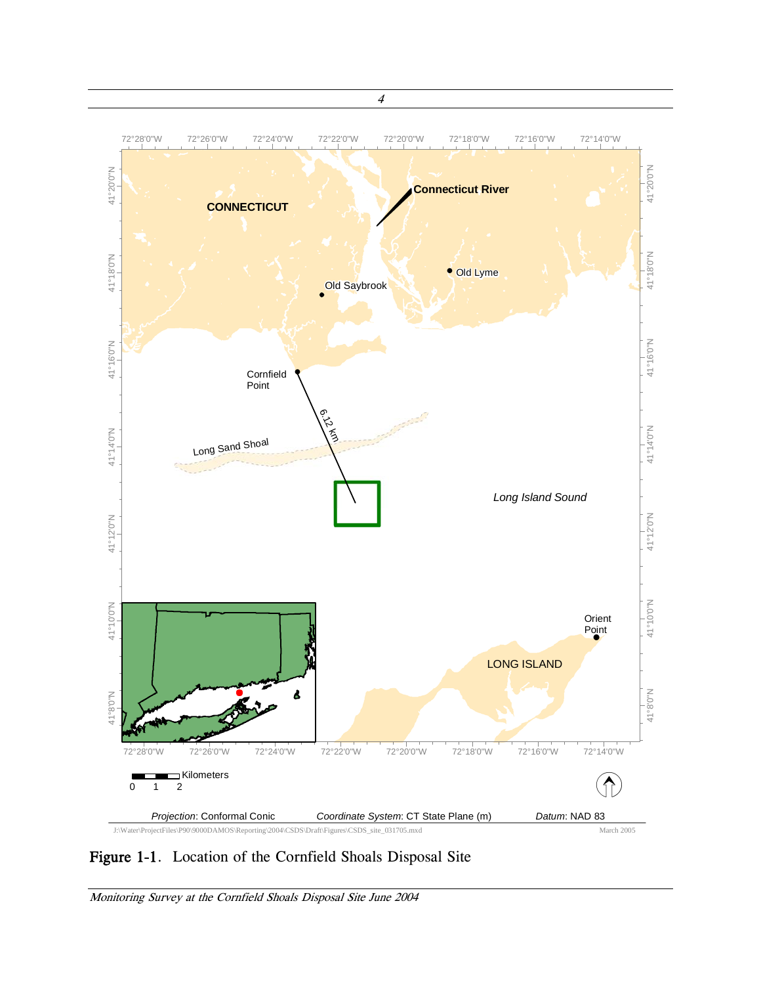

Figure 1-1. Location of the Cornfield Shoals Disposal Site

Monitoring Survey at the Cornfield Shoals Disposal Site June 2004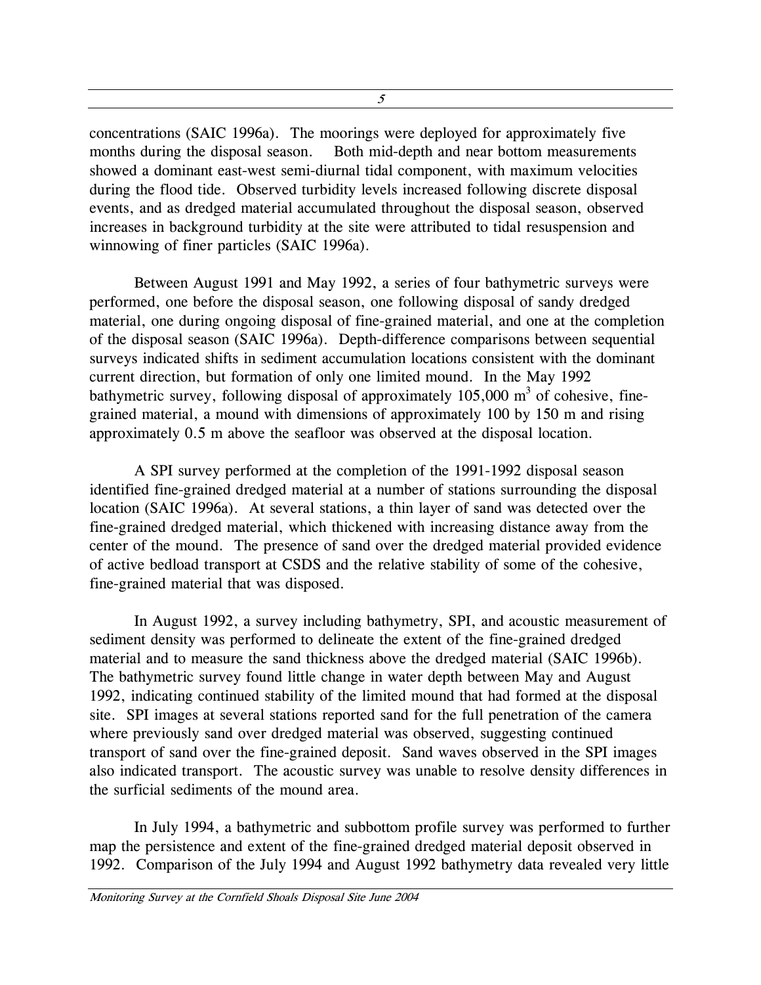<span id="page-12-0"></span>concentrations (SAIC 1996a). The moorings were deployed for approximately five months during the disposal season. Both mid-depth and near bottom measurements showed a dominant east-west semi-diurnal tidal component, with maximum velocities during the flood tide. Observed turbidity levels increased following discrete disposal events, and as dredged material accumulated throughout the disposal season, observed increases in background turbidity at the site were attributed to tidal resuspension and winnowing of finer particles (SAIC 1996a).

Between August 1991 and May 1992, a series of four bathymetric surveys were performed, one before the disposal season, one following disposal of sandy dredged material, one during ongoing disposal of fine-grained material, and one at the completion of the disposal season (SAIC 1996a). Depth-difference comparisons between sequential surveys indicated shifts in sediment accumulation locations consistent with the dominant current direction, but formation of only one limited mound. In the May 1992 bathymetric survey, following disposal of approximately 105,000  $m<sup>3</sup>$  of cohesive, finegrained material, a mound with dimensions of approximately 100 by 150 m and rising approximately 0.5 m above the seafloor was observed at the disposal location.

A SPI survey performed at the completion of the 1991-1992 disposal season identified fine-grained dredged material at a number of stations surrounding the disposal location (SAIC 1996a). At several stations, a thin layer of sand was detected over the fine-grained dredged material, which thickened with increasing distance away from the center of the mound. The presence of sand over the dredged material provided evidence of active bedload transport at CSDS and the relative stability of some of the cohesive, fine-grained material that was disposed.

In August 1992, a survey including bathymetry, SPI, and acoustic measurement of sediment density was performed to delineate the extent of the fine-grained dredged material and to measure the sand thickness above the dredged material (SAIC 1996b). The bathymetric survey found little change in water depth between May and August 1992, indicating continued stability of the limited mound that had formed at the disposal site. SPI images at several stations reported sand for the full penetration of the camera where previously sand over dredged material was observed, suggesting continued transport of sand over the fine-grained deposit. Sand waves observed in the SPI images also indicated transport. The acoustic survey was unable to resolve density differences in the surficial sediments of the mound area.

In July 1994, a bathymetric and subbottom profile survey was performed to further map the persistence and extent of the fine-grained dredged material deposit observed in 1992. Comparison of the July 1994 and August 1992 bathymetry data revealed very little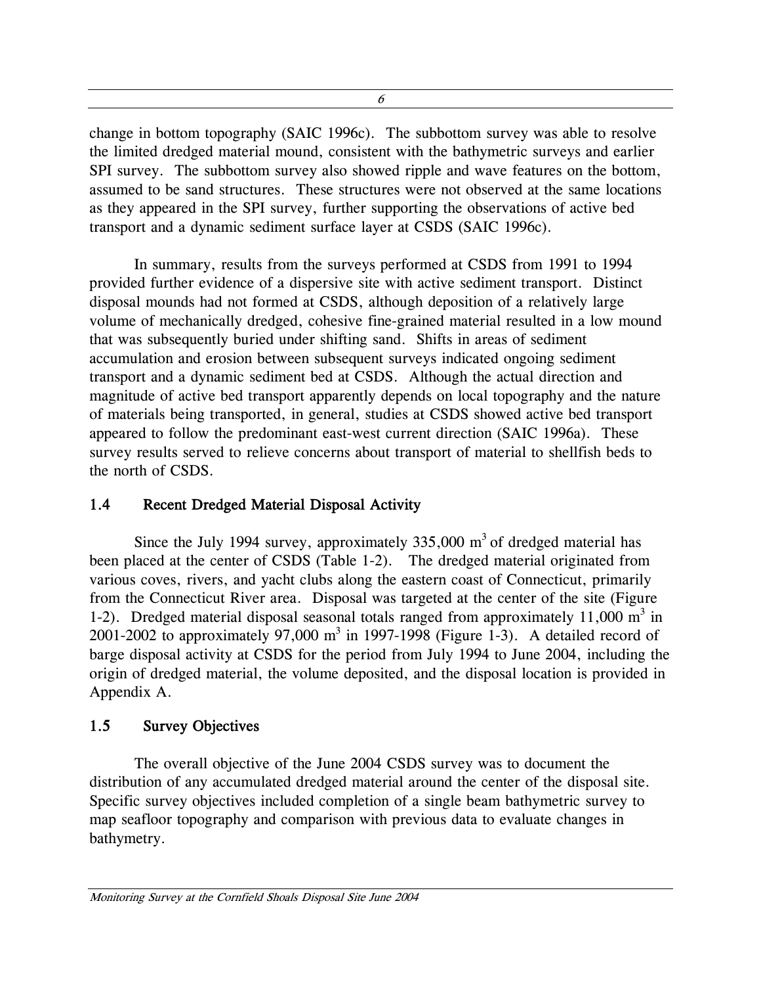<span id="page-13-0"></span>change in bottom topography (SAIC 1996c). The subbottom survey was able to resolve the limited dredged material mound, consistent with the bathymetric surveys and earlier SPI survey. The subbottom survey also showed ripple and wave features on the bottom, assumed to be sand structures. These structures were not observed at the same locations as they appeared in the SPI survey, further supporting the observations of active bed transport and a dynamic sediment surface layer at CSDS (SAIC 1996c).

In summary, results from the surveys performed at CSDS from 1991 to 1994 provided further evidence of a dispersive site with active sediment transport. Distinct disposal mounds had not formed at CSDS, although deposition of a relatively large volume of mechanically dredged, cohesive fine-grained material resulted in a low mound that was subsequently buried under shifting sand. Shifts in areas of sediment accumulation and erosion between subsequent surveys indicated ongoing sediment transport and a dynamic sediment bed at CSDS. Although the actual direction and magnitude of active bed transport apparently depends on local topography and the nature of materials being transported, in general, studies at CSDS showed active bed transport appeared to follow the predominant east-west current direction (SAIC 1996a). These survey results served to relieve concerns about transport of material to shellfish beds to the north of CSDS.

# 1.4 Recent Dredged Material Disposal Activity

Since the July 1994 survey, approximately  $335,000 \text{ m}^3$  of dredged material has been placed at the center of CSDS (Table 1-2). The dredged material originated from various coves, rivers, and yacht clubs along the eastern coast of Connecticut, primarily from the Connecticut River area. Disposal was targeted at the center of the site (Figure 1-2). Dredged material disposal seasonal totals ranged from approximately  $11,000 \text{ m}^3$  in 2001-2002 to approximately 97,000  $m^3$  in 1997-1998 (Figure 1-3). A detailed record of barge disposal activity at CSDS for the period from July 1994 to June 2004, including the origin of dredged material, the volume deposited, and the disposal location is provided in Appendix A.

# 1.5 Survey Objectives

The overall objective of the June 2004 CSDS survey was to document the distribution of any accumulated dredged material around the center of the disposal site. Specific survey objectives included completion of a single beam bathymetric survey to map seafloor topography and comparison with previous data to evaluate changes in bathymetry.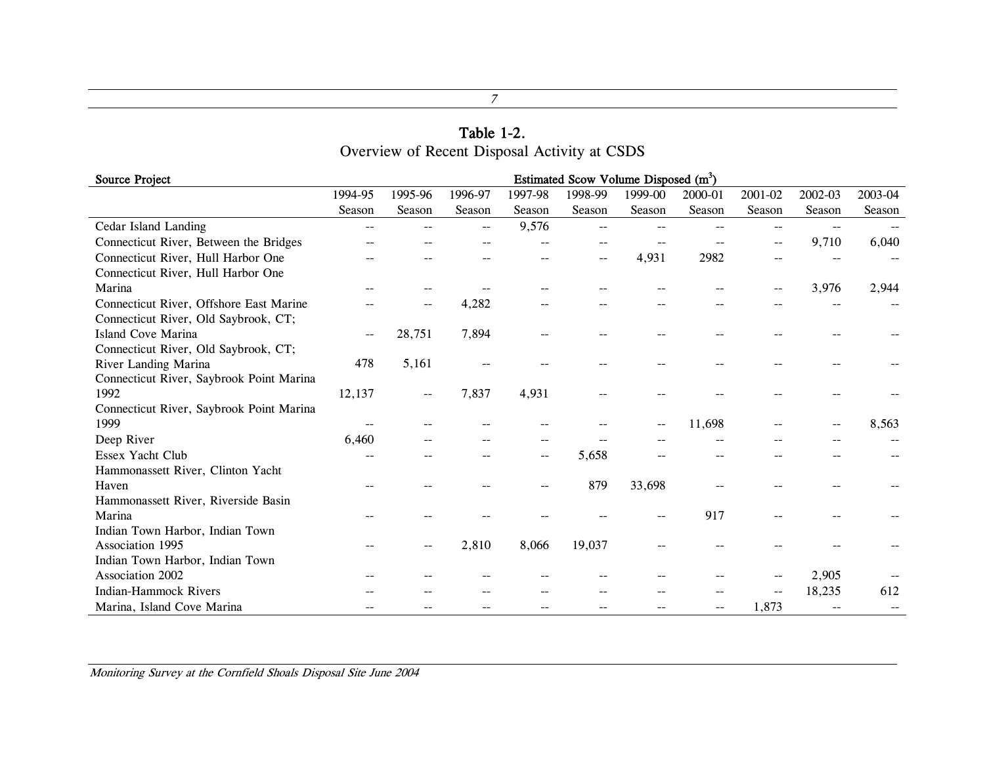#### Table 1-2. Overview of Recent Disposal Activity at CSDS

| <b>Source Project</b>                    | Estimated Scow Volume Disposed $(m^3)$ |         |         |         |                |         |         |                          |         |         |
|------------------------------------------|----------------------------------------|---------|---------|---------|----------------|---------|---------|--------------------------|---------|---------|
|                                          | 1994-95                                | 1995-96 | 1996-97 | 1997-98 | 1998-99        | 1999-00 | 2000-01 | 2001-02                  | 2002-03 | 2003-04 |
|                                          | Season                                 | Season  | Season  | Season  | Season         | Season  | Season  | Season                   | Season  | Season  |
| Cedar Island Landing                     | $-$                                    |         | --      | 9,576   | $\overline{a}$ | --      |         | --                       | --      |         |
| Connecticut River, Between the Bridges   |                                        |         |         |         |                |         |         | --                       | 9,710   | 6,040   |
| Connecticut River, Hull Harbor One       |                                        |         |         |         | $- -$          | 4,931   | 2982    |                          |         |         |
| Connecticut River, Hull Harbor One       |                                        |         |         |         |                |         |         |                          |         |         |
| Marina                                   |                                        |         |         |         |                |         |         | --                       | 3,976   | 2,944   |
| Connecticut River, Offshore East Marine  |                                        |         | 4,282   |         |                |         |         |                          |         |         |
| Connecticut River, Old Saybrook, CT;     |                                        |         |         |         |                |         |         |                          |         |         |
| Island Cove Marina                       | --                                     | 28,751  | 7,894   |         |                |         |         |                          |         |         |
| Connecticut River, Old Saybrook, CT;     |                                        |         |         |         |                |         |         |                          |         |         |
| River Landing Marina                     | 478                                    | 5,161   | --      |         |                |         |         |                          |         |         |
| Connecticut River, Saybrook Point Marina |                                        |         |         |         |                |         |         |                          |         |         |
| 1992                                     | 12,137                                 | --      | 7,837   | 4,931   |                |         |         |                          |         |         |
| Connecticut River, Saybrook Point Marina |                                        |         |         |         |                |         |         |                          |         |         |
| 1999                                     |                                        |         |         |         |                |         | 11,698  |                          |         | 8,563   |
| Deep River                               | 6,460                                  |         |         |         |                |         |         |                          |         |         |
| Essex Yacht Club                         |                                        |         |         |         | 5,658          |         |         |                          |         |         |
| Hammonassett River, Clinton Yacht        |                                        |         |         |         |                |         |         |                          |         |         |
| Haven                                    |                                        |         |         |         | 879            | 33,698  |         |                          |         |         |
| Hammonassett River, Riverside Basin      |                                        |         |         |         |                |         |         |                          |         |         |
| Marina                                   |                                        |         |         |         |                |         | 917     |                          |         |         |
| Indian Town Harbor, Indian Town          |                                        |         |         |         |                |         |         |                          |         |         |
| Association 1995                         |                                        |         | 2,810   | 8,066   | 19,037         |         |         |                          |         |         |
| Indian Town Harbor, Indian Town          |                                        |         |         |         |                |         |         |                          |         |         |
| Association 2002                         |                                        |         |         |         |                |         |         |                          | 2,905   |         |
| <b>Indian-Hammock Rivers</b>             |                                        |         |         |         |                |         |         | $\overline{\phantom{a}}$ | 18,235  | 612     |
| Marina, Island Cove Marina               |                                        |         |         |         |                |         |         | 1,873                    |         |         |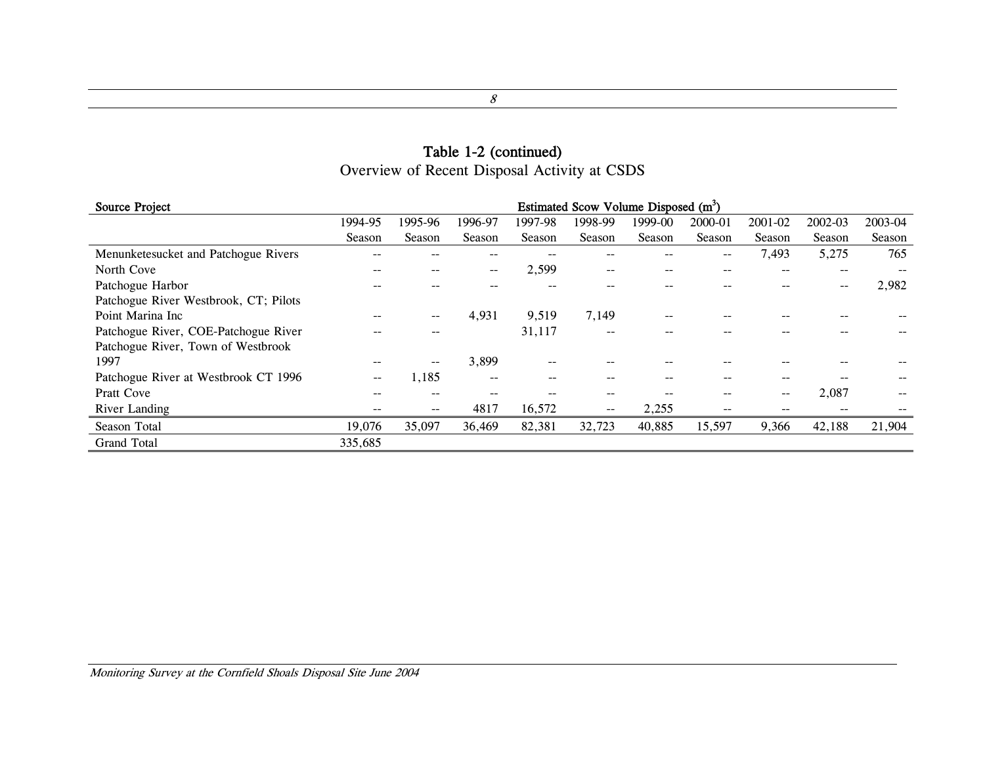# Table 1-2 (continued) Overview of Recent Disposal Activity at CSDS

<span id="page-15-0"></span>

| <b>Source Project</b>                 | Estimated Scow Volume Disposed (m <sup>3</sup> ) |         |         |         |         |         |         |                          |         |         |
|---------------------------------------|--------------------------------------------------|---------|---------|---------|---------|---------|---------|--------------------------|---------|---------|
|                                       | 1994-95                                          | 1995-96 | 1996-97 | 1997-98 | 1998-99 | 1999-00 | 2000-01 | 2001-02                  | 2002-03 | 2003-04 |
|                                       | Season                                           | Season  | Season  | Season  | Season  | Season  | Season  | Season                   | Season  | Season  |
| Menunketesucket and Patchogue Rivers  |                                                  |         |         |         |         |         | --      | 7,493                    | 5,275   | 765     |
| North Cove                            | $- -$                                            | $- -$   | $- -$   | 2,599   | $- -$   | --      | --      | $- -$                    | $-$     |         |
| Patchogue Harbor                      |                                                  |         |         |         |         |         |         |                          | --      | 2,982   |
| Patchogue River Westbrook, CT; Pilots |                                                  |         |         |         |         |         |         |                          |         |         |
| Point Marina Inc                      |                                                  | $- -$   | 4,931   | 9,519   | 7,149   |         |         |                          |         |         |
| Patchogue River, COE-Patchogue River  |                                                  | $- -$   |         | 31,117  | --      |         |         |                          |         |         |
| Patchogue River, Town of Westbrook    |                                                  |         |         |         |         |         |         |                          |         |         |
| 1997                                  |                                                  | $- -$   | 3,899   |         |         |         |         |                          |         |         |
| Patchogue River at Westbrook CT 1996  | $- -$                                            | 1,185   | $- -$   |         | --      |         |         | --                       |         |         |
| <b>Pratt Cove</b>                     |                                                  | $- -$   | $- -$   |         | --      |         | --      | $\overline{\phantom{m}}$ | 2,087   |         |
| River Landing                         |                                                  | $- -$   | 4817    | 16,572  | $- -$   | 2,255   |         | --                       | --      |         |
| Season Total                          | 19,076                                           | 35,097  | 36,469  | 82,381  | 32,723  | 40,885  | 15,597  | 9,366                    | 42,188  | 21,904  |
| <b>Grand Total</b>                    | 335,685                                          |         |         |         |         |         |         |                          |         |         |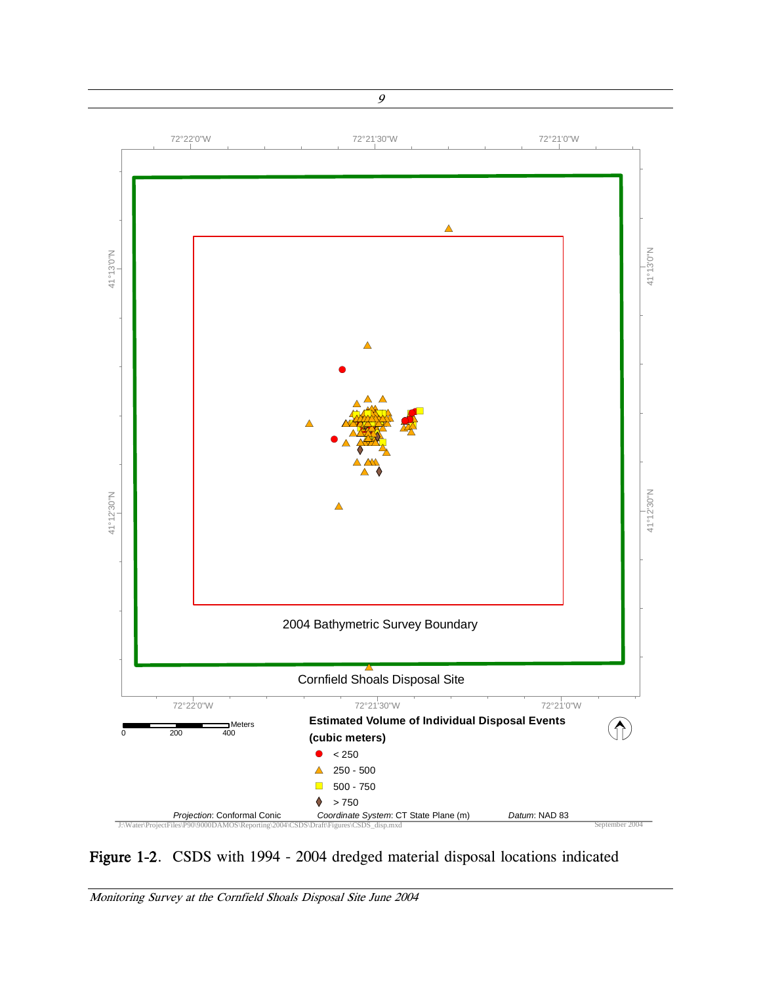<span id="page-16-0"></span>

Figure 1-2. CSDS with 1994 - 2004 dredged material disposal locations indicated

Monitoring Survey at the Cornfield Shoals Disposal Site June 2004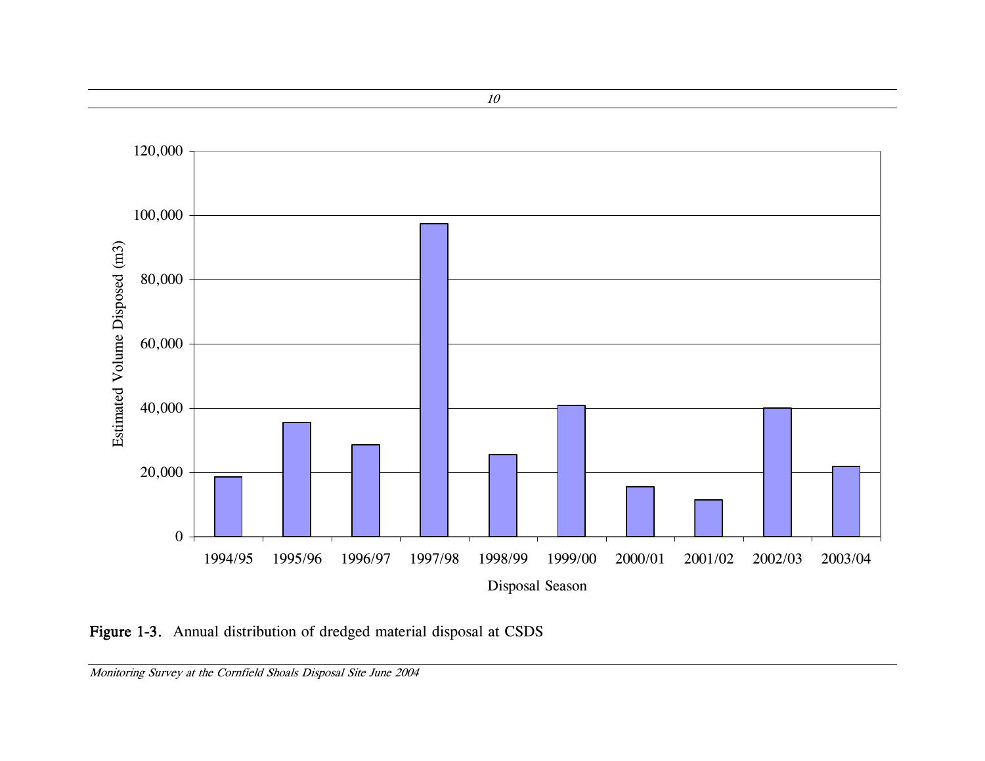

Figure 1-3. Annual distribution of dredged material disposal at CSDS

<span id="page-17-0"></span>Monitoring Survey at the Cornfield Shoals Disposal Site June 2004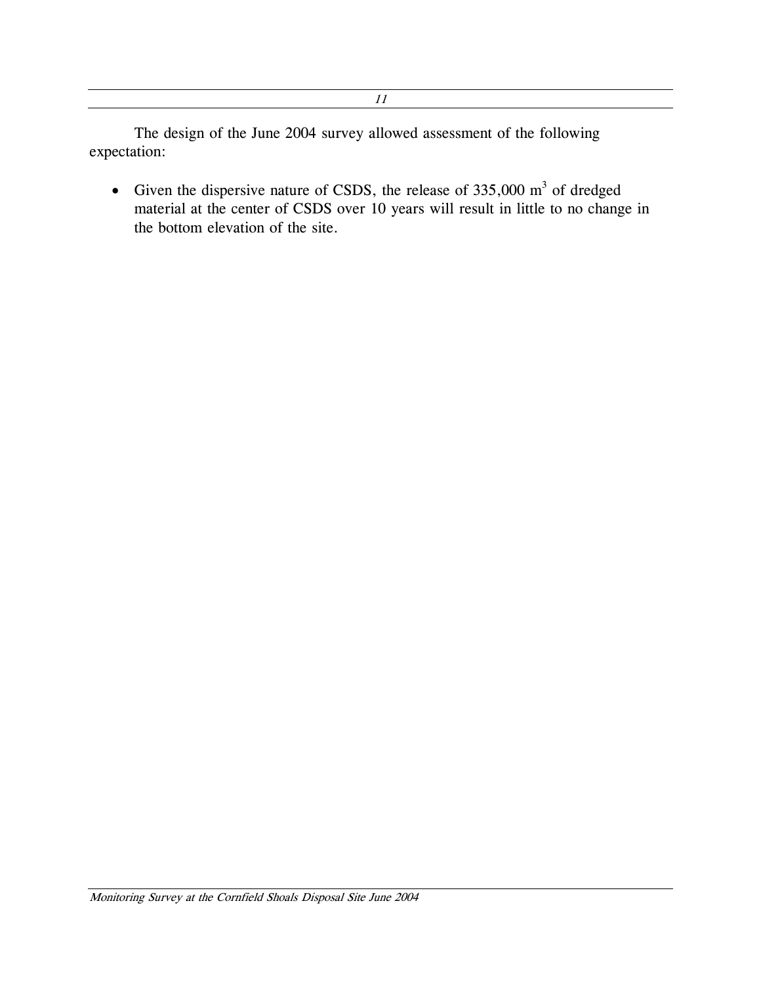11

The design of the June 2004 survey allowed assessment of the following expectation:

• Given the dispersive nature of CSDS, the release of  $335,000 \text{ m}^3$  of dredged material at the center of CSDS over 10 years will result in little to no change in the bottom elevation of the site.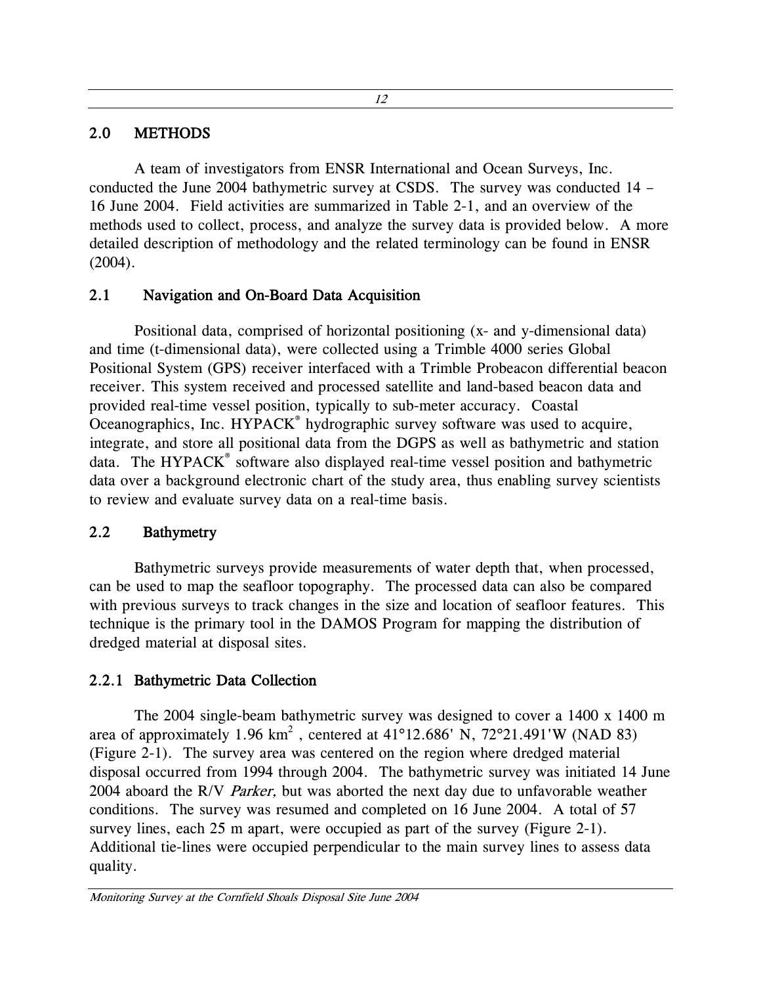#### <span id="page-19-0"></span>2.0 METHODS

A team of investigators from ENSR International and Ocean Surveys, Inc. conducted the June 2004 bathymetric survey at CSDS. The survey was conducted 14 – 16 June 2004. Field activities are summarized in Table 2-1, and an overview of the methods used to collect, process, and analyze the survey data is provided below. A more detailed description of methodology and the related terminology can be found in ENSR (2004).

#### 2.1 Navigation and On-Board Data Acquisition

Positional data, comprised of horizontal positioning (x- and y-dimensional data) and time (t-dimensional data), were collected using a Trimble 4000 series Global Positional System (GPS) receiver interfaced with a Trimble Probeacon differential beacon receiver. This system received and processed satellite and land-based beacon data and provided real-time vessel position, typically to sub-meter accuracy. Coastal Oceanographics, Inc. HYPACK<sup>®</sup> hydrographic survey software was used to acquire, integrate, and store all positional data from the DGPS as well as bathymetric and station data. The HYPACK<sup>®</sup> software also displayed real-time vessel position and bathymetric data over a background electronic chart of the study area, thus enabling survey scientists to review and evaluate survey data on a real-time basis.

#### 2.2 Bathymetry

Bathymetric surveys provide measurements of water depth that, when processed, can be used to map the seafloor topography. The processed data can also be compared with previous surveys to track changes in the size and location of seafloor features. This technique is the primary tool in the DAMOS Program for mapping the distribution of dredged material at disposal sites.

# 2.2.1 Bathymetric Data Collection

The 2004 single-beam bathymetric survey was designed to cover a 1400 x 1400 m area of approximately 1.96 km<sup>2</sup>, centered at 41°12.686' N, 72°21.491'W (NAD 83) (Figure 2-1). The survey area was centered on the region where dredged material disposal occurred from 1994 through 2004. The bathymetric survey was initiated 14 June 2004 aboard the R/V Parker, but was aborted the next day due to unfavorable weather conditions. The survey was resumed and completed on 16 June 2004. A total of 57 survey lines, each 25 m apart, were occupied as part of the survey (Figure 2-1). Additional tie-lines were occupied perpendicular to the main survey lines to assess data quality.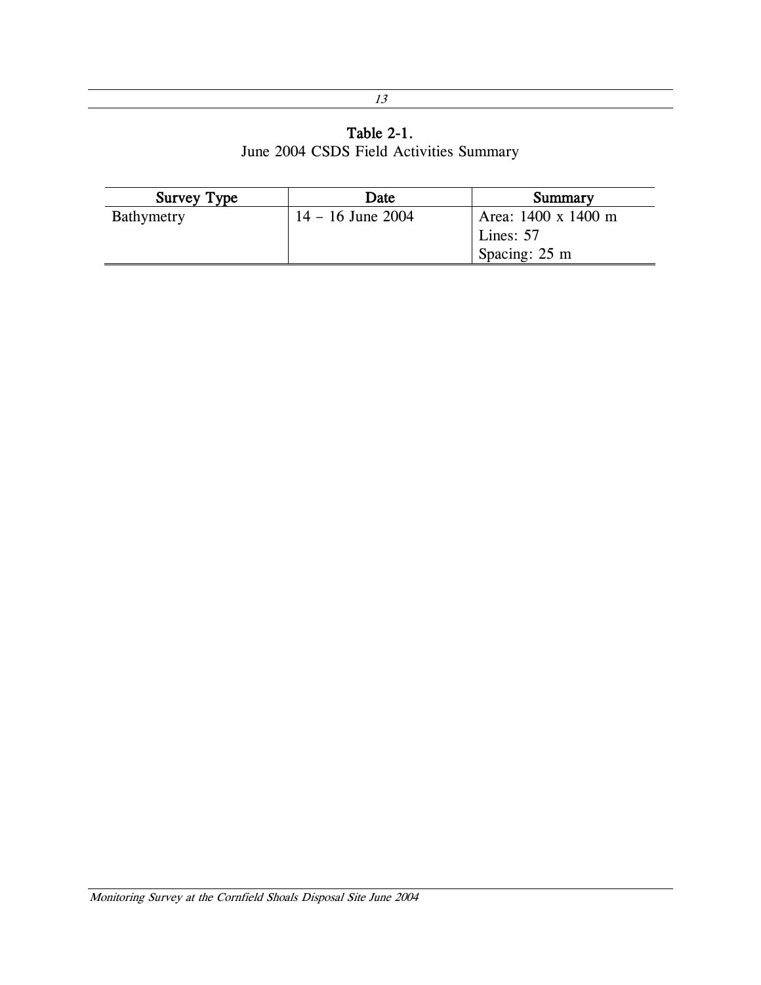# Table 2-1. June 2004 CSDS Field Activities Summary

<span id="page-20-0"></span>

| <b>Survey Type</b> | Date                | Summary                 |
|--------------------|---------------------|-------------------------|
| Bathymetry         | $14 - 16$ June 2004 | Area: 1400 x 1400 m     |
|                    |                     | Lines: 57               |
|                    |                     | Spacing: $25 \text{ m}$ |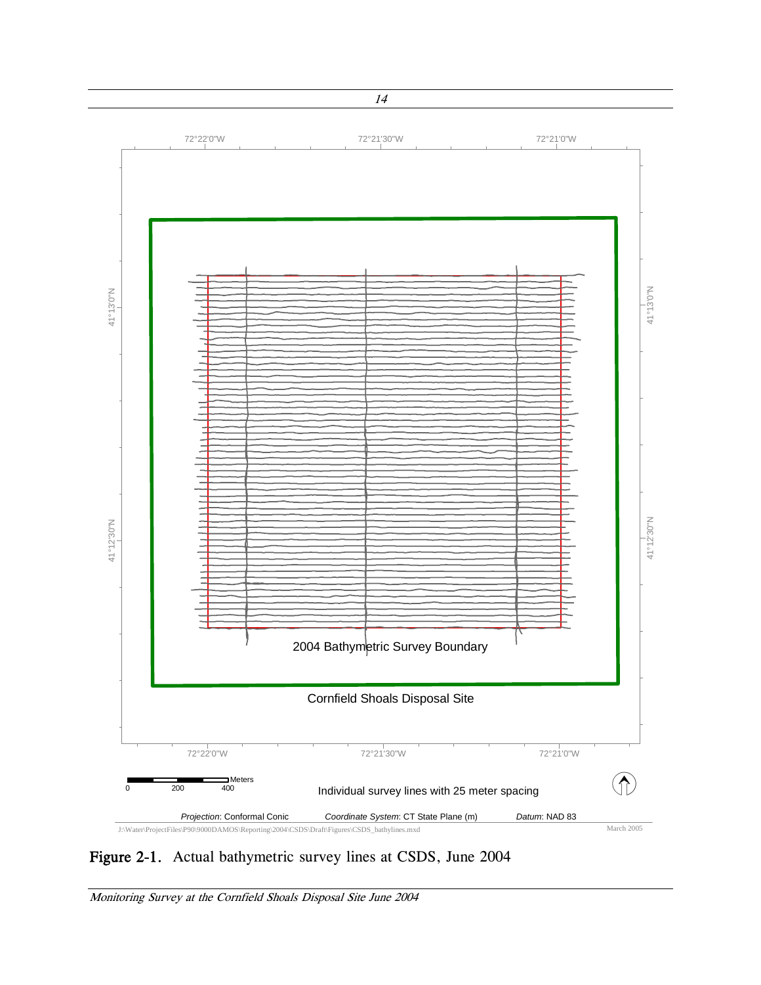

Figure 2-1. Actual bathymetric survey lines at CSDS, June 2004

Monitoring Survey at the Cornfield Shoals Disposal Site June 2004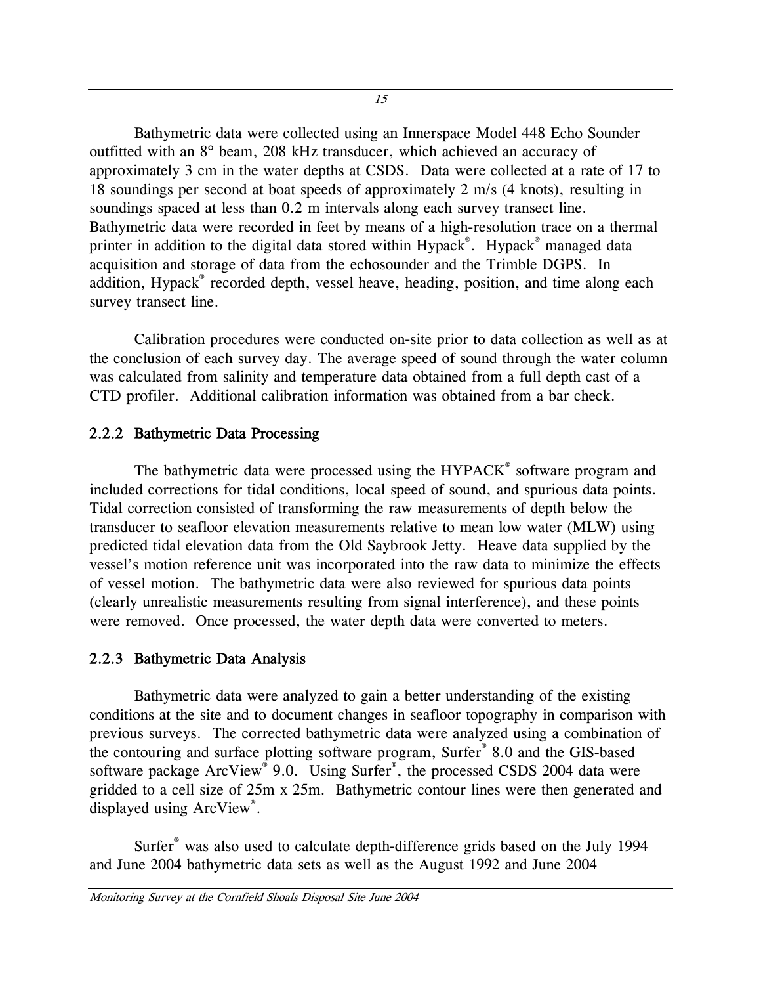<span id="page-22-0"></span>Bathymetric data were collected using an Innerspace Model 448 Echo Sounder outfitted with an 8° beam, 208 kHz transducer, which achieved an accuracy of approximately 3 cm in the water depths at CSDS. Data were collected at a rate of 17 to 18 soundings per second at boat speeds of approximately 2 m/s (4 knots), resulting in soundings spaced at less than 0.2 m intervals along each survey transect line. Bathymetric data were recorded in feet by means of a high-resolution trace on a thermal printer in addition to the digital data stored within Hypack®. Hypack® managed data acquisition and storage of data from the echosounder and the Trimble DGPS. In addition, Hypack® recorded depth, vessel heave, heading, position, and time along each survey transect line.

Calibration procedures were conducted on-site prior to data collection as well as at the conclusion of each survey day. The average speed of sound through the water column was calculated from salinity and temperature data obtained from a full depth cast of a CTD profiler. Additional calibration information was obtained from a bar check.

#### 2.2.2 Bathymetric Data Processing

The bathymetric data were processed using the HYPACK® software program and included corrections for tidal conditions, local speed of sound, and spurious data points. Tidal correction consisted of transforming the raw measurements of depth below the transducer to seafloor elevation measurements relative to mean low water (MLW) using predicted tidal elevation data from the Old Saybrook Jetty. Heave data supplied by the vessel's motion reference unit was incorporated into the raw data to minimize the effects of vessel motion. The bathymetric data were also reviewed for spurious data points (clearly unrealistic measurements resulting from signal interference), and these points were removed. Once processed, the water depth data were converted to meters.

#### 2.2.3 Bathymetric Data Analysis

Bathymetric data were analyzed to gain a better understanding of the existing conditions at the site and to document changes in seafloor topography in comparison with previous surveys. The corrected bathymetric data were analyzed using a combination of the contouring and surface plotting software program, Surfer® 8.0 and the GIS-based software package ArcView® 9.0. Using Surfer®, the processed CSDS 2004 data were gridded to a cell size of 25m x 25m. Bathymetric contour lines were then generated and displayed using ArcView® .

Surfer® was also used to calculate depth-difference grids based on the July 1994 and June 2004 bathymetric data sets as well as the August 1992 and June 2004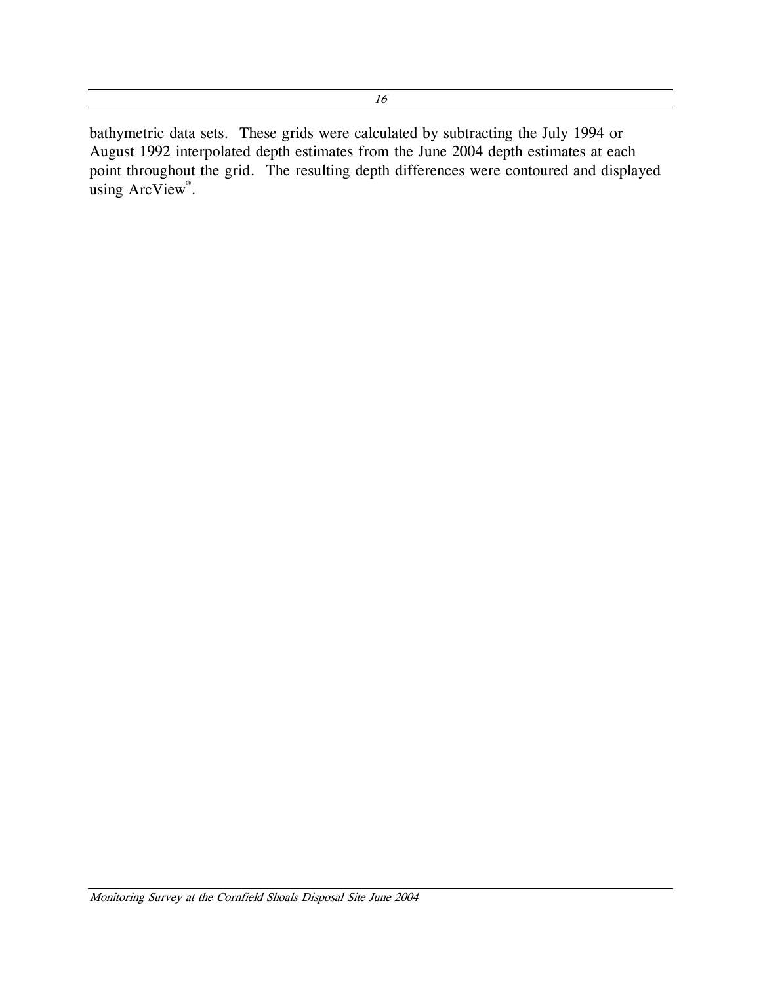<span id="page-23-0"></span>bathymetric data sets. These grids were calculated by subtracting the July 1994 or August 1992 interpolated depth estimates from the June 2004 depth estimates at each point throughout the grid. The resulting depth differences were contoured and displayed using ArcView<sup>®</sup>.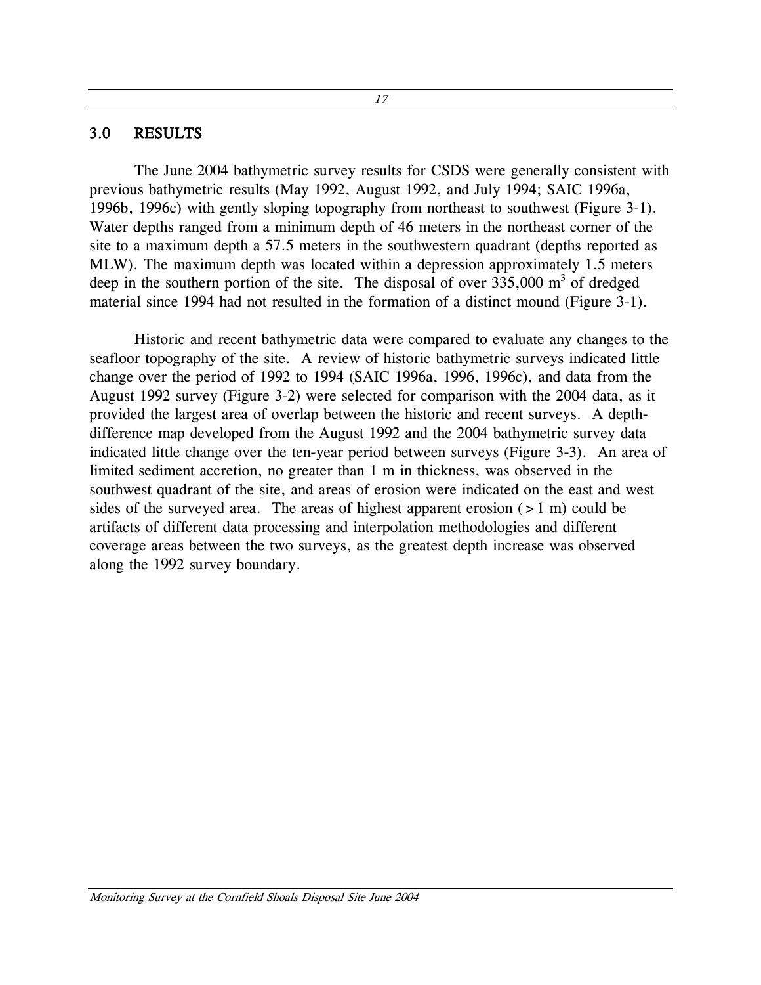#### <span id="page-24-0"></span>3.0 RESULTS

The June 2004 bathymetric survey results for CSDS were generally consistent with previous bathymetric results (May 1992, August 1992, and July 1994; SAIC 1996a, 1996b, 1996c) with gently sloping topography from northeast to southwest (Figure 3-1). Water depths ranged from a minimum depth of 46 meters in the northeast corner of the site to a maximum depth a 57.5 meters in the southwestern quadrant (depths reported as MLW). The maximum depth was located within a depression approximately 1.5 meters deep in the southern portion of the site. The disposal of over  $335,000 \text{ m}^3$  of dredged material since 1994 had not resulted in the formation of a distinct mound (Figure 3-1).

Historic and recent bathymetric data were compared to evaluate any changes to the seafloor topography of the site. A review of historic bathymetric surveys indicated little change over the period of 1992 to 1994 (SAIC 1996a, 1996, 1996c), and data from the August 1992 survey (Figure 3-2) were selected for comparison with the 2004 data, as it provided the largest area of overlap between the historic and recent surveys. A depthdifference map developed from the August 1992 and the 2004 bathymetric survey data indicated little change over the ten-year period between surveys (Figure 3-3). An area of limited sediment accretion, no greater than 1 m in thickness, was observed in the southwest quadrant of the site, and areas of erosion were indicated on the east and west sides of the surveyed area. The areas of highest apparent erosion  $(>1 \text{ m})$  could be artifacts of different data processing and interpolation methodologies and different coverage areas between the two surveys, as the greatest depth increase was observed along the 1992 survey boundary.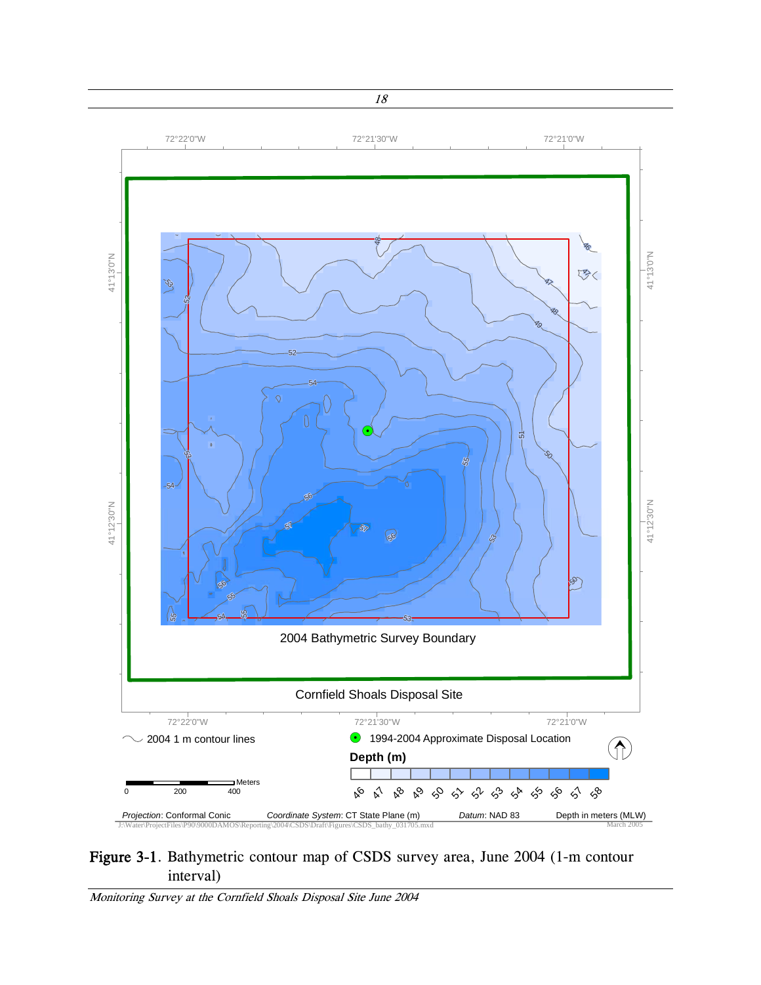<span id="page-25-0"></span>

#### Figure 3-1. Bathymetric contour map of CSDS survey area, June 2004 (1-m contour interval)

Monitoring Survey at the Cornfield Shoals Disposal Site June 2004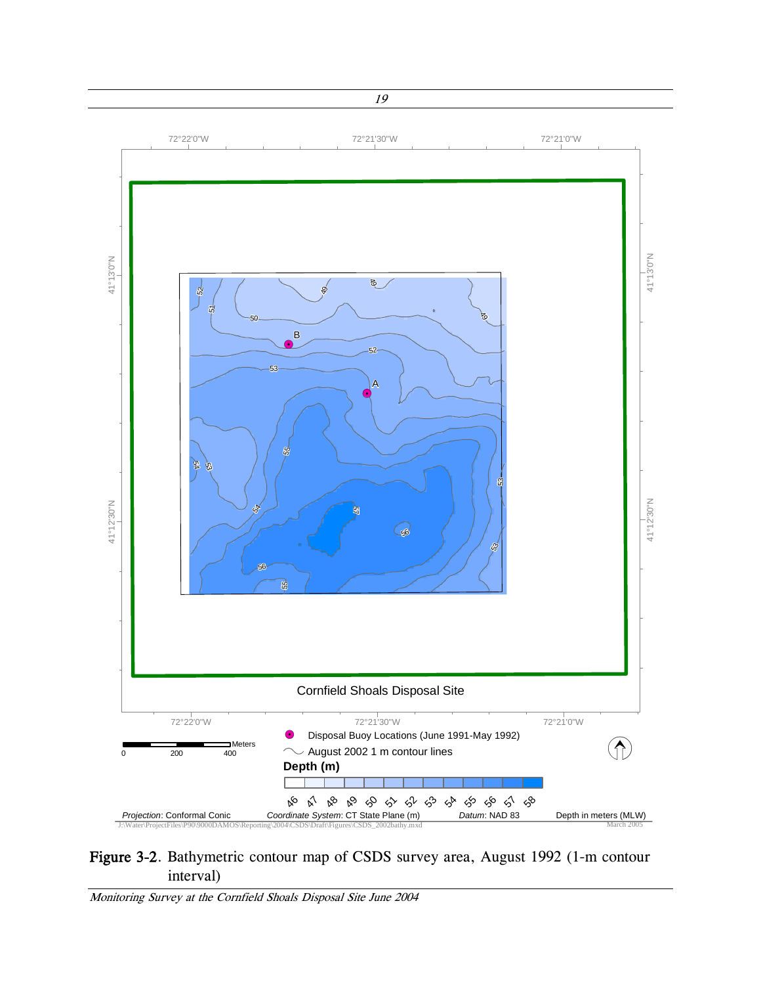

#### Figure 3-2. Bathymetric contour map of CSDS survey area, August 1992 (1-m contour interval)

Monitoring Survey at the Cornfield Shoals Disposal Site June 2004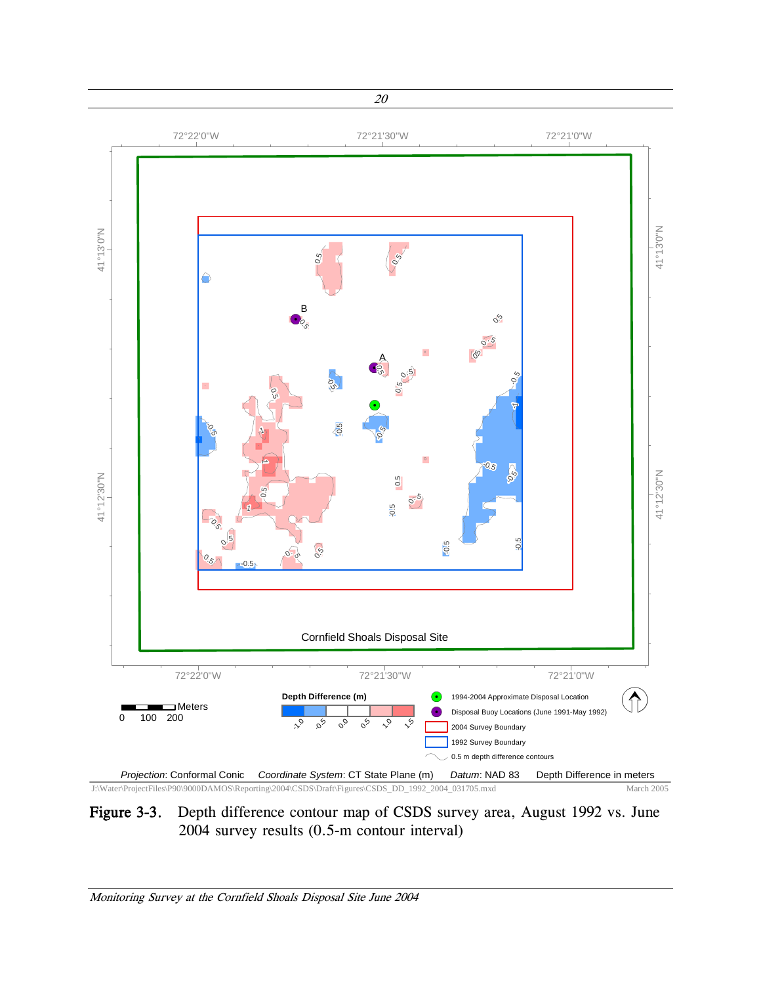<span id="page-27-0"></span>

#### Figure 3-3. Depth difference contour map of CSDS survey area, August 1992 vs. June 2004 survey results (0.5-m contour interval)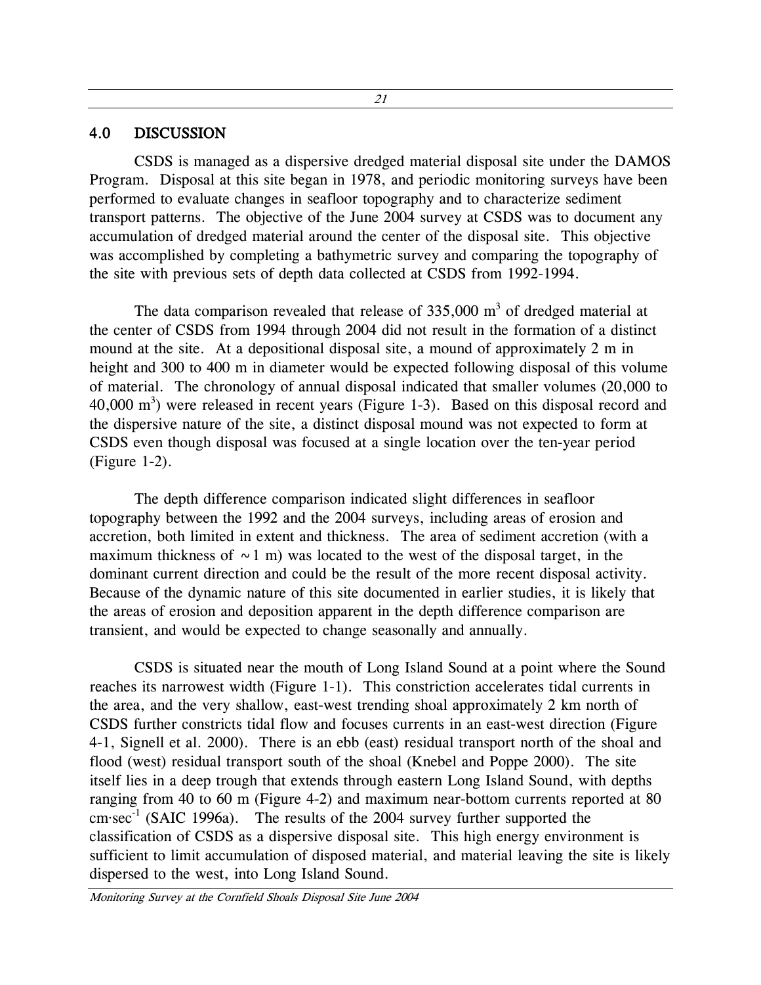21

#### <span id="page-28-0"></span>4.0 DISCUSSION

CSDS is managed as a dispersive dredged material disposal site under the DAMOS Program. Disposal at this site began in 1978, and periodic monitoring surveys have been performed to evaluate changes in seafloor topography and to characterize sediment transport patterns. The objective of the June 2004 survey at CSDS was to document any accumulation of dredged material around the center of the disposal site. This objective was accomplished by completing a bathymetric survey and comparing the topography of the site with previous sets of depth data collected at CSDS from 1992-1994.

The data comparison revealed that release of 335,000  $m<sup>3</sup>$  of dredged material at the center of CSDS from 1994 through 2004 did not result in the formation of a distinct mound at the site. At a depositional disposal site, a mound of approximately 2 m in height and 300 to 400 m in diameter would be expected following disposal of this volume of material. The chronology of annual disposal indicated that smaller volumes (20,000 to 40,000  $\text{m}^3$ ) were released in recent years (Figure 1-3). Based on this disposal record and the dispersive nature of the site, a distinct disposal mound was not expected to form at CSDS even though disposal was focused at a single location over the ten-year period (Figure 1-2).

The depth difference comparison indicated slight differences in seafloor topography between the 1992 and the 2004 surveys, including areas of erosion and accretion, both limited in extent and thickness. The area of sediment accretion (with a maximum thickness of  $\sim$  1 m) was located to the west of the disposal target, in the dominant current direction and could be the result of the more recent disposal activity. Because of the dynamic nature of this site documented in earlier studies, it is likely that the areas of erosion and deposition apparent in the depth difference comparison are transient, and would be expected to change seasonally and annually.

CSDS is situated near the mouth of Long Island Sound at a point where the Sound reaches its narrowest width (Figure 1-1). This constriction accelerates tidal currents in the area, and the very shallow, east-west trending shoal approximately 2 km north of CSDS further constricts tidal flow and focuses currents in an east-west direction (Figure 4-1, Signell et al. 2000). There is an ebb (east) residual transport north of the shoal and flood (west) residual transport south of the shoal (Knebel and Poppe 2000). The site itself lies in a deep trough that extends through eastern Long Island Sound, with depths ranging from 40 to 60 m (Figure 4-2) and maximum near-bottom currents reported at 80  $cm·sec<sup>-1</sup>$  (SAIC 1996a). The results of the 2004 survey further supported the classification of CSDS as a dispersive disposal site. This high energy environment is sufficient to limit accumulation of disposed material, and material leaving the site is likely dispersed to the west, into Long Island Sound.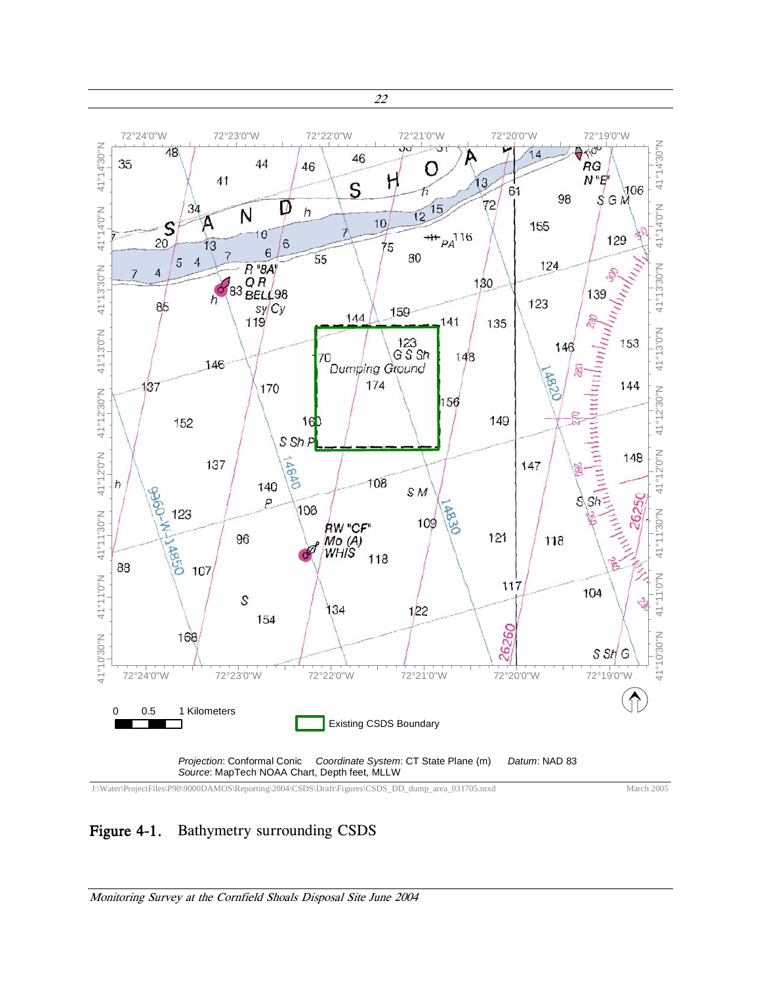<span id="page-29-0"></span>

J:\Water\ProjectFiles\P90\9000DAMOS\Reporting\2004\CSDS\Draft\Figures\CSDS\_DD\_dump\_area\_031705.mxd

March 2005

#### Figure 4-1. Bathymetry surrounding CSDS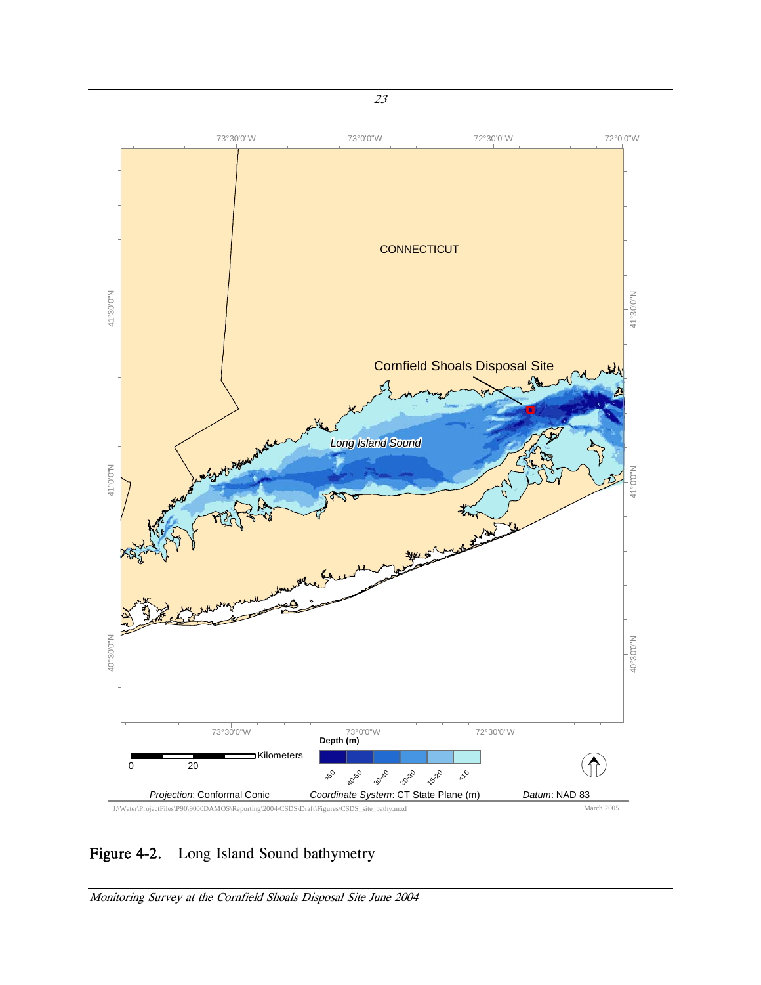<span id="page-30-0"></span>

# Figure 4-2. Long Island Sound bathymetry

Monitoring Survey at the Cornfield Shoals Disposal Site June 2004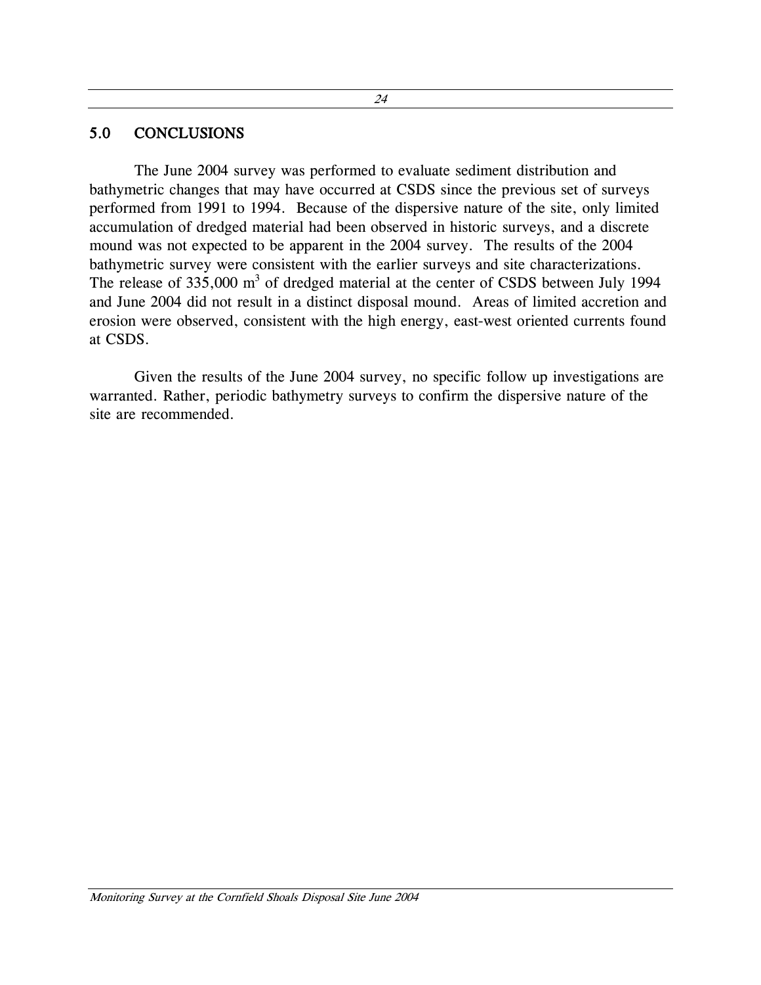#### 24

#### <span id="page-31-0"></span>5.0 CONCLUSIONS

The June 2004 survey was performed to evaluate sediment distribution and bathymetric changes that may have occurred at CSDS since the previous set of surveys performed from 1991 to 1994. Because of the dispersive nature of the site, only limited accumulation of dredged material had been observed in historic surveys, and a discrete mound was not expected to be apparent in the 2004 survey. The results of the 2004 bathymetric survey were consistent with the earlier surveys and site characterizations. The release of 335,000  $m<sup>3</sup>$  of dredged material at the center of CSDS between July 1994 and June 2004 did not result in a distinct disposal mound. Areas of limited accretion and erosion were observed, consistent with the high energy, east-west oriented currents found at CSDS.

Given the results of the June 2004 survey, no specific follow up investigations are warranted. Rather, periodic bathymetry surveys to confirm the dispersive nature of the site are recommended.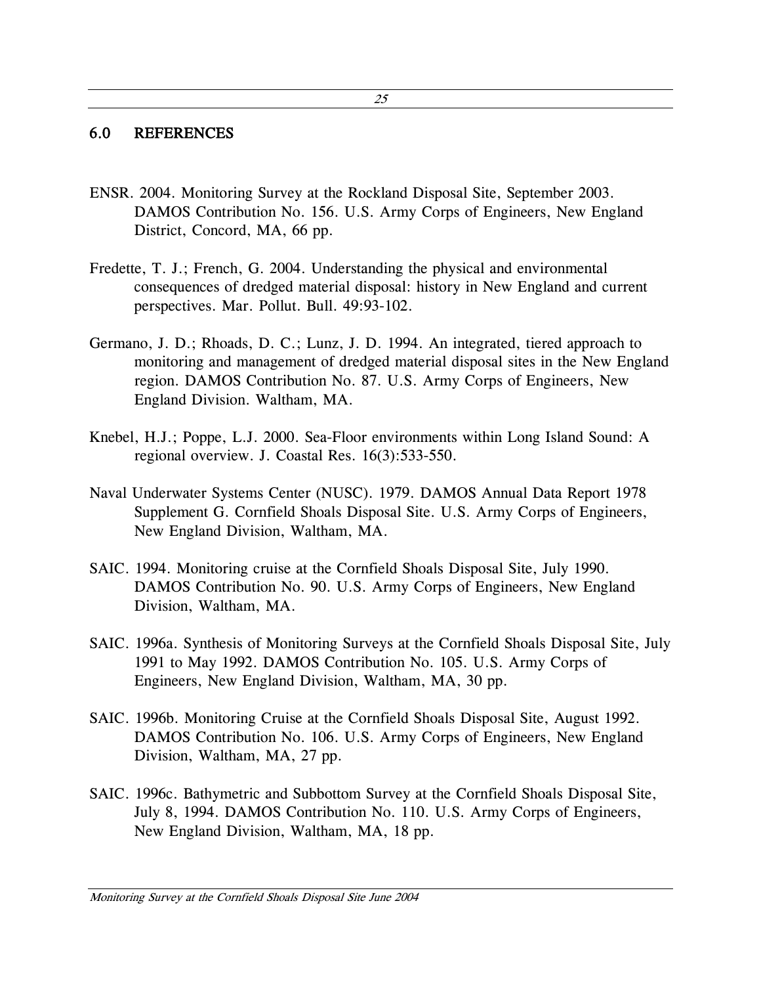#### 25

#### 6.0 REFERENCES

- ENSR. 2004. Monitoring Survey at the Rockland Disposal Site, September 2003. DAMOS Contribution No. 156. U.S. Army Corps of Engineers, New England District, Concord, MA, 66 pp.
- Fredette, T. J.; French, G. 2004. Understanding the physical and environmental consequences of dredged material disposal: history in New England and current perspectives. Mar. Pollut. Bull. 49:93-102.
- Germano, J. D.; Rhoads, D. C.; Lunz, J. D. 1994. An integrated, tiered approach to monitoring and management of dredged material disposal sites in the New England region. DAMOS Contribution No. 87. U.S. Army Corps of Engineers, New England Division. Waltham, MA.
- Knebel, H.J.; Poppe, L.J. 2000. Sea-Floor environments within Long Island Sound: A regional overview. J. Coastal Res. 16(3):533-550.
- Naval Underwater Systems Center (NUSC). 1979. DAMOS Annual Data Report 1978 Supplement G. Cornfield Shoals Disposal Site. U.S. Army Corps of Engineers, New England Division, Waltham, MA.
- SAIC. 1994. Monitoring cruise at the Cornfield Shoals Disposal Site, July 1990. DAMOS Contribution No. 90. U.S. Army Corps of Engineers, New England Division, Waltham, MA.
- SAIC. 1996a. Synthesis of Monitoring Surveys at the Cornfield Shoals Disposal Site, July 1991 to May 1992. DAMOS Contribution No. 105. U.S. Army Corps of Engineers, New England Division, Waltham, MA, 30 pp.
- SAIC. 1996b. Monitoring Cruise at the Cornfield Shoals Disposal Site, August 1992. DAMOS Contribution No. 106. U.S. Army Corps of Engineers, New England Division, Waltham, MA, 27 pp.
- SAIC. 1996c. Bathymetric and Subbottom Survey at the Cornfield Shoals Disposal Site, July 8, 1994. DAMOS Contribution No. 110. U.S. Army Corps of Engineers, New England Division, Waltham, MA, 18 pp.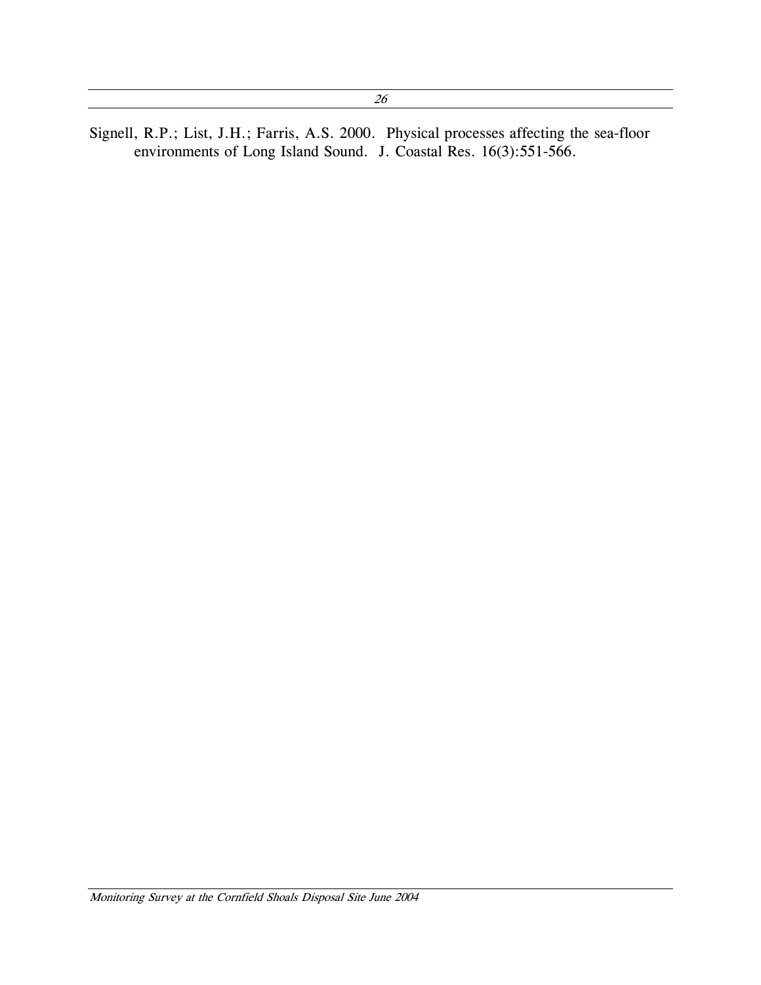<span id="page-33-0"></span>Signell, R.P.; List, J.H.; Farris, A.S. 2000. Physical processes affecting the sea-floor environments of Long Island Sound. J. Coastal Res. 16(3):551-566.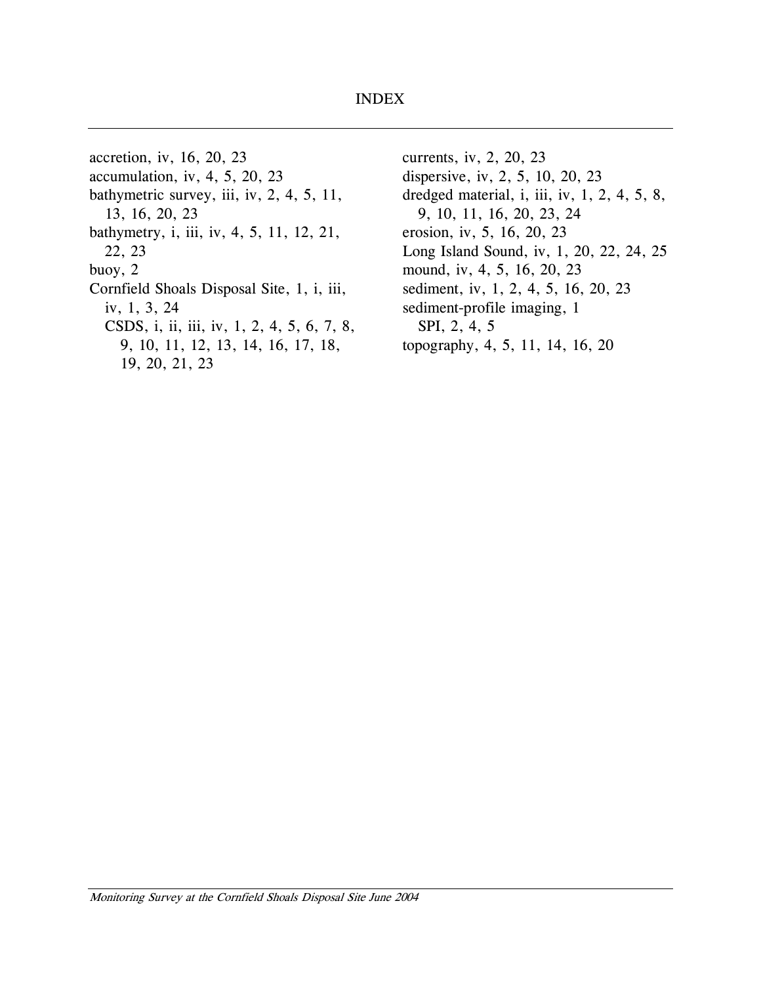#### INDEX

<span id="page-34-0"></span>accretion, iv, 16, 20, 23 currents, iv, 2, 20, 23 accumulation, iv, 4, 5, 20, 23 dispersive, iv, 2, 5, 10, 20, 23 bathymetric survey, iii, iv, 2, 4, 5, 11, 13, 16, 20, 23 bathymetry, i, iii, iv, 4, 5, 11, 12, 21, erosion, iv, 5, 16, 20, 23 buoy, 2 mound, iv, 4, 5, 16, 20, 23 Cornfield Shoals Disposal Site,  $1$ ,  $i$ ,  $ii$ , sediment, iv,  $1$ ,  $2$ ,  $4$ ,  $5$ ,  $16$ ,  $20$ ,  $23$ iv, 1, 3, 24 sediment-profile imaging, 1 CSDS, i, ii, iii, iv, 1, 2, 4, 5, 6, 7, 8, SPI, 2, 4, 5 9, 10, 11, 12, 13, 14, 16, 17, 18, 19, 20, 21, 23

dredged material, i, iii, iv, 1, 2, 4, 5, 8, 9, 10, 11, 16, 20, 23, 24 22, 23 Long Island Sound, iv, 1, 20, 22, 24, 25 topography, 4, 5, 11, 14, 16, 20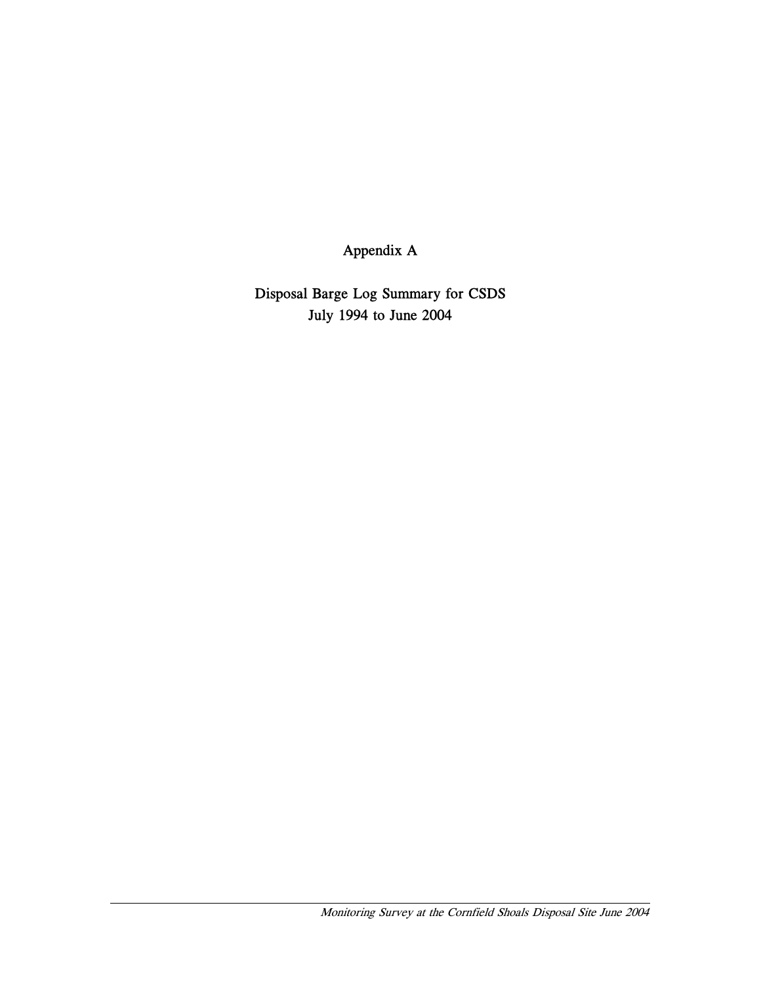Appendix A

Disposal Barge Log Summary for CSDS July 1994 to June 2004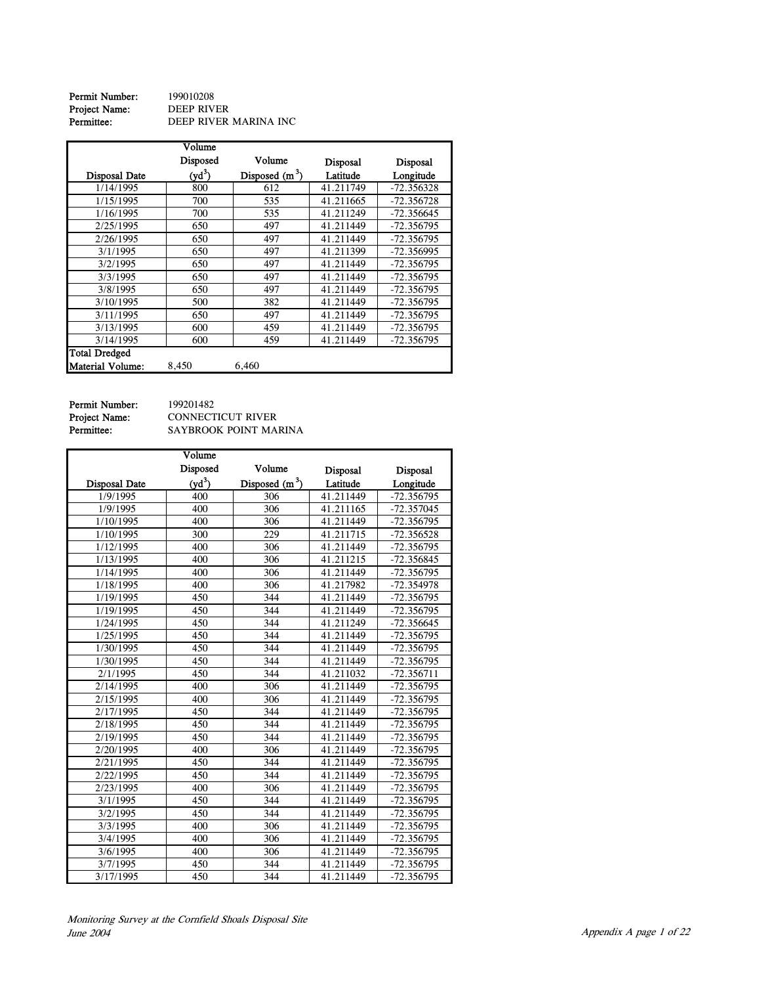**Permit Number:** 199010208<br>**Project Name:** DEEP RIVER Project Name:<br>Permittee: DEEP RIVER MARINA INC

|                  | Volume   |                  |                 |                 |
|------------------|----------|------------------|-----------------|-----------------|
|                  | Disposed | Volume           | <b>Disposal</b> | <b>Disposal</b> |
| Disposal Date    | $(yd^3)$ | Disposed $(m^3)$ | Latitude        | Longitude       |
| 1/14/1995        | 800      | 612              | 41.211749       | $-72.356328$    |
| 1/15/1995        | 700      | 535              | 41.211665       | $-72.356728$    |
| 1/16/1995        | 700      | 535              | 41.211249       | $-72.356645$    |
| 2/25/1995        | 650      | 497              | 41.211449       | -72.356795      |
| 2/26/1995        | 650      | 497              | 41.211449       | $-72.356795$    |
| 3/1/1995         | 650      | 497              | 41.211399       | $-72.356995$    |
| 3/2/1995         | 650      | 497              | 41.211449       | $-72.356795$    |
| 3/3/1995         | 650      | 497              | 41.211449       | $-72.356795$    |
| 3/8/1995         | 650      | 497              | 41.211449       | -72.356795      |
| 3/10/1995        | 500      | 382              | 41.211449       | $-72.356795$    |
| 3/11/1995        | 650      | 497              | 41.211449       | -72.356795      |
| 3/13/1995        | 600      | 459              | 41.211449       | -72.356795      |
| 3/14/1995        | 600      | 459              | 41.211449       | $-72.356795$    |
| Total Dredged    |          |                  |                 |                 |
| Material Volume: | 8,450    | 6,460            |                 |                 |

Permit Number: 199201482<br>Project Name: CONNECT<br>Permittee: SAYBROO

CONNECTICUT RIVER SAYBROOK POINT MARINA

|                      | Volume             |                  |                 |                 |
|----------------------|--------------------|------------------|-----------------|-----------------|
|                      | Disposed           | Volume           | <b>Disposal</b> | <b>Disposal</b> |
| <b>Disposal Date</b> | (vd <sup>3</sup> ) | Disposed $(m^3)$ | Latitude        | Longitude       |
| 1/9/1995             | 400                | 306              | 41.211449       | -72.356795      |
| 1/9/1995             | 400                | 306              | 41.211165       | $-72.357045$    |
| 1/10/1995            | 400                | 306              | 41.211449       | -72.356795      |
| 1/10/1995            | 300                | 229              | 41.211715       | $-72.356528$    |
| 1/12/1995            | 400                | 306              | 41.211449       | -72.356795      |
| 1/13/1995            | 400                | 306              | 41.211215       | -72.356845      |
| 1/14/1995            | 400                | 306              | 41.211449       | $-72.356795$    |
| 1/18/1995            | 400                | 306              | 41.217982       | -72.354978      |
| 1/19/1995            | 450                | 344              | 41.211449       | -72.356795      |
| 1/19/1995            | 450                | 344              | 41.211449       | -72.356795      |
| 1/24/1995            | 450                | 344              | 41.211249       | -72.356645      |
| 1/25/1995            | 450                | 344              | 41.211449       | -72.356795      |
| 1/30/1995            | 450                | 344              | 41.211449       | -72.356795      |
| 1/30/1995            | 450                | 344              | 41.211449       | -72.356795      |
| 2/1/1995             | 450                | 344              | 41.211032       | $-72.356711$    |
| 2/14/1995            | 400                | 306              | 41.211449       | -72.356795      |
| 2/15/1995            | 400                | 306              | 41.211449       | -72.356795      |
| 2/17/1995            | 450                | 344              | 41.211449       | -72.356795      |
| 2/18/1995            | 450                | 344              | 41.211449       | $-72.356795$    |
| 2/19/1995            | 450                | 344              | 41.211449       | -72.356795      |
| 2/20/1995            | 400                | 306              | 41.211449       | -72.356795      |
| 2/21/1995            | 450                | 344              | 41.211449       | -72.356795      |
| 2/22/1995            | 450                | 344              | 41.211449       | -72.356795      |
| 2/23/1995            | 400                | 306              | 41.211449       | -72.356795      |
| 3/1/1995             | 450                | 344              | 41.211449       | -72.356795      |
| 3/2/1995             | 450                | 344              | 41.211449       | -72.356795      |
| 3/3/1995             | 400                | 306              | 41.211449       | -72.356795      |
| 3/4/1995             | 400                | 306              | 41.211449       | -72.356795      |
| 3/6/1995             | 400                | 306              | 41.211449       | -72.356795      |
| 3/7/1995             | 450                | 344              | 41.211449       | -72.356795      |
| 3/17/1995            | 450                | 344              | 41.211449       | $-72.356795$    |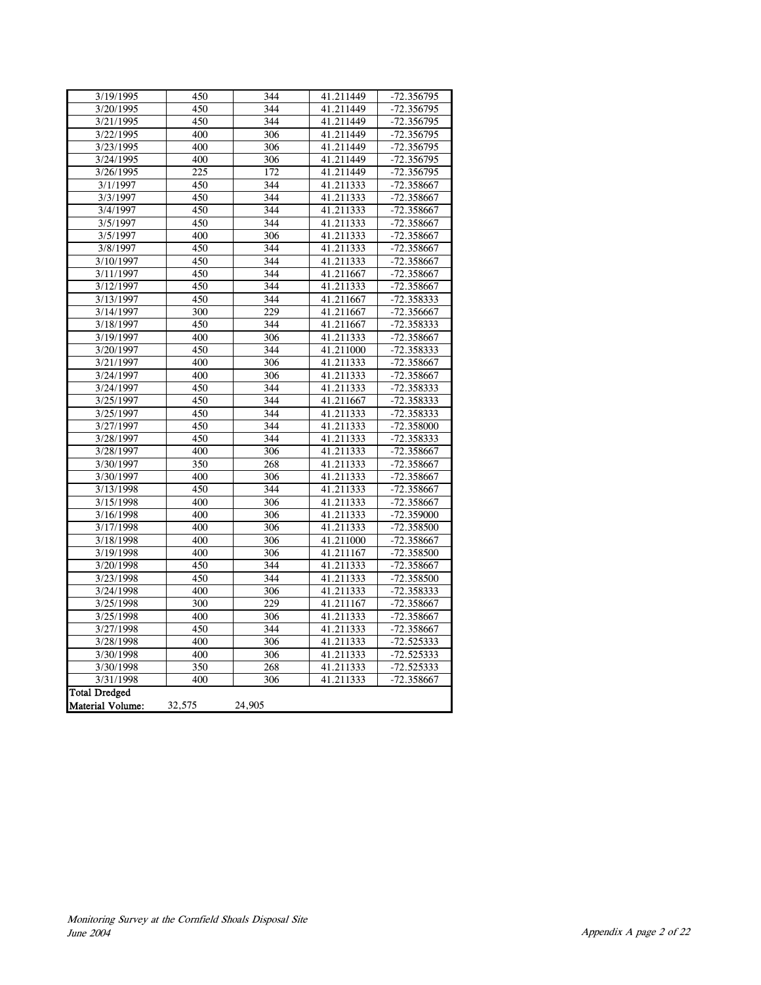| 3/19/1995            | 450              | 344    | 41.211449 | -72.356795   |
|----------------------|------------------|--------|-----------|--------------|
| 3/20/1995            | 450              | 344    | 41.211449 | -72.356795   |
| 3/21/1995            | 450              | 344    | 41.211449 | -72.356795   |
| 3/22/1995            | 400              | 306    | 41.211449 | -72.356795   |
| 3/23/1995            | 400              | 306    | 41.211449 | -72.356795   |
| 3/24/1995            | 400              | 306    | 41.211449 | -72.356795   |
| 3/26/1995            | 225              | 172    | 41.211449 | -72.356795   |
| 3/1/1997             | 450              | 344    | 41.211333 | $-72.358667$ |
| 3/3/1997             | 450              | 344    | 41.211333 | -72.358667   |
| 3/4/1997             | 450              | 344    | 41.211333 | -72.358667   |
| 3/5/1997             | 450              | 344    | 41.211333 | -72.358667   |
| 3/5/1997             | 400              | 306    | 41.211333 | $-72.358667$ |
| 3/8/1997             | 450              | 344    | 41.211333 | -72.358667   |
| 3/10/1997            | 450              | 344    | 41.211333 | -72.358667   |
| 3/11/1997            | 450              | 344    | 41.211667 | -72.358667   |
| 3/12/1997            | 450              | 344    | 41.211333 | -72.358667   |
| 3/13/1997            | 450              | 344    | 41.211667 | -72.358333   |
| 3/14/1997            | 300              | 229    | 41.211667 | -72.356667   |
| 3/18/1997            | 450              | 344    | 41.211667 | -72.358333   |
| 3/19/1997            | 400              | 306    | 41.211333 | -72.358667   |
| 3/20/1997            | 450              | 344    | 41.211000 | $-72.358333$ |
| 3/21/1997            | 400              | 306    | 41.211333 | -72.358667   |
| 3/24/1997            | 400              | 306    | 41.211333 | -72.358667   |
| 3/24/1997            | 450              | 344    | 41.211333 | -72.358333   |
| 3/25/1997            | 450              | 344    | 41.211667 | -72.358333   |
| 3/25/1997            | 450              | 344    | 41.211333 | -72.358333   |
| 3/27/1997            | 450              | 344    | 41.211333 | -72.358000   |
| 3/28/1997            | 450              | 344    | 41.211333 | -72.358333   |
| 3/28/1997            | 400              | 306    | 41.211333 | $-72.358667$ |
| 3/30/1997            | $\overline{350}$ | 268    | 41.211333 | -72.358667   |
| 3/30/1997            | 400              | 306    | 41.211333 | $-72.358667$ |
| 3/13/1998            | 450              | 344    | 41.211333 | -72.358667   |
| 3/15/1998            | 400              | 306    | 41.211333 | $-72.358667$ |
| 3/16/1998            | 400              | 306    | 41.211333 | $-72.359000$ |
| 3/17/1998            | 400              | 306    | 41.211333 | -72.358500   |
| 3/18/1998            | 400              | 306    | 41.211000 | -72.358667   |
| 3/19/1998            | 400              | 306    | 41.211167 | -72.358500   |
| 3/20/1998            | 450              | 344    | 41.211333 | -72.358667   |
| 3/23/1998            | 450              | 344    | 41.211333 | -72.358500   |
| 3/24/1998            | 400              | 306    | 41.211333 | -72.358333   |
| 3/25/1998            | 300              | 229    | 41.211167 | -72.358667   |
| 3/25/1998            | 400              | 306    | 41.211333 | -72.358667   |
| 3/27/1998            | 450              | 344    | 41.211333 | -72.358667   |
| 3/28/1998            | 400              | 306    | 41.211333 | $-72.525333$ |
| 3/30/1998            | 400              | 306    | 41.211333 | $-72.525333$ |
| 3/30/1998            | 350              | 268    | 41.211333 | $-72.525333$ |
| 3/31/1998            | 400              | 306    | 41.211333 | -72.358667   |
| <b>Total Dredged</b> |                  |        |           |              |
| Material Volume:     | 32,575           | 24,905 |           |              |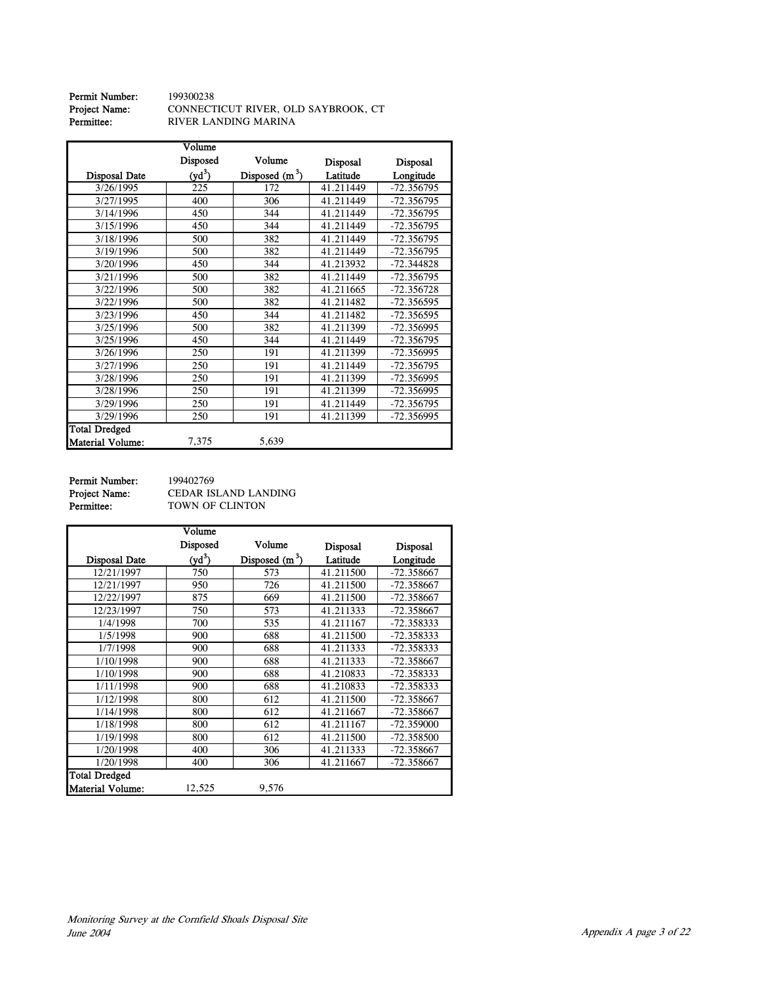| Permit Number:       | 199300238                           |
|----------------------|-------------------------------------|
| <b>Project Name:</b> | CONNECTICUT RIVER, OLD SAYBROOK, CT |
| Permittee:           | RIVER LANDING MARINA                |

|                      | Volume   |                  |           |              |
|----------------------|----------|------------------|-----------|--------------|
|                      | Disposed | Volume           | Disposal  | Disposal     |
| Disposal Date        | $(yd^3)$ | Disposed $(m^3)$ | Latitude  | Longitude    |
| 3/26/1995            | 225      | 172              | 41.211449 | -72.356795   |
| 3/27/1995            | 400      | 306              | 41.211449 | $-72.356795$ |
| 3/14/1996            | 450      | 344              | 41.211449 | -72.356795   |
| 3/15/1996            | 450      | 344              | 41.211449 | $-72.356795$ |
| 3/18/1996            | 500      | 382              | 41.211449 | $-72.356795$ |
| 3/19/1996            | 500      | 382              | 41.211449 | $-72.356795$ |
| 3/20/1996            | 450      | 344              | 41.213932 | $-72.344828$ |
| 3/21/1996            | 500      | 382              | 41.211449 | -72.356795   |
| 3/22/1996            | 500      | 382              | 41.211665 | $-72.356728$ |
| 3/22/1996            | 500      | 382              | 41.211482 | $-72.356595$ |
| 3/23/1996            | 450      | 344              | 41.211482 | -72.356595   |
| 3/25/1996            | 500      | 382              | 41.211399 | -72.356995   |
| 3/25/1996            | 450      | 344              | 41.211449 | $-72.356795$ |
| 3/26/1996            | 250      | 191              | 41.211399 | -72.356995   |
| 3/27/1996            | 250      | 191              | 41.211449 | $-72.356795$ |
| 3/28/1996            | 250      | 191              | 41.211399 | -72.356995   |
| 3/28/1996            | 250      | 191              | 41.211399 | -72.356995   |
| 3/29/1996            | 250      | 191              | 41.211449 | -72.356795   |
| 3/29/1996            | 250      | 191              | 41.211399 | -72.356995   |
| <b>Total Dredged</b> |          |                  |           |              |
| Material Volume:     | 7,375    | 5,639            |           |              |

**Permit Number:** 199402769<br>**Project Name:** CEDAR IS<br>**Permittee:** TOWN OF

Project Name: CEDAR ISLAND LANDING Permittee: TOWN OF CLINTON

|                         | Volume   |                  |                 |                 |
|-------------------------|----------|------------------|-----------------|-----------------|
|                         | Disposed | Volume           | <b>Disposal</b> | <b>Disposal</b> |
| Disposal Date           | $(yd^3)$ | Disposed $(m^3)$ | Latitude        | Longitude       |
| 12/21/1997              | 750      | 573              | 41.211500       | -72.358667      |
| 12/21/1997              | 950      | 726              | 41.211500       | -72.358667      |
| 12/22/1997              | 875      | 669              | 41.211500       | -72.358667      |
| 12/23/1997              | 750      | 573              | 41.211333       | -72.358667      |
| 1/4/1998                | 700      | 535              | 41.211167       | -72.358333      |
| 1/5/1998                | 900      | 688              | 41.211500       | $-72.358333$    |
| 1/7/1998                | 900      | 688              | 41.211333       | -72.358333      |
| 1/10/1998               | 900      | 688              | 41.211333       | -72.358667      |
| 1/10/1998               | 900      | 688              | 41.210833       | -72.358333      |
| 1/11/1998               | 900      | 688              | 41.210833       | -72.358333      |
| 1/12/1998               | 800      | 612              | 41.211500       | -72.358667      |
| 1/14/1998               | 800      | 612              | 41.211667       | -72.358667      |
| 1/18/1998               | 800      | 612              | 41.211167       | -72.359000      |
| 1/19/1998               | 800      | 612              | 41.211500       | -72.358500      |
| 1/20/1998               | 400      | 306              | 41.211333       | -72.358667      |
| 1/20/1998               | 400      | 306              | 41.211667       | -72.358667      |
| <b>Total Dredged</b>    |          |                  |                 |                 |
| <b>Material Volume:</b> | 12,525   | 9,576            |                 |                 |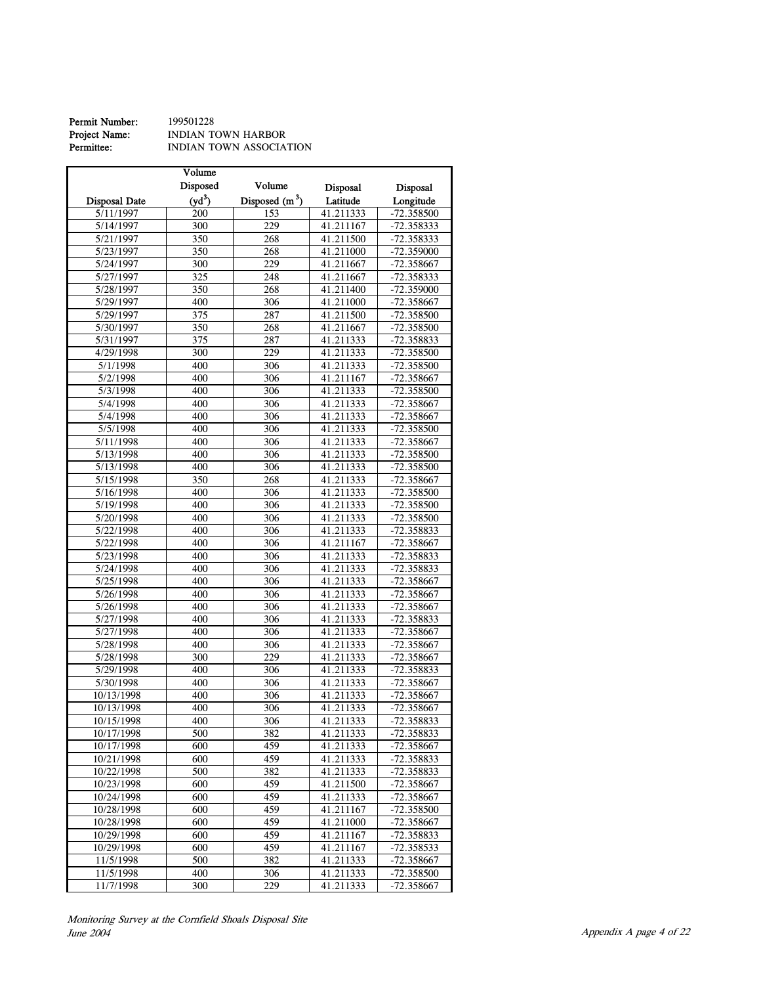| Permit Number: | 199501228               |
|----------------|-------------------------|
| Project Name:  | INDIAN TOWN HARBOR      |
| Permittee:     | INDIAN TOWN ASSOCIATION |

|                          | Volume           |                 |                        |                            |
|--------------------------|------------------|-----------------|------------------------|----------------------------|
|                          | Disposed         | Volume          | <b>Disposal</b>        | Disposal                   |
| <b>Disposal Date</b>     | $(yd^3)$         | Disposed $(m3)$ | Latitude               | Longitude                  |
| 5/11/1997                | 200              | 153             | 41.211333              | $-72.358500$               |
| 5/14/1997                | 300              | 229             | 41.211167              | -72.358333                 |
| 5/21/1997                | 350              | 268             | 41.211500              | -72.358333                 |
| 5/23/1997                | 350              | 268             | 41.211000              | -72.359000                 |
| 5/24/1997                | 300              | 229             | 41.211667              | -72.358667                 |
| 5/27/1997                | 325              | 248             | 41.211667              | $-72.358333$               |
| 5/28/1997                | 350              | 268             | 41.211400              | -72.359000                 |
| 5/29/1997                | 400              | 306             | 41.211000              | -72.358667                 |
| 5/29/1997                | $\overline{375}$ | 287             | 41.211500              | -72.358500                 |
| 5/30/1997                | 350              | 268             | 41.211667              | -72.358500                 |
| 5/31/1997                | 375              | 287             | 41.211333              | -72.358833                 |
| 4/29/1998                | 300              | 229             | 41.211333              | -72.358500                 |
| 5/1/1998                 | 400              | 306             | 41.211333              | $-72.358500$               |
| 5/2/1998                 | 400              | 306             | 41.211167              | -72.358667                 |
| 5/3/1998                 | 400              | 306             | 41.211333              | -72.358500                 |
| 5/4/1998                 | 400              | 306             | 41.211333              | -72.358667                 |
| 5/4/1998                 | 400              | 306             | 41.211333              | -72.358667                 |
| 5/5/1998                 | 400              | 306             | 41.211333              | -72.358500                 |
| 5/11/1998                | 400              | 306             | 41.211333              | -72.358667                 |
| 5/13/1998                | 400              | 306             | 41.211333              | -72.358500                 |
| 5/13/1998                | 400              | 306             | 41.211333              | -72.358500                 |
| 5/15/1998                | 350              | 268             | 41.211333              | -72.358667                 |
| 5/16/1998                | 400              | 306             | 41.211333              | $-72.358500$               |
| 5/19/1998                | 400              |                 |                        |                            |
|                          | 400              | 306<br>306      | 41.211333<br>41.211333 | -72.358500                 |
| 5/20/1998                | 400              | 306             |                        | -72.358500<br>$-72.358833$ |
| 5/22/1998                | 400              | 306             | 41.211333<br>41.211167 |                            |
| 5/22/1998                |                  |                 |                        | -72.358667                 |
| 5/23/1998                | 400<br>400       | 306<br>306      | 41.211333<br>41.211333 | -72.358833<br>-72.358833   |
| 5/24/1998<br>5/25/1998   | 400              | 306             | 41.211333              | -72.358667                 |
|                          |                  |                 |                        |                            |
| 5/26/1998                | 400<br>400       | 306<br>306      | 41.211333<br>41.211333 | -72.358667                 |
| 5/26/1998                |                  |                 |                        | -72.358667<br>-72.358833   |
| 5/27/1998                | 400              | 306             | 41.211333              |                            |
| 5/27/1998                | 400              | 306             | 41.211333              | -72.358667                 |
| 5/28/1998                | 400<br>300       | 306             | 41.211333              | -72.358667                 |
| 5/28/1998                | 400              | 229             | 41.211333<br>41.211333 | -72.358667                 |
| 5/29/1998                |                  | 306             |                        | -72.358833                 |
| 5/30/1998                | 400              | 306             | 41.211333              | -72.358667                 |
| 10/13/1998<br>10/13/1998 | 400<br>400       | 306<br>306      | 41.211333<br>41.211333 | -72.358667<br>-72.358667   |
| 10/15/1998               | 400              | 306             |                        |                            |
| 10/17/1998               | 500              | 382             | 41.211333              | -72.358833<br>-72.358833   |
|                          |                  |                 | 41.211333              |                            |
| 10/17/1998               | 600              | 459             | 41.211333              | -72.358667                 |
| 10/21/1998               | 600              | 459             | 41.211333<br>41.211333 | -72.358833                 |
| 10/22/1998<br>10/23/1998 | 500<br>600       | 382<br>459      | 41.211500              | -72.358833<br>$-72.358667$ |
| 10/24/1998               | 600              | 459             | 41.211333              | -72.358667                 |
|                          |                  |                 |                        |                            |
| 10/28/1998<br>10/28/1998 | 600<br>600       | 459<br>459      | 41.211167<br>41.211000 | -72.358500<br>-72.358667   |
| 10/29/1998               | 600              | 459             | 41.211167              | -72.358833                 |
|                          |                  | 459             |                        |                            |
| 10/29/1998<br>11/5/1998  | 600<br>500       | 382             | 41.211167<br>41.211333 | -72.358533<br>-72.358667   |
| 11/5/1998                | 400              | 306             | 41.211333              | -72.358500                 |
| 11/7/1998                | 300              | 229             | 41.211333              | $-72.358667$               |
|                          |                  |                 |                        |                            |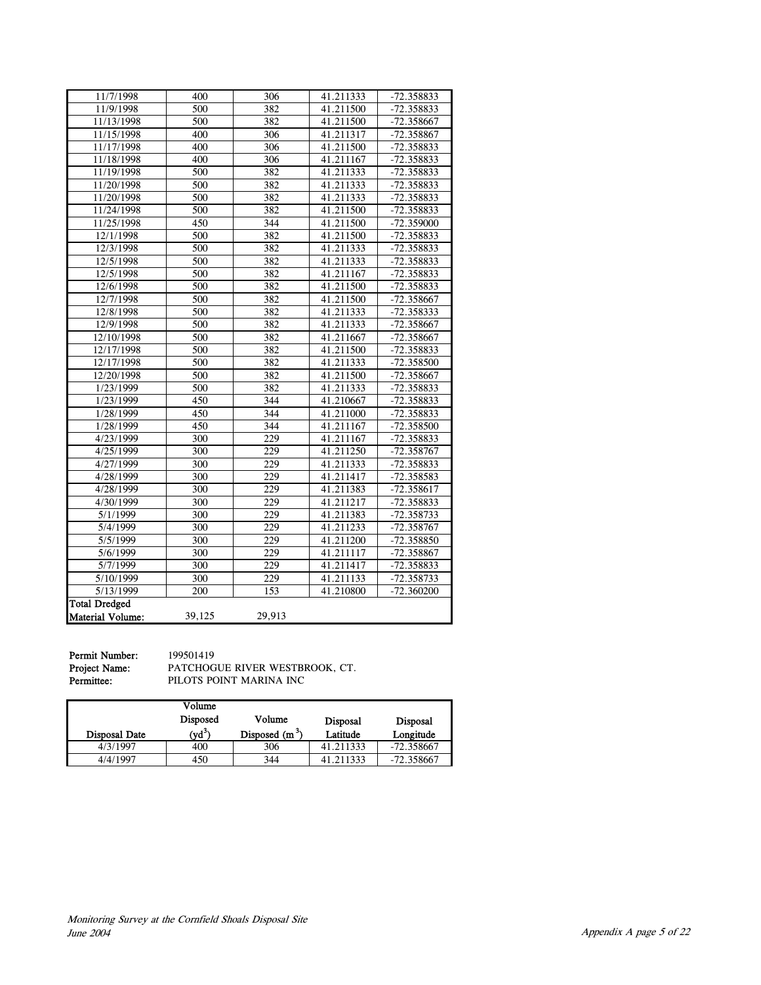| 11/7/1998               | 400              | 306    | 41.211333 | -72.358833   |
|-------------------------|------------------|--------|-----------|--------------|
| 11/9/1998               | 500              | 382    | 41.211500 | -72.358833   |
| 11/13/1998              | 500              | 382    | 41.211500 | -72.358667   |
| 11/15/1998              | 400              | 306    | 41.211317 | -72.358867   |
| 11/17/1998              | 400              | 306    | 41.211500 | $-72.358833$ |
| 11/18/1998              | 400              | 306    | 41.211167 | $-72.358833$ |
| 11/19/1998              | 500              | 382    | 41.211333 | -72.358833   |
| 11/20/1998              | 500              | 382    | 41.211333 | -72.358833   |
| 11/20/1998              | 500              | 382    | 41.211333 | -72.358833   |
| 11/24/1998              | 500              | 382    | 41.211500 | -72.358833   |
| 11/25/1998              | 450              | 344    | 41.211500 | -72.359000   |
| 12/1/1998               | 500              | 382    | 41.211500 | -72.358833   |
| 12/3/1998               | 500              | 382    | 41.211333 | -72.358833   |
| 12/5/1998               | 500              | 382    | 41.211333 | $-72.358833$ |
| 12/5/1998               | 500              | 382    | 41.211167 | -72.358833   |
| 12/6/1998               | 500              | 382    | 41.211500 | -72.358833   |
| 12/7/1998               | 500              | 382    | 41.211500 | -72.358667   |
| 12/8/1998               | 500              | 382    | 41.211333 | $-72.358333$ |
| 12/9/1998               | 500              | 382    | 41.211333 | -72.358667   |
| 12/10/1998              | 500              | 382    | 41.211667 | -72.358667   |
| 12/17/1998              | 500              | 382    | 41.211500 | -72.358833   |
| 12/17/1998              | 500              | 382    | 41.211333 | $-72.358500$ |
| 12/20/1998              | 500              | 382    | 41.211500 | -72.358667   |
| 1/23/1999               | 500              | 382    | 41.211333 | -72.358833   |
| 1/23/1999               | $\overline{450}$ | 344    | 41.210667 | -72.358833   |
| 1/28/1999               | 450              | 344    | 41.211000 | -72.358833   |
| 1/28/1999               | 450              | 344    | 41.211167 | -72.358500   |
| 4/23/1999               | 300              | 229    | 41.211167 | -72.358833   |
| 4/25/1999               | 300              | 229    | 41.211250 | -72.358767   |
| 4/27/1999               | 300              | 229    | 41.211333 | -72.358833   |
| 4/28/1999               | 300              | 229    | 41.211417 | $-72.358583$ |
| 4/28/1999               | 300              | 229    | 41.211383 | $-72.358617$ |
| 4/30/1999               | 300              | 229    | 41.211217 | -72.358833   |
| 5/1/1999                | 300              | 229    | 41.211383 | -72.358733   |
| 5/4/1999                | 300              | 229    | 41.211233 | -72.358767   |
| 5/5/1999                | 300              | 229    | 41.211200 | -72.358850   |
| 5/6/1999                | 300              | 229    | 41.211117 | -72.358867   |
| 5/7/1999                | 300              | 229    | 41.211417 | -72.358833   |
| 5/10/1999               | 300              | 229    | 41.211133 | -72.358733   |
| 5/13/1999               | 200              | 153    | 41.210800 | $-72.360200$ |
| <b>Total Dredged</b>    |                  |        |           |              |
| <b>Material Volume:</b> | 39,125           | 29,913 |           |              |

**Permit Number:** 199501419<br> **Project Name:** PATCHOG<br> **Permittee:** PILOTS PC

Project Name: PATCHOGUE RIVER WESTBROOK, CT. Permittee: PILOTS POINT MARINA INC

|                      | Volume<br>Disposed | Volume           | <b>Disposal</b> | <b>Disposal</b> |
|----------------------|--------------------|------------------|-----------------|-----------------|
| <b>Disposal Date</b> | $(\text{yd}^3)$    | Disposed $(m^3)$ | Latitude        | Longitude       |
| 4/3/1997             | 400                | 306              | 41.211333       | $-72.358667$    |
| 4/4/1997             | 450                | 344              | 41.211333       | $-72.358667$    |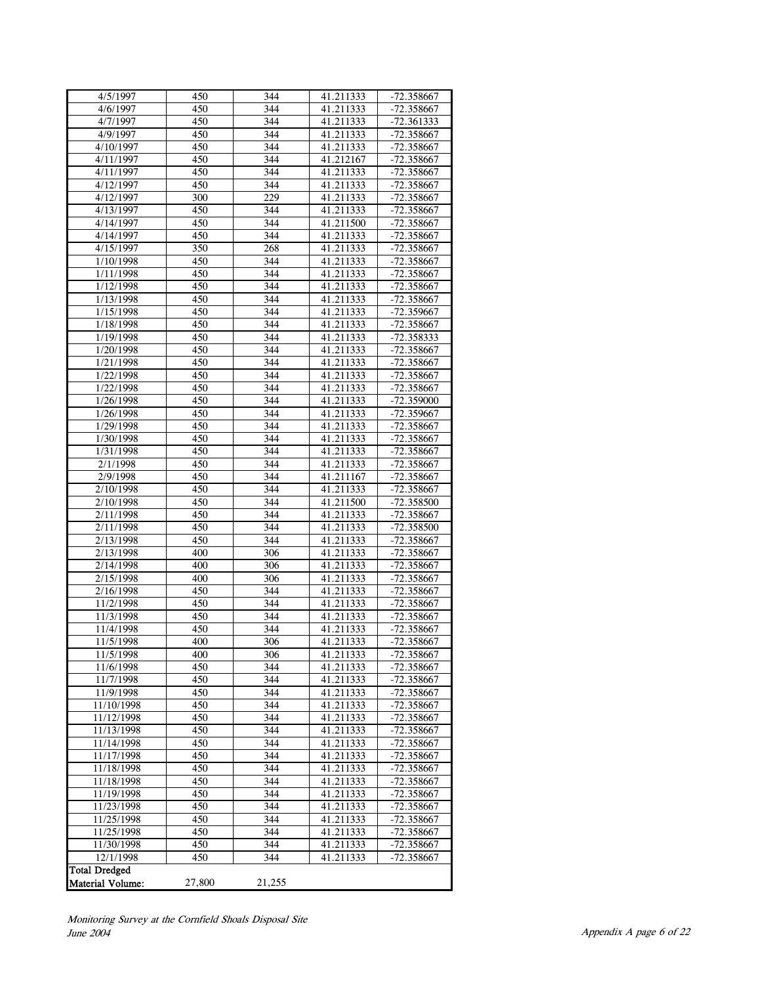| 4/5/1997                 | 450        | 344        | 41.211333              | $-72.358667$             |
|--------------------------|------------|------------|------------------------|--------------------------|
| 4/6/1997                 | 450        | 344        | 41.211333              | -72.358667               |
| 4/7/1997                 | 450        | 344        | 41.211333              | $-72.361333$             |
| 4/9/1997                 | 450        | 344        | 41.211333              | -72.358667               |
| 4/10/1997                | 450        | 344        | 41.211333              | -72.358667               |
| 4/11/1997                | 450        | 344        | 41.212167              | $-72.358667$             |
| 4/11/1997                | 450        | 344        | 41.211333              | -72.358667               |
| 4/12/1997                | 450        | 344        | 41.211333              | -72.358667               |
| 4/12/1997                | 300        | 229        | 41.211333              | -72.358667               |
| 4/13/1997                | 450        | 344        | 41.211333              | $-72.358667$             |
| 4/14/1997                | 450        | 344        | 41.211500              | -72.358667               |
| 4/14/1997                | 450        | 344        | 41.211333              | -72.358667               |
| 4/15/1997                | 350        | 268        | 41.211333              | $-72.358667$             |
| 1/10/1998                | 450        | 344        | 41.211333              | -72.358667               |
| 1/11/1998                | 450        | 344        | 41.211333              | -72.358667               |
| 1/12/1998                | 450        | 344        | 41.211333              | $-72.358667$             |
| 1/13/1998                | 450        | 344        | 41.211333              | -72.358667               |
| 1/15/1998                | 450        | 344        | 41.211333              | -72.359667               |
| 1/18/1998                | 450        | 344        | 41.211333              | -72.358667               |
| 1/19/1998                | 450        | 344        | 41.211333              | -72.358333               |
| 1/20/1998                | 450        | 344        | 41.211333              | -72.358667               |
| 1/21/1998                | 450        | 344        | 41.211333              | -72.358667               |
| 1/22/1998                | 450        | 344        | 41.211333              | $-72.358667$             |
| 1/22/1998                | 450        | 344        | 41.211333              | -72.358667               |
| 1/26/1998                | 450        | 344        | 41.211333              | $-72.359000$             |
| 1/26/1998                | 450        | 344        | 41.211333              | $-72.359667$             |
| 1/29/1998                | 450        | 344        | 41.211333              | -72.358667               |
| 1/30/1998                | 450        | 344        | 41.211333              | -72.358667               |
| 1/31/1998                | 450        | 344        | 41.211333              | -72.358667               |
| 2/1/1998                 | 450        | 344        | 41.211333              | -72.358667               |
| 2/9/1998                 | 450        | 344        | 41.211167              | -72.358667               |
| 2/10/1998                | 450        | 344        | 41.211333              | -72.358667               |
| 2/10/1998                | 450        | 344        | 41.211500              | $-72.358500$             |
| 2/11/1998                | 450        | 344        | 41.211333              | -72.358667               |
| 2/11/1998                | 450        | 344        | 41.211333              | -72.358500               |
| 2/13/1998                | 450        | 344        | 41.211333              | $-72.358667$             |
| 2/13/1998                | 400        | 306        | 41.211333              | -72.358667               |
| 2/14/1998                | 400        | 306        | 41.211333              | -72.358667               |
| 2/15/1998                | 400        | 306        | 41.211333              | -72.358667               |
| 2/16/1998                | 450        | 344        | 41.211333              | $-72.358667$             |
| 11/2/1998                | 450        | 344        | 41.211333              | -72.358667               |
| 11/3/1998                | 450        | 344        | 41.211333              | $-72.358667$             |
| 11/4/1998                | 450        | 344        | 41.211333              | $-72.358667$             |
| 11/5/1998                | 400        | 306        | 41.211333              | -72.358667               |
| 11/5/1998                | 400        | 306        | 41.211333              | -72.358667               |
| 11/6/1998                | 450        | 344        | 41.211333              | -72.358667               |
| 11/7/1998                | 450        | 344        | 41.211333              | -72.358667               |
| 11/9/1998                | 450        | 344        | 41.211333              | -72.358667               |
| 11/10/1998               | 450        | 344        | 41.211333              | -72.358667               |
| 11/12/1998               | 450        | 344        | 41.211333              | $-72.358667$             |
| 11/13/1998<br>11/14/1998 | 450<br>450 | 344<br>344 | 41.211333<br>41.211333 | -72.358667<br>-72.358667 |
| 11/17/1998               | 450        | 344        | 41.211333              | $-72.358667$             |
| 11/18/1998               | 450        | 344        | 41.211333              | -72.358667               |
| 11/18/1998               | 450        | 344        | 41.211333              | $-72.358667$             |
| 11/19/1998               | 450        | 344        | 41.211333              | -72.358667               |
| 11/23/1998               | 450        | 344        | 41.211333              | -72.358667               |
| 11/25/1998               | 450        | 344        | 41.211333              | -72.358667               |
| 11/25/1998               | 450        | 344        | 41.211333              | -72.358667               |
| 11/30/1998               | 450        | 344        | 41.211333              | -72.358667               |
| 12/1/1998                | 450        | 344        | 41.211333              | -72.358667               |
| <b>Total Dredged</b>     |            |            |                        |                          |
| <b>Material Volume:</b>  | 27,800     | 21,255     |                        |                          |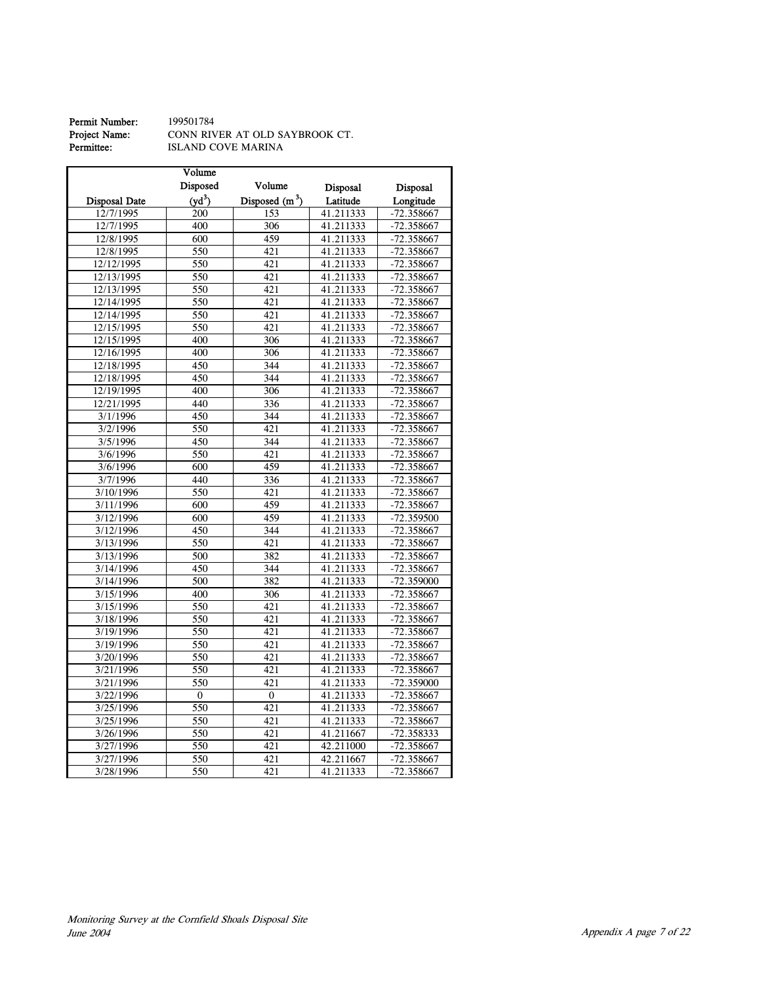# **Permit Number:** 199501784<br>**Project Name:** CONN RIV<br>**Permittee:** ISLAND C

Project Name: CONN RIVER AT OLD SAYBROOK CT. Permittee: ISLAND COVE MARINA

|                      | Volume             |                  |           |              |
|----------------------|--------------------|------------------|-----------|--------------|
|                      | Disposed           | Volume           | Disposal  | Disposal     |
| <b>Disposal Date</b> | (vd <sup>3</sup> ) | Disposed $(m^3)$ | Latitude  | Longitude    |
| 12/7/1995            | 200                | 153              | 41.211333 | -72.358667   |
| 12/7/1995            | 400                | 306              | 41.211333 | -72.358667   |
| 12/8/1995            | 600                | 459              | 41.211333 | $-72.358667$ |
| 12/8/1995            | 550                | 421              | 41.211333 | $-72.358667$ |
| 12/12/1995           | 550                | 421              | 41.211333 | $-72.358667$ |
| 12/13/1995           | 550                | 421              | 41.211333 | $-72.358667$ |
| 12/13/1995           | 550                | 421              | 41.211333 | -72.358667   |
| 12/14/1995           | 550                | 421              | 41.211333 | $-72.358667$ |
| 12/14/1995           | 550                | 421              | 41.211333 | $-72.358667$ |
| 12/15/1995           | 550                | 421              | 41.211333 | $-72.358667$ |
| 12/15/1995           | 400                | 306              | 41.211333 | -72.358667   |
| 12/16/1995           | 400                | 306              | 41.211333 | -72.358667   |
| 12/18/1995           | 450                | 344              | 41.211333 | $-72.358667$ |
| 12/18/1995           | 450                | 344              | 41.211333 | -72.358667   |
| 12/19/1995           | 400                | 306              | 41.211333 | -72.358667   |
| 12/21/1995           | 440                | 336              | 41.211333 | $-72.358667$ |
| 3/1/1996             | 450                | 344              | 41.211333 | $-72.358667$ |
| 3/2/1996             | 550                | 421              | 41.211333 | -72.358667   |
| 3/5/1996             | 450                | 344              | 41.211333 | -72.358667   |
| 3/6/1996             | 550                | 421              | 41.211333 | $-72.358667$ |
| 3/6/1996             | 600                | 459              | 41.211333 | $-72.358667$ |
| 3/7/1996             | 440                | 336              | 41.211333 | $-72.358667$ |
| 3/10/1996            | 550                | 421              | 41.211333 | $-72.358667$ |
| 3/11/1996            | 600                | 459              | 41.211333 | $-72.358667$ |
| 3/12/1996            | 600                | 459              | 41.211333 | $-72.359500$ |
| 3/12/1996            | 450                | 344              | 41.211333 | $-72.358667$ |
| 3/13/1996            | 550                | 421              | 41.211333 | $-72.358667$ |
| 3/13/1996            | 500                | 382              | 41.211333 | $-72.358667$ |
| 3/14/1996            | 450                | 344              | 41.211333 | $-72.358667$ |
| 3/14/1996            | 500                | 382              | 41.211333 | -72.359000   |
| 3/15/1996            | 400                | 306              | 41.211333 | $-72.358667$ |
| 3/15/1996            | 550                | 421              | 41.211333 | $-72.358667$ |
| 3/18/1996            | $\overline{550}$   | 421              | 41.211333 | $-72.358667$ |
| 3/19/1996            | 550                | 421              | 41.211333 | -72.358667   |
| 3/19/1996            | 550                | 421              | 41.211333 | -72.358667   |
| 3/20/1996            | 550                | 421              | 41.211333 | $-72.358667$ |
| 3/21/1996            | 550                | 421              | 41.211333 | $-72.358667$ |
| 3/21/1996            | 550                | 421              | 41.211333 | $-72.359000$ |
| 3/22/1996            | $\boldsymbol{0}$   | $\boldsymbol{0}$ | 41.211333 | $-72.358667$ |
| 3/25/1996            | 550                | 421              | 41.211333 | -72.358667   |
| 3/25/1996            | 550                | $\overline{421}$ | 41.211333 | -72.358667   |
| 3/26/1996            | 550                | 421              | 41.211667 | $-72.358333$ |
| 3/27/1996            | 550                | 421              | 42.211000 | $-72.358667$ |
| 3/27/1996            | $\overline{550}$   | 421              | 42.211667 | $-72.358667$ |
| 3/28/1996            | 550                | 421              | 41.211333 | $-72.358667$ |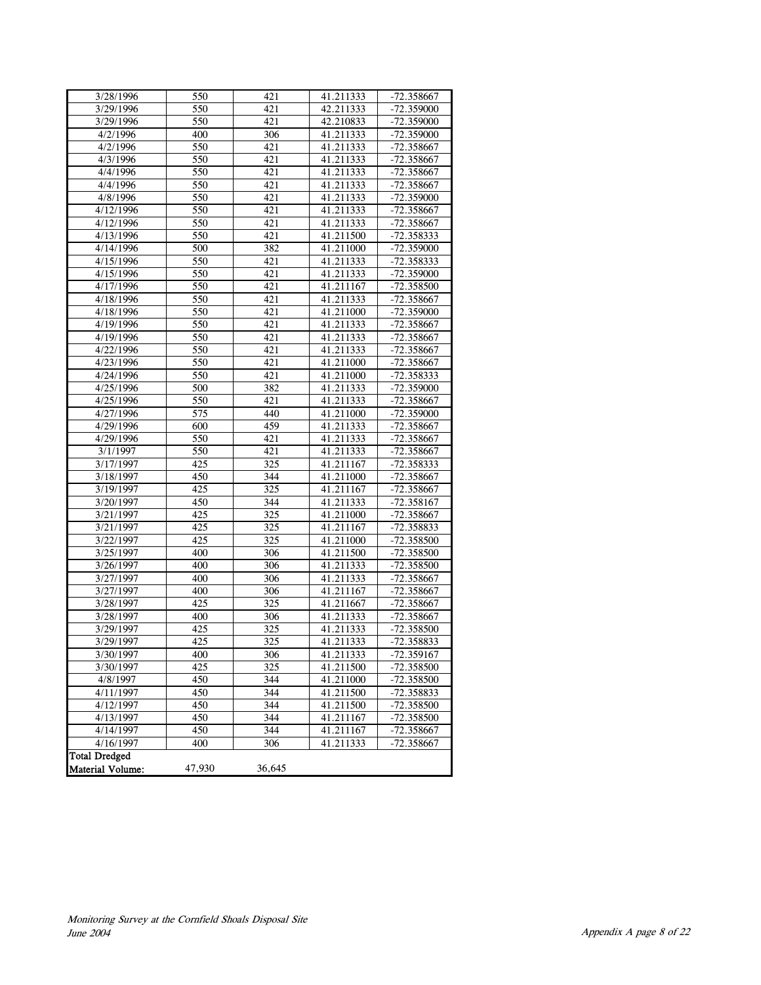| 3/28/1996               | 550    | 421    | 41.211333 | -72.358667   |
|-------------------------|--------|--------|-----------|--------------|
| 3/29/1996               | 550    | 421    | 42.211333 | -72.359000   |
| 3/29/1996               | 550    | 421    | 42.210833 | -72.359000   |
| 4/2/1996                | 400    | 306    | 41.211333 | $-72.359000$ |
| 4/2/1996                | 550    | 421    | 41.211333 | -72.358667   |
| 4/3/1996                | 550    | 421    | 41.211333 | -72.358667   |
| 4/4/1996                | 550    | 421    | 41.211333 | -72.358667   |
| 4/4/1996                | 550    | 421    | 41.211333 | -72.358667   |
| 4/8/1996                | 550    | 421    | 41.211333 | -72.359000   |
| 4/12/1996               | 550    | 421    | 41.211333 | -72.358667   |
| 4/12/1996               | 550    | 421    | 41.211333 | -72.358667   |
| 4/13/1996               | 550    | 421    | 41.211500 | -72.358333   |
| 4/14/1996               | 500    | 382    | 41.211000 | -72.359000   |
| 4/15/1996               | 550    | 421    | 41.211333 | $-72.358333$ |
| 4/15/1996               | 550    | 421    | 41.211333 | -72.359000   |
| 4/17/1996               | 550    | 421    | 41.211167 | -72.358500   |
| 4/18/1996               | 550    | 421    | 41.211333 | -72.358667   |
| 4/18/1996               | 550    | 421    | 41.211000 | -72.359000   |
| 4/19/1996               | 550    | 421    | 41.211333 | -72.358667   |
| 4/19/1996               | 550    | 421    | 41.211333 | -72.358667   |
| 4/22/1996               | 550    | 421    | 41.211333 | -72.358667   |
| 4/23/1996               | 550    | 421    | 41.211000 | -72.358667   |
| 4/24/1996               | 550    | 421    | 41.211000 | -72.358333   |
| 4/25/1996               | 500    | 382    | 41.211333 | $-72.359000$ |
| 4/25/1996               | 550    | 421    | 41.211333 | -72.358667   |
| 4/27/1996               | 575    | 440    | 41.211000 | -72.359000   |
| 4/29/1996               | 600    | 459    | 41.211333 | -72.358667   |
| 4/29/1996               | 550    | 421    | 41.211333 | -72.358667   |
| 3/1/1997                | 550    | 421    | 41.211333 | -72.358667   |
| 3/17/1997               | 425    | 325    | 41.211167 | -72.358333   |
| 3/18/1997               | 450    | 344    | 41.211000 | -72.358667   |
| 3/19/1997               | 425    | 325    | 41.211167 | -72.358667   |
| 3/20/1997               | 450    | 344    | 41.211333 | -72.358167   |
| 3/21/1997               | 425    | 325    | 41.211000 | $-72.358667$ |
| 3/21/1997               | 425    | 325    | 41.211167 | -72.358833   |
| 3/22/1997               | 425    | 325    | 41.211000 | -72.358500   |
| 3/25/1997               | 400    | 306    | 41.211500 | -72.358500   |
| 3/26/1997               | 400    | 306    | 41.211333 | -72.358500   |
| 3/27/1997               | 400    | 306    | 41.211333 | -72.358667   |
| 3/27/1997               | 400    | 306    | 41.211167 | -72.358667   |
| 3/28/1997               | 425    | 325    | 41.211667 | -72.358667   |
| 3/28/1997               | 400    | 306    | 41.211333 | -72.358667   |
| 3/29/1997               | 425    | 325    | 41.211333 | -72.358500   |
| 3/29/1997               | 425    | 325    | 41.211333 | -72.358833   |
| 3/30/1997               | 400    | 306    | 41.211333 | -72.359167   |
| 3/30/1997               | 425    | 325    | 41.211500 | -72.358500   |
| 4/8/1997                | 450    | 344    | 41.211000 | -72.358500   |
| 4/11/1997               | 450    | 344    | 41.211500 | -72.358833   |
| 4/12/1997               | 450    | 344    | 41.211500 | -72.358500   |
| 4/13/1997               | 450    | 344    | 41.211167 | $-72.358500$ |
| 4/14/1997               | 450    | 344    | 41.211167 | -72.358667   |
| 4/16/1997               | 400    | 306    | 41.211333 | -72.358667   |
| <b>Total Dredged</b>    |        |        |           |              |
| <b>Material Volume:</b> | 47,930 | 36,645 |           |              |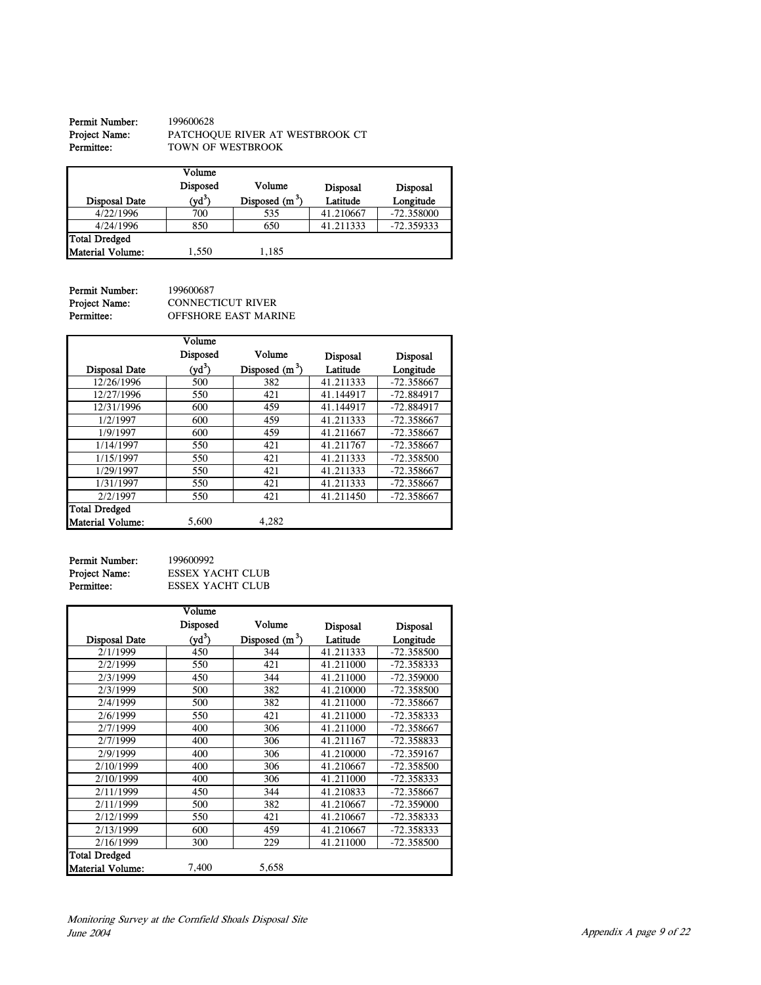| <b>Permit Number:</b> | 199600628                       |
|-----------------------|---------------------------------|
| Project Name:         | PATCHOOUE RIVER AT WESTBROOK CT |
| Permittee:            | TOWN OF WESTBROOK               |

| <b>Disposal Date</b> | Volume<br>Disposed<br>$(\mathrm{yd}^3)$ | Volume<br>Disposed $(m^3)$ | <b>Disposal</b><br>Latitude | <b>Disposal</b><br>Longitude |
|----------------------|-----------------------------------------|----------------------------|-----------------------------|------------------------------|
| 4/22/1996            | 700                                     | 535                        | 41.210667                   | $-72.358000$                 |
| 4/24/1996            | 850                                     | 650                        | 41.211333                   | $-72.359333$                 |
| <b>Total Dredged</b> |                                         |                            |                             |                              |
| Material Volume:     | 1.550                                   | 1.185                      |                             |                              |

Permit Number: 199600687<br>Project Name: CONNECT<br>Permittee: 0FFSHORI

Project Name: CONNECTICUT RIVER **Permittee:** OFFSHORE EAST MARINE

|                         | Volume   |                  |                 |                 |
|-------------------------|----------|------------------|-----------------|-----------------|
|                         | Disposed | Volume           | <b>Disposal</b> | <b>Disposal</b> |
| <b>Disposal Date</b>    | $(yd^3)$ | Disposed $(m^3)$ | Latitude        | Longitude       |
| 12/26/1996              | 500      | 382              | 41.211333       | $-72.358667$    |
| 12/27/1996              | 550      | 421              | 41.144917       | -72.884917      |
| 12/31/1996              | 600      | 459              | 41.144917       | -72.884917      |
| 1/2/1997                | 600      | 459              | 41.211333       | $-72.358667$    |
| 1/9/1997                | 600      | 459              | 41.211667       | $-72.358667$    |
| 1/14/1997               | 550      | 421              | 41.211767       | $-72.358667$    |
| 1/15/1997               | 550      | 421              | 41.211333       | $-72.358500$    |
| 1/29/1997               | 550      | 421              | 41.211333       | -72.358667      |
| 1/31/1997               | 550      | 421              | 41.211333       | $-72.358667$    |
| 2/2/1997                | 550      | 421              | 41.211450       | $-72.358667$    |
| <b>Total Dredged</b>    |          |                  |                 |                 |
| <b>Material Volume:</b> | 5,600    | 4,282            |                 |                 |

| <b>Permit Number:</b> |
|-----------------------|
| Project Name:         |
| Permittee:            |

199600992 ESSEX YACHT CLUB ESSEX YACHT CLUB

|                         | Volume   |                  |                 |              |
|-------------------------|----------|------------------|-----------------|--------------|
|                         | Disposed | Volume           | <b>Disposal</b> | Disposal     |
| <b>Disposal Date</b>    | $(yd^3)$ | Disposed $(m^3)$ | Latitude        | Longitude    |
| 2/1/1999                | 450      | 344              | 41.211333       | -72.358500   |
| 2/2/1999                | 550      | 421              | 41.211000       | -72.358333   |
| 2/3/1999                | 450      | 344              | 41.211000       | -72.359000   |
| 2/3/1999                | 500      | 382              | 41.210000       | -72.358500   |
| 2/4/1999                | 500      | 382              | 41.211000       | -72.358667   |
| 2/6/1999                | 550      | 421              | 41.211000       | -72.358333   |
| 2/7/1999                | 400      | 306              | 41.211000       | -72.358667   |
| 2/7/1999                | 400      | 306              | 41.211167       | -72.358833   |
| 2/9/1999                | 400      | 306              | 41.210000       | $-72.359167$ |
| 2/10/1999               | 400      | 306              | 41.210667       | $-72.358500$ |
| 2/10/1999               | 400      | 306              | 41.211000       | -72.358333   |
| 2/11/1999               | 450      | 344              | 41.210833       | -72.358667   |
| 2/11/1999               | 500      | 382              | 41.210667       | $-72.359000$ |
| 2/12/1999               | 550      | 421              | 41.210667       | -72.358333   |
| 2/13/1999               | 600      | 459              | 41.210667       | -72.358333   |
| 2/16/1999               | 300      | 229              | 41.211000       | -72.358500   |
| <b>Total Dredged</b>    |          |                  |                 |              |
| <b>Material Volume:</b> | 7,400    | 5,658            |                 |              |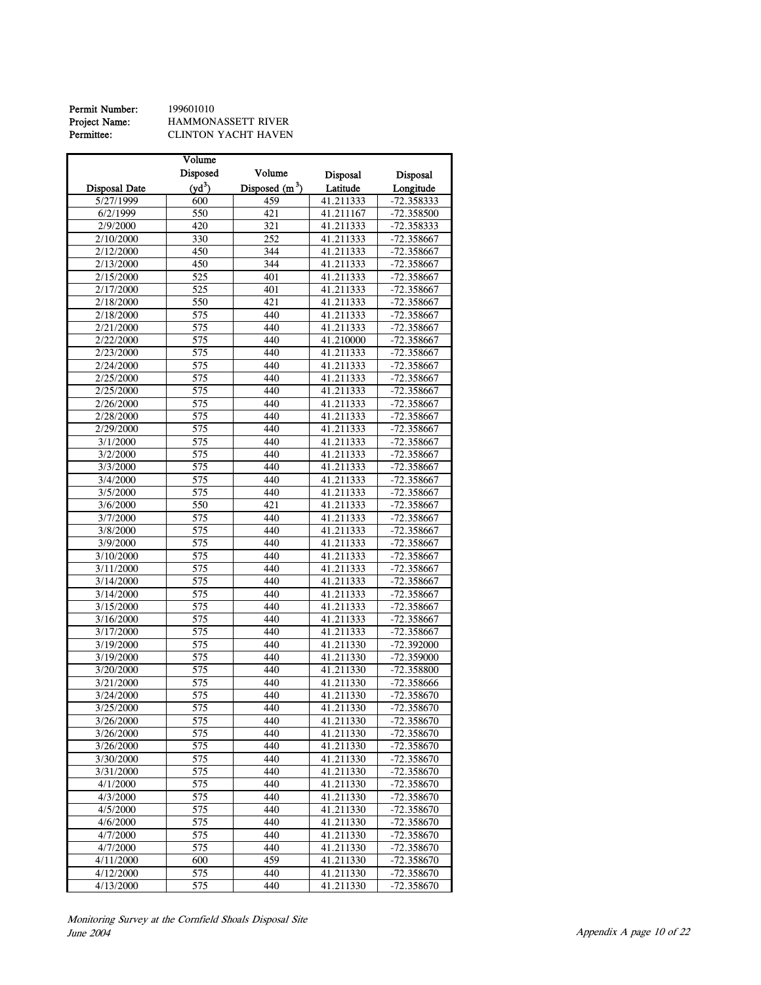| Permit Number: | 199601010                 |
|----------------|---------------------------|
| Project Name:  | <b>HAMMONASSETT RIVER</b> |
| Permittee:     | CLINTON YACHT HAVEN       |

|                       | Volume             |                  |           |                 |
|-----------------------|--------------------|------------------|-----------|-----------------|
|                       | Disposed           | Volume           | Disposal  | <b>Disposal</b> |
| <b>Disposal Date</b>  | (vd <sup>3</sup> ) | Disposed $(m^3)$ | Latitude  | Longitude       |
| 5/27/1999             | 600                | 459              | 41.211333 | $-72.358333$    |
| $\frac{1}{6}$ /2/1999 | 550                | 421              | 41.211167 | -72.358500      |
| 2/9/2000              | 420                | 321              | 41.211333 | -72.358333      |
|                       |                    |                  |           |                 |
| 2/10/2000             | 330                | 252              | 41.211333 | -72.358667      |
| 2/12/2000             | 450                | 344              | 41.211333 | -72.358667      |
| 2/13/2000             | 450                | 344              | 41.211333 | -72.358667      |
| 2/15/2000             | 525                | 401              | 41.211333 | -72.358667      |
| 2/17/2000             | 525                | 401              | 41.211333 | -72.358667      |
| 2/18/2000             | 550                | 421              | 41.211333 | -72.358667      |
| 2/18/2000             | 575                | 440              | 41.211333 | -72.358667      |
| 2/21/2000             | $\overline{575}$   | 440              | 41.211333 | -72.358667      |
| 2/22/2000             | 575                | 440              | 41.210000 | -72.358667      |
| 2/23/2000             | 575                | 440              | 41.211333 | -72.358667      |
| 2/24/2000             | $\overline{575}$   | 440              | 41.211333 | -72.358667      |
| 2/25/2000             | 575                | 440              | 41.211333 | $-72.358667$    |
| 2/25/2000             | 575                | 440              | 41.211333 | -72.358667      |
| 2/26/2000             | 575                | 440              | 41.211333 | -72.358667      |
| 2/28/2000             | 575                | 440              | 41.211333 | -72.358667      |
| 2/29/2000             | 575                | 440              | 41.211333 | $-72.358667$    |
| 3/1/2000              | 575                | 440              | 41.211333 | -72.358667      |
|                       | 575                | 440              |           | $-72.358667$    |
| 3/2/2000              | 575                |                  | 41.211333 |                 |
| 3/3/2000              |                    | 440              | 41.211333 | -72.358667      |
| 3/4/2000              | 575                | 440              | 41.211333 | -72.358667      |
| 3/5/2000              | 575                | 440              | 41.211333 | -72.358667      |
| 3/6/2000              | 550                | 421              | 41.211333 | -72.358667      |
| 3/7/2000              | 575                | 440              | 41.211333 | -72.358667      |
| 3/8/2000              | 575                | 440              | 41.211333 | -72.358667      |
| 3/9/2000              | 575                | 440              | 41.211333 | -72.358667      |
| 3/10/2000             | 575                | 440              | 41.211333 | -72.358667      |
| 3/11/2000             | 575                | 440              | 41.211333 | -72.358667      |
| 3/14/2000             | $\overline{575}$   | 440              | 41.211333 | -72.358667      |
| 3/14/2000             | 575                | 440              | 41.211333 | -72.358667      |
| 3/15/2000             | 575                | 440              | 41.211333 | -72.358667      |
| 3/16/2000             | $\overline{575}$   | 440              | 41.211333 | -72.358667      |
| 3/17/2000             | 575                | 440              | 41.211333 | -72.358667      |
| 3/19/2000             | 575                | 440              | 41.211330 | -72.392000      |
| 3/19/2000             | 575                | 440              | 41.211330 | -72.359000      |
| 3/20/2000             | $\frac{1}{575}$    | 440              | 41.211330 | -72.358800      |
| 3/21/2000             | 575                | 440              | 41.211330 | -72.358666      |
| 3/24/2000             | 575                | 440              | 41.211330 | $-72.358670$    |
| 3/25/2000             | 575                | 440              | 41.211330 | $-72.358670$    |
| 3/26/2000             | 575                | 440              | 41.211330 | -72.358670      |
| 3/26/2000             | 575                | 440              | 41.211330 | $-72.358670$    |
| 3/26/2000             | 575                | 440              | 41.211330 | -72.358670      |
| 3/30/2000             | 575                | 440              | 41.211330 | -72.358670      |
|                       | 575                | 440              |           | $-72.358670$    |
| 3/31/2000             |                    |                  | 41.211330 |                 |
| 4/1/2000              | 575                | 440              | 41.211330 | -72.358670      |
| 4/3/2000              | 575                | 440              | 41.211330 | $-72.358670$    |
| 4/5/2000              | 575                | 440              | 41.211330 | $-72.358670$    |
| 4/6/2000              | 575                | 440              | 41.211330 | -72.358670      |
| 4/7/2000              | 575                | 440              | 41.211330 | -72.358670      |
| 4/7/2000              | 575                | 440              | 41.211330 | -72.358670      |
| 4/11/2000             | 600                | 459              | 41.211330 | $-72.358670$    |
| 4/12/2000             | 575                | 440              | 41.211330 | -72.358670      |
| 4/13/2000             | 575                | 440              | 41.211330 | $-72.358670$    |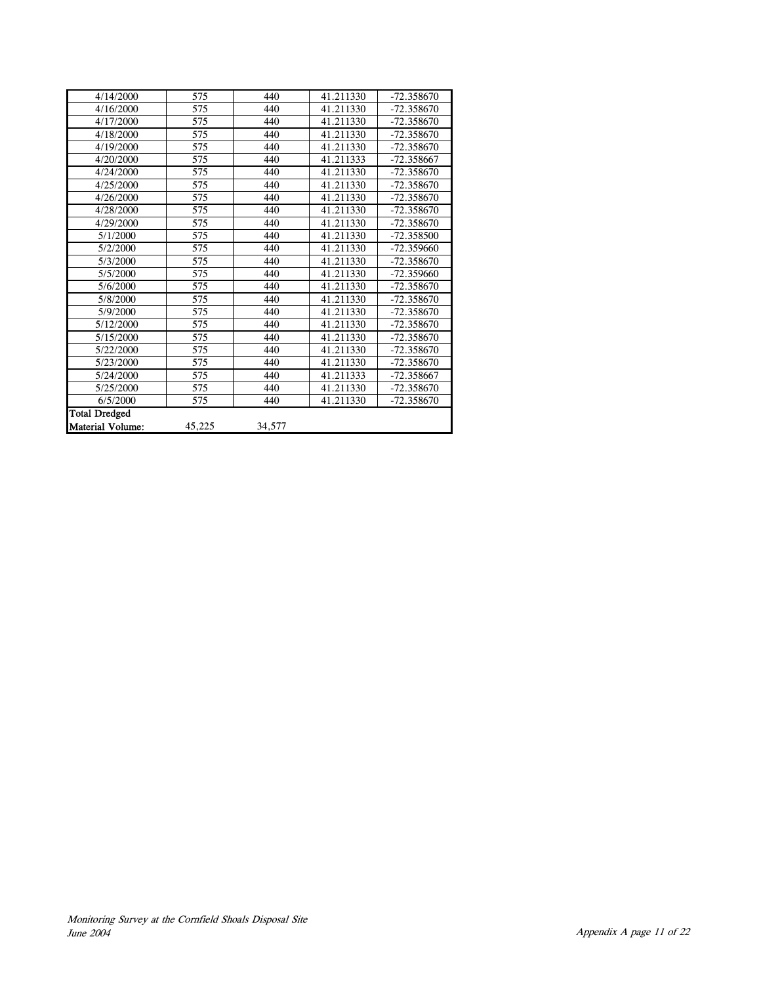| 4/14/2000               | 575    | 440    | 41.211330 | $-72.358670$ |
|-------------------------|--------|--------|-----------|--------------|
| 4/16/2000               | 575    | 440    | 41.211330 | $-72.358670$ |
| 4/17/2000               | 575    | 440    | 41.211330 | -72.358670   |
| 4/18/2000               | 575    | 440    | 41.211330 | -72.358670   |
| 4/19/2000               | 575    | 440    | 41.211330 | -72.358670   |
| 4/20/2000               | 575    | 440    | 41.211333 | -72.358667   |
| 4/24/2000               | 575    | 440    | 41.211330 | $-72.358670$ |
| 4/25/2000               | 575    | 440    | 41.211330 | -72.358670   |
| 4/26/2000               | 575    | 440    | 41.211330 | $-72.358670$ |
| 4/28/2000               | 575    | 440    | 41.211330 | $-72.358670$ |
| 4/29/2000               | 575    | 440    | 41.211330 | -72.358670   |
| 5/1/2000                | 575    | 440    | 41.211330 | -72.358500   |
| 5/2/2000                | 575    | 440    | 41.211330 | $-72.359660$ |
| 5/3/2000                | 575    | 440    | 41.211330 | $-72.358670$ |
| 5/5/2000                | 575    | 440    | 41.211330 | $-72.359660$ |
| 5/6/2000                | 575    | 440    | 41.211330 | -72.358670   |
| 5/8/2000                | 575    | 440    | 41.211330 | -72.358670   |
| 5/9/2000                | 575    | 440    | 41.211330 | -72.358670   |
| 5/12/2000               | 575    | 440    | 41.211330 | -72.358670   |
| 5/15/2000               | 575    | 440    | 41.211330 | $-72.358670$ |
| 5/22/2000               | 575    | 440    | 41.211330 | -72.358670   |
| 5/23/2000               | 575    | 440    | 41.211330 | -72.358670   |
| 5/24/2000               | 575    | 440    | 41.211333 | -72.358667   |
| 5/25/2000               | 575    | 440    | 41.211330 | -72.358670   |
| 6/5/2000                | 575    | 440    | 41.211330 | -72.358670   |
| <b>Total Dredged</b>    |        |        |           |              |
| <b>Material Volume:</b> | 45,225 | 34,577 |           |              |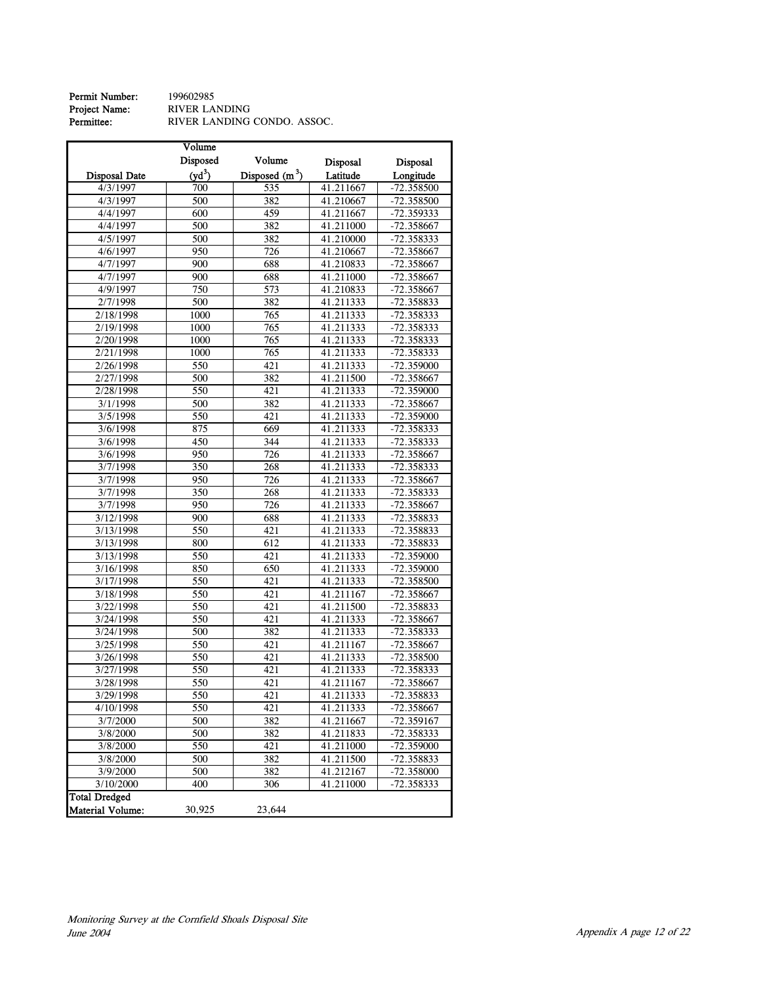| Permit Number: | 199602985                   |
|----------------|-----------------------------|
| Project Name:  | RIVER LANDING               |
| Permittee:     | RIVER LANDING CONDO. ASSOC. |

|                                          | Volume          |                  |                 |              |
|------------------------------------------|-----------------|------------------|-----------------|--------------|
|                                          | <b>Disposed</b> | Volume           | <b>Disposal</b> | Disposal     |
| <b>Disposal Date</b>                     | $(yd^3)$        | Disposed $(m^3)$ | Latitude        | Longitude    |
| 4/3/1997                                 | 700             | 535              | 41.211667       | -72.358500   |
| 4/3/1997                                 | 500             | 382              | 41.210667       | -72.358500   |
| 4/4/1997                                 | 600             | 459              | 41.211667       | -72.359333   |
| 4/4/1997                                 | 500             | 382              | 41.211000       | -72.358667   |
| 4/5/1997                                 | 500             | 382              | 41.210000       | -72.358333   |
| 4/6/1997                                 | 950             | 726              | 41.210667       | -72.358667   |
| 4/7/1997                                 | 900             | 688              | 41.210833       | -72.358667   |
| 4/7/1997                                 | 900             | 688              | 41.211000       | -72.358667   |
| 4/9/1997                                 | 750             | 573              | 41.210833       | -72.358667   |
| 2/7/1998                                 | 500             | 382              | 41.211333       | -72.358833   |
| 2/18/1998                                | 1000            | 765              | 41.211333       | -72.358333   |
| 2/19/1998                                | 1000            | 765              | 41.211333       | -72.358333   |
| 2/20/1998                                | 1000            | 765              | 41.211333       | -72.358333   |
| 2/21/1998                                | 1000            | 765              | 41.211333       | -72.358333   |
| 2/26/1998                                | 550             | 421              | 41.211333       | -72.359000   |
| 2/27/1998                                | 500             | 382              | 41.211500       | -72.358667   |
| 2/28/1998                                | 550             | 421              | 41.211333       | -72.359000   |
| 3/1/1998                                 | 500             | 382              | 41.211333       | -72.358667   |
| 3/5/1998                                 | 550             | 421              | 41.211333       | -72.359000   |
| $3/\overline{6/1998}$                    | 875             | 669              | 41.211333       | -72.358333   |
| 3/6/1998                                 | 450             | 344              | 41.211333       | -72.358333   |
| 3/6/1998                                 | 950             | 726              | 41.211333       | -72.358667   |
| 3/7/1998                                 | 350             | 268              | 41.211333       | -72.358333   |
| 3/7/1998                                 | 950             | 726              | 41.211333       | -72.358667   |
| 3/7/1998                                 | 350             | 268              | 41.211333       | -72.358333   |
| 3/7/1998                                 | 950             | 726              | 41.211333       | -72.358667   |
| 3/12/1998                                | 900             | 688              | 41.211333       | -72.358833   |
| 3/13/1998                                | 550             | 421              | 41.211333       | -72.358833   |
| 3/13/1998                                | 800             | 612              | 41.211333       | -72.358833   |
| 3/13/1998                                | 550             | 421              | 41.211333       | $-72.359000$ |
| 3/16/1998                                | 850             | 650              | 41.211333       | -72.359000   |
| 3/17/1998                                | 550             | 421              | 41.211333       | -72.358500   |
| 3/18/1998                                | 550             | 421              | 41.211167       | -72.358667   |
| 3/22/1998                                | 550             | 421              | 41.211500       | -72.358833   |
| 3/24/1998                                | 550             | $\overline{421}$ | 41.211333       | -72.358667   |
| 3/24/1998                                | 500             | 382              | 41.211333       | -72.358333   |
| 3/25/1998                                | 550             | 421              | 41.211167       | -72.358667   |
| 3/26/1998                                | 550             | 421              | 41.211333       | -72.358500   |
| 3/27/1998                                | 550             | 421              | 41.211333       | -72.358333   |
| 3/28/1998                                | 550             | $\overline{421}$ | 41.211167       | -72.358667   |
| 3/29/1998                                | 550             | 421              | 41.211333       | $-72.358833$ |
| 4/10/1998                                | 550             | 421              | 41.211333       | -72.358667   |
| 3/7/2000                                 | 500             | 382              | 41.211667       | -72.359167   |
| 3/8/2000                                 | 500             | 382              | 41.211833       | -72.358333   |
| 3/8/2000                                 | 550             | 421              | 41.211000       | -72.359000   |
| 3/8/2000                                 | 500             | 382              | 41.211500       | -72.358833   |
| 3/9/2000                                 | 500             | 382              | 41.212167       | -72.358000   |
| 3/10/2000                                | 400             | 306              | 41.211000       | -72.358333   |
| <b>Total Dredged</b><br>Material Volume: | 30,925          | 23,644           |                 |              |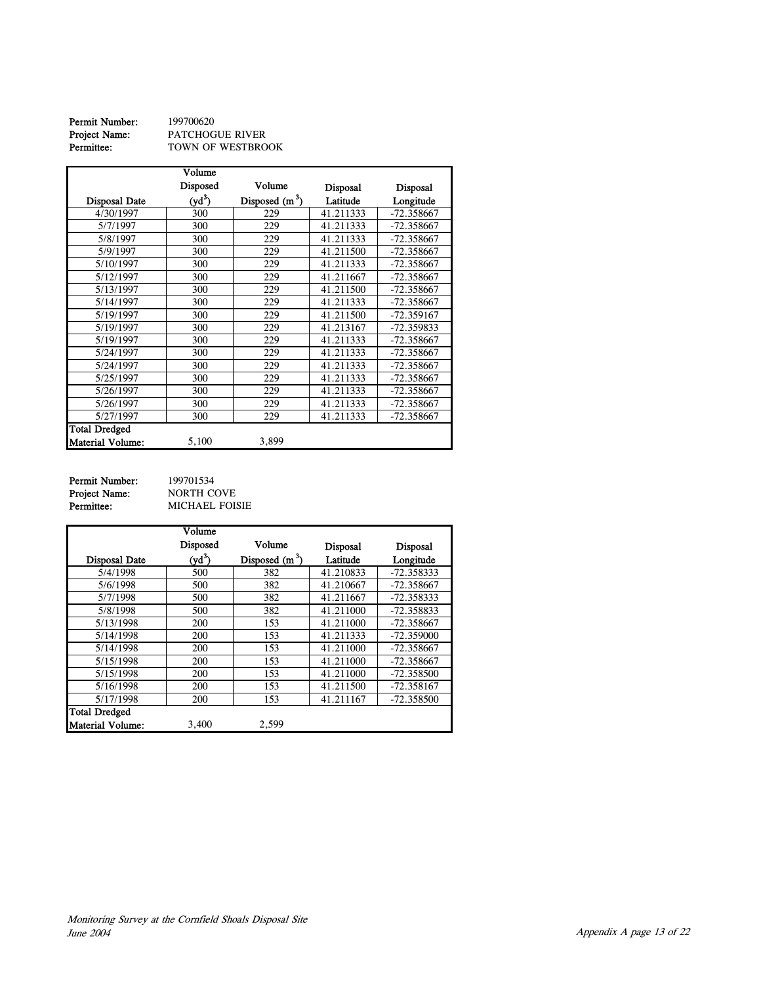| Permit Number: | 199700620         |
|----------------|-------------------|
| Project Name:  | PATCHOGUE RIVER   |
| Permittee:     | TOWN OF WESTBROOK |

|                         | Volume   |                  |                 |                 |
|-------------------------|----------|------------------|-----------------|-----------------|
|                         | Disposed | Volume           | <b>Disposal</b> | <b>Disposal</b> |
| <b>Disposal Date</b>    | $(yd^3)$ | Disposed $(m^3)$ | Latitude        | Longitude       |
| 4/30/1997               | 300      | 229              | 41.211333       | $-72.358667$    |
| 5/7/1997                | 300      | 229              | 41.211333       | $-72.358667$    |
| 5/8/1997                | 300      | 229              | 41.211333       | $-72.358667$    |
| 5/9/1997                | 300      | 229              | 41.211500       | -72.358667      |
| 5/10/1997               | 300      | 229              | 41.211333       | -72.358667      |
| 5/12/1997               | 300      | 229              | 41.211667       | -72.358667      |
| 5/13/1997               | 300      | 229              | 41.211500       | -72.358667      |
| 5/14/1997               | 300      | 229              | 41.211333       | -72.358667      |
| 5/19/1997               | 300      | 229              | 41.211500       | -72.359167      |
| 5/19/1997               | 300      | 229              | 41.213167       | -72.359833      |
| 5/19/1997               | 300      | 229              | 41.211333       | $-72.358667$    |
| 5/24/1997               | 300      | 229              | 41.211333       | -72.358667      |
| 5/24/1997               | 300      | 229              | 41.211333       | -72.358667      |
| 5/25/1997               | 300      | 229              | 41.211333       | -72.358667      |
| 5/26/1997               | 300      | 229              | 41.211333       | -72.358667      |
| 5/26/1997               | 300      | 229              | 41.211333       | -72.358667      |
| 5/27/1997               | 300      | 229              | 41.211333       | $-72.358667$    |
| <b>Total Dredged</b>    |          |                  |                 |                 |
| <b>Material Volume:</b> | 5,100    | 3,899            |                 |                 |

**Permit Number:** 199701534 Project Name: NORTH COVE

NORTH COVE<br>MICHAEL FOISIE

|                         | Volume   |                  |                 |                 |
|-------------------------|----------|------------------|-----------------|-----------------|
|                         | Disposed | Volume           | <b>Disposal</b> | <b>Disposal</b> |
| Disposal Date           | $(yd^3)$ | Disposed $(m^3)$ | Latitude        | Longitude       |
| 5/4/1998                | 500      | 382              | 41.210833       | $-72.358333$    |
| 5/6/1998                | 500      | 382              | 41.210667       | $-72.358667$    |
| 5/7/1998                | 500      | 382              | 41.211667       | $-72.358333$    |
| 5/8/1998                | 500      | 382              | 41.211000       | $-72.358833$    |
| 5/13/1998               | 200      | 153              | 41.211000       | -72.358667      |
| 5/14/1998               | 200      | 153              | 41.211333       | $-72.359000$    |
| 5/14/1998               | 200      | 153              | 41.211000       | $-72.358667$    |
| 5/15/1998               | 200      | 153              | 41.211000       | $-72.358667$    |
| 5/15/1998               | 200      | 153              | 41.211000       | $-72.358500$    |
| 5/16/1998               | 200      | 153              | 41.211500       | $-72.358167$    |
| 5/17/1998               | 200      | 153              | 41.211167       | $-72.358500$    |
| Total Dredged           |          |                  |                 |                 |
| <b>Material Volume:</b> | 3.400    | 2.599            |                 |                 |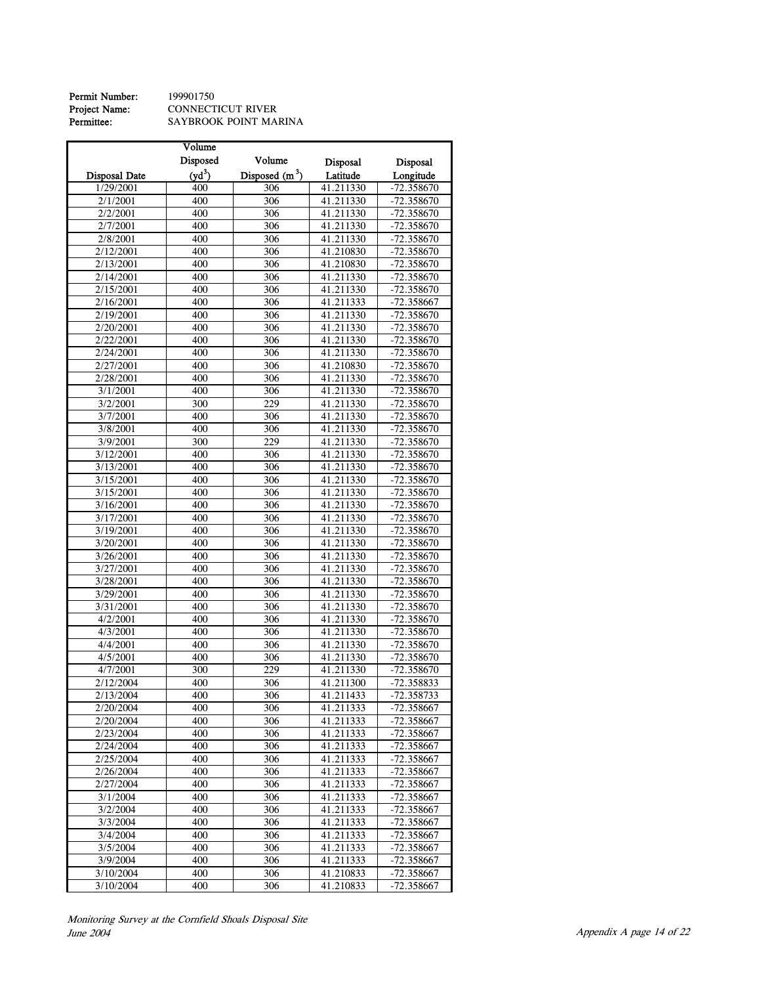Permit Number: 199901750<br>Project Name: CONNECT<br>Permittee: SAYBROO Project Name: CONNECTICUT RIVER Permittee: SAYBROOK POINT MARINA

|                        | Volume   |                  |                 |              |
|------------------------|----------|------------------|-----------------|--------------|
|                        | Disposed | Volume           | <b>Disposal</b> | Disposal     |
| <b>Disposal Date</b>   | $(yd^3)$ | Disposed $(m^3)$ | Latitude        | Longitude    |
| 1/29/2001              | 400      | 306              | 41.211330       | $-72.358670$ |
| 2/1/2001               | 400      | 306              | 41.211330       | $-72.358670$ |
| 2/2/2001               | 400      | 306              | 41.211330       | -72.358670   |
| 2/7/2001               | 400      | 306              | 41.211330       | -72.358670   |
| 2/8/2001               | 400      | 306              | 41.211330       | -72.358670   |
|                        |          |                  |                 |              |
| 2/12/2001              | 400      | 306              | 41.210830       | -72.358670   |
| 2/13/2001              | 400      | 306              | 41.210830       | -72.358670   |
| 2/14/2001              | 400      | 306              | 41.211330       | -72.358670   |
| 2/15/2001              | 400      | 306              | 41.211330       | -72.358670   |
| 2/16/2001              | 400      | 306              | 41.211333       | -72.358667   |
| 2/19/2001              | 400      | $\overline{306}$ | 41.211330       | -72.358670   |
| 2/20/2001              | 400      | 306              | 41.211330       | -72.358670   |
| 2/22/2001              | 400      | 306              | 41.211330       | -72.358670   |
| 2/24/2001              | 400      | 306              | 41.211330       | -72.358670   |
| 2/27/2001              | 400      | 306              | 41.210830       | -72.358670   |
| 2/28/2001              | 400      | 306              | 41.211330       | -72.358670   |
| 3/1/2001               | 400      | 306              | 41.211330       | -72.358670   |
| 3/2/2001               | 300      | 229              | 41.211330       | $-72.358670$ |
| 3/7/2001               | 400      | 306              | 41.211330       | $-72.358670$ |
| 3/8/2001               | 400      | 306              | 41.211330       | $-72.358670$ |
| 3/9/2001               | 300      | 229              | 41.211330       | $-72.358670$ |
| 3/12/2001              | 400      | 306              | 41.211330       | -72.358670   |
| 3/13/2001              | 400      | 306              | 41.211330       | -72.358670   |
| 3/15/2001              | 400      | 306              | 41.211330       | -72.358670   |
| 3/15/2001              | 400      | 306              | 41.211330       | -72.358670   |
| 3/16/2001              | 400      | 306              | 41.211330       | $-72.358670$ |
| 3/17/2001              | 400      | 306              | 41.211330       | -72.358670   |
| 3/19/2001              | 400      | 306              | 41.211330       | -72.358670   |
| 3/20/2001              | 400      | 306              | 41.211330       | $-72.358670$ |
| 3/26/2001              | 400      | 306              | 41.211330       | -72.358670   |
| 3/27/2001              | 400      | $\overline{306}$ | 41.211330       | -72.358670   |
| 3/28/2001              | 400      | 306              | 41.211330       | -72.358670   |
| 3/29/2001              | 400      | 306              | 41.211330       | -72.358670   |
| 3/31/2001              | 400      | 306              | 41.211330       | -72.358670   |
| 4/2/2001               | 400      | 306              | 41.211330       | -72.358670   |
| 4/3/2001               | 400      | 306              | 41.211330       | -72.358670   |
| 4/4/2001               | 400      | 306              | 41.211330       | -72.358670   |
| 4/5/2001               | 400      | 306              | 41.211330       | -72.358670   |
| 4/7/2001               | 300      | 229              | 41.211330       | $-72.358670$ |
| 2/12/2004              | 400      | 306              | 41.211300       | -72.358833   |
| 2/13/2004              | 400      | 306              | 41.211433       | -72.358733   |
| 2/20/2004              | 400      | 306              | 41.211333       | -72.358667   |
| 2/20/2004              | 400      | 306              | 41.211333       | -72.358667   |
| 2/23/2004              | 400      | 306              | 41.211333       | -72.358667   |
| 2/24/2004              | 400      | 306              | 41.211333       | -72.358667   |
| 2/25/2004              | 400      | 306              | 41.211333       | -72.358667   |
| 2/26/2004              | 400      | 306              | 41.211333       | -72.358667   |
| $\overline{2}/27/2004$ | 400      | 306              | 41.211333       | -72.358667   |
| 3/1/2004               | 400      | 306              | 41.211333       | -72.358667   |
| 3/2/2004               | 400      | 306              | 41.211333       | -72.358667   |
|                        |          |                  |                 |              |
| 3/3/2004               | 400      | 306              | 41.211333       | -72.358667   |
| 3/4/2004               | 400      | 306              | 41.211333       | -72.358667   |
| 3/5/2004               | 400      | 306              | 41.211333       | -72.358667   |
| 3/9/2004               | 400      | 306              | 41.211333       | -72.358667   |
| 3/10/2004              | 400      | 306              | 41.210833       | $-72.358667$ |
| 3/10/2004              | 400      | 306              | 41.210833       | $-72.358667$ |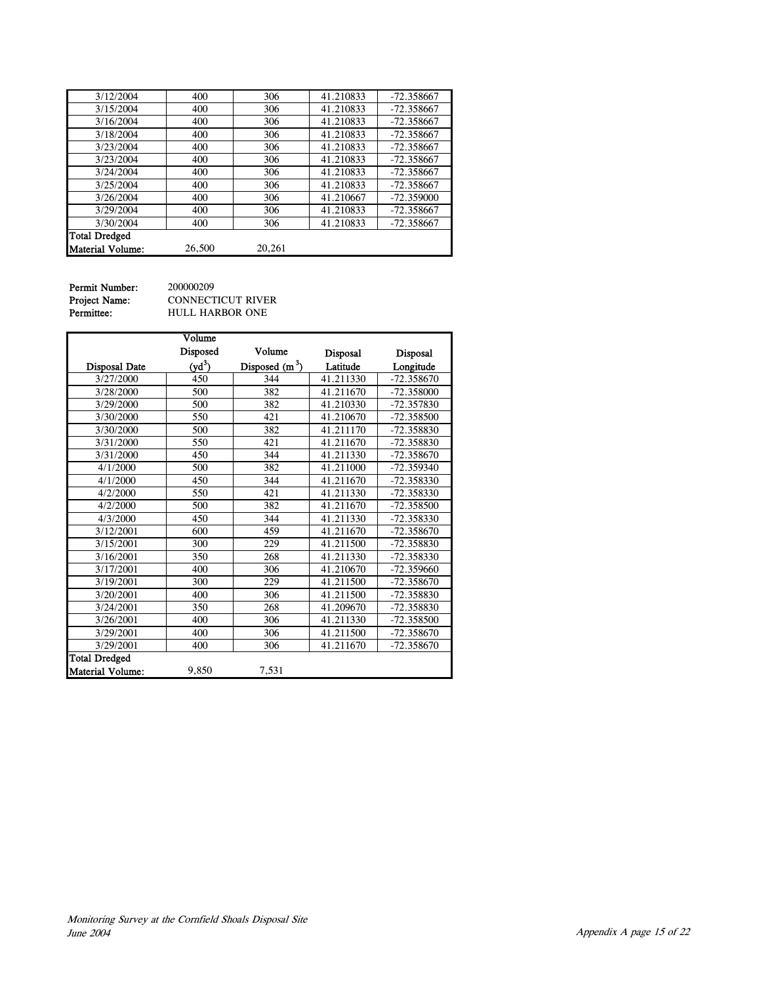| 3/12/2004               | 400    | 306    | 41.210833 | $-72.358667$ |
|-------------------------|--------|--------|-----------|--------------|
| 3/15/2004               | 400    | 306    | 41.210833 | $-72.358667$ |
| 3/16/2004               | 400    | 306    | 41.210833 | $-72.358667$ |
| 3/18/2004               | 400    | 306    | 41.210833 | $-72.358667$ |
| 3/23/2004               | 400    | 306    | 41.210833 | $-72.358667$ |
| 3/23/2004               | 400    | 306    | 41.210833 | $-72.358667$ |
| 3/24/2004               | 400    | 306    | 41.210833 | $-72.358667$ |
| 3/25/2004               | 400    | 306    | 41.210833 | $-72.358667$ |
| 3/26/2004               | 400    | 306    | 41.210667 | $-72.359000$ |
| 3/29/2004               | 400    | 306    | 41.210833 | $-72.358667$ |
| 3/30/2004               | 400    | 306    | 41.210833 | $-72.358667$ |
| <b>Total Dredged</b>    |        |        |           |              |
| <b>Material Volume:</b> | 26,500 | 20.261 |           |              |

Permit Number: 200000209<br>Project Name: CONNECT<br>Permittee: HULL HAI

CONNECTICUT RIVER  ${\tt HULL}$  HARBOR ONE

|                         | Volume   |                  |           |              |
|-------------------------|----------|------------------|-----------|--------------|
|                         | Disposed | Volume           | Disposal  | Disposal     |
| <b>Disposal Date</b>    | $(yd^3)$ | Disposed $(m^3)$ | Latitude  | Longitude    |
| 3/27/2000               | 450      | 344              | 41.211330 | $-72.358670$ |
| 3/28/2000               | 500      | 382              | 41.211670 | $-72.358000$ |
| 3/29/2000               | 500      | 382              | 41.210330 | -72.357830   |
| 3/30/2000               | 550      | 421              | 41.210670 | $-72.358500$ |
| 3/30/2000               | 500      | 382              | 41.211170 | -72.358830   |
| 3/31/2000               | 550      | 421              | 41.211670 | -72.358830   |
| 3/31/2000               | 450      | 344              | 41.211330 | $-72.358670$ |
| 4/1/2000                | 500      | 382              | 41.211000 | -72.359340   |
| 4/1/2000                | 450      | 344              | 41.211670 | $-72.358330$ |
| 4/2/2000                | 550      | 421              | 41.211330 | $-72.358330$ |
| 4/2/2000                | 500      | 382              | 41.211670 | -72.358500   |
| 4/3/2000                | 450      | 344              | 41.211330 | $-72.358330$ |
| 3/12/2001               | 600      | 459              | 41.211670 | -72.358670   |
| 3/15/2001               | 300      | 229              | 41.211500 | -72.358830   |
| 3/16/2001               | 350      | 268              | 41.211330 | -72.358330   |
| 3/17/2001               | 400      | 306              | 41.210670 | -72.359660   |
| 3/19/2001               | 300      | 229              | 41.211500 | -72.358670   |
| 3/20/2001               | 400      | 306              | 41.211500 | -72.358830   |
| 3/24/2001               | 350      | 268              | 41.209670 | -72.358830   |
| 3/26/2001               | 400      | 306              | 41.211330 | -72.358500   |
| 3/29/2001               | 400      | 306              | 41.211500 | -72.358670   |
| 3/29/2001               | 400      | 306              | 41.211670 | -72.358670   |
| <b>Total Dredged</b>    |          |                  |           |              |
| <b>Material Volume:</b> | 9,850    | 7,531            |           |              |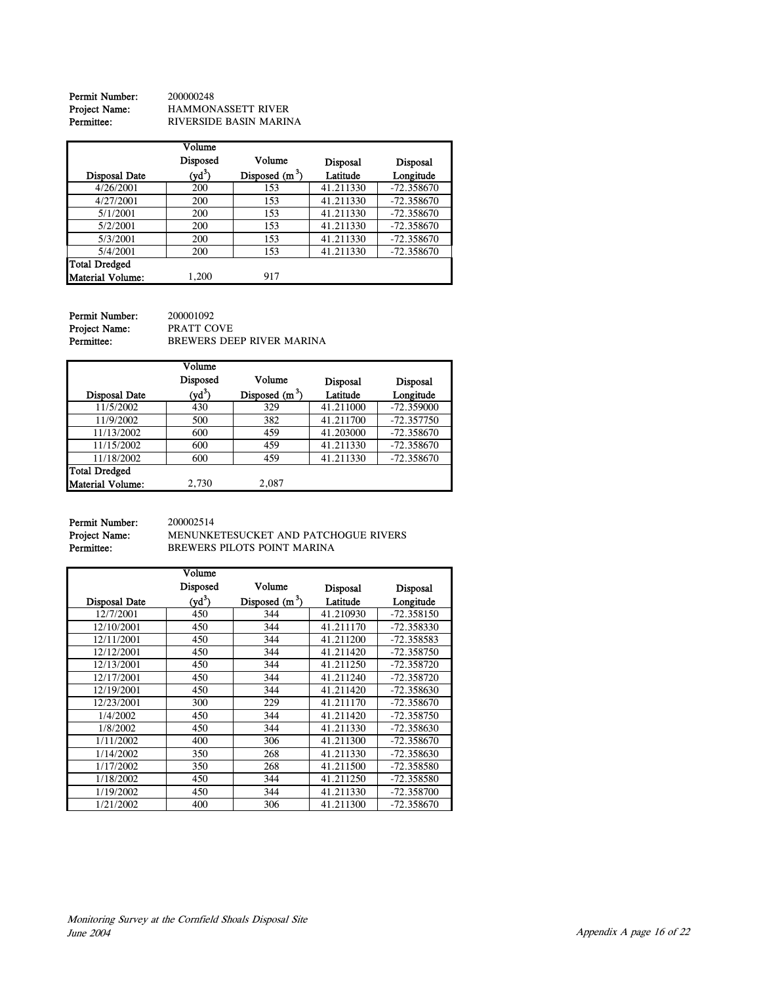**Permit Number:** 200000248<br>**Project Name:** HAMMON<br>**Permittee:** RIVERSID Project Name: HAMMONASSETT RIVER Permittee: RIVERSIDE BASIN MARINA

|                         | Volume   |                  |                 |                 |
|-------------------------|----------|------------------|-----------------|-----------------|
|                         | Disposed | Volume           | <b>Disposal</b> | <b>Disposal</b> |
| Disposal Date           | $(yd^3)$ | Disposed $(m^3)$ | Latitude        | Longitude       |
| 4/26/2001               | 200      | 153              | 41.211330       | $-72.358670$    |
| 4/27/2001               | 200      | 153              | 41.211330       | $-72.358670$    |
| 5/1/2001                | 200      | 153              | 41.211330       | $-72.358670$    |
| 5/2/2001                | 200      | 153              | 41.211330       | $-72.358670$    |
| 5/3/2001                | 200      | 153              | 41.211330       | $-72.358670$    |
| 5/4/2001                | 200      | 153              | 41.211330       | $-72.358670$    |
| <b>Total Dredged</b>    |          |                  |                 |                 |
| <b>Material Volume:</b> | 1,200    | 917              |                 |                 |

| Permit Number: | 200001092                 |
|----------------|---------------------------|
| Project Name:  | PRATT COVE                |
| Permittee:     | BREWERS DEEP RIVER MARINA |

|                         | Volume   |                  |                 |                 |
|-------------------------|----------|------------------|-----------------|-----------------|
|                         | Disposed | Volume           | <b>Disposal</b> | <b>Disposal</b> |
| <b>Disposal Date</b>    | $(yd^3)$ | Disposed $(m^3)$ | Latitude        | Longitude       |
| 11/5/2002               | 430      | 329              | 41.211000       | $-72.359000$    |
| 11/9/2002               | 500      | 382              | 41.211700       | $-72.357750$    |
| 11/13/2002              | 600      | 459              | 41.203000       | $-72.358670$    |
| 11/15/2002              | 600      | 459              | 41.211330       | $-72.358670$    |
| 11/18/2002              | 600      | 459              | 41.211330       | $-72.358670$    |
| <b>Total Dredged</b>    |          |                  |                 |                 |
| <b>Material Volume:</b> | 2,730    | 2,087            |                 |                 |

**Permit Number:** 200002514<br>**Project Name:** MENUNKI<br>**Permittee:** BREWERS

MENUNKETESUCKET AND PATCHOGUE RIVERS BREWERS PILOTS POINT MARINA

|                      | Volume   |                  |                 |                 |
|----------------------|----------|------------------|-----------------|-----------------|
|                      | Disposed | Volume           | <b>Disposal</b> | <b>Disposal</b> |
| <b>Disposal Date</b> | $(yd^3)$ | Disposed $(m^3)$ | Latitude        | Longitude       |
| 12/7/2001            | 450      | 344              | 41.210930       | $-72.358150$    |
| 12/10/2001           | 450      | 344              | 41.211170       | -72.358330      |
| 12/11/2001           | 450      | 344              | 41.211200       | -72.358583      |
| 12/12/2001           | 450      | 344              | 41.211420       | -72.358750      |
| 12/13/2001           | 450      | 344              | 41.211250       | -72.358720      |
| 12/17/2001           | 450      | 344              | 41.211240       | -72.358720      |
| 12/19/2001           | 450      | 344              | 41.211420       | -72.358630      |
| 12/23/2001           | 300      | 229              | 41.211170       | -72.358670      |
| 1/4/2002             | 450      | 344              | 41.211420       | -72.358750      |
| 1/8/2002             | 450      | 344              | 41.211330       | -72.358630      |
| 1/11/2002            | 400      | 306              | 41.211300       | $-72.358670$    |
| 1/14/2002            | 350      | 268              | 41.211330       | -72.358630      |
| 1/17/2002            | 350      | 268              | 41.211500       | -72.358580      |
| 1/18/2002            | 450      | 344              | 41.211250       | -72.358580      |
| 1/19/2002            | 450      | 344              | 41.211330       | -72.358700      |
| 1/21/2002            | 400      | 306              | 41.211300       | $-72.358670$    |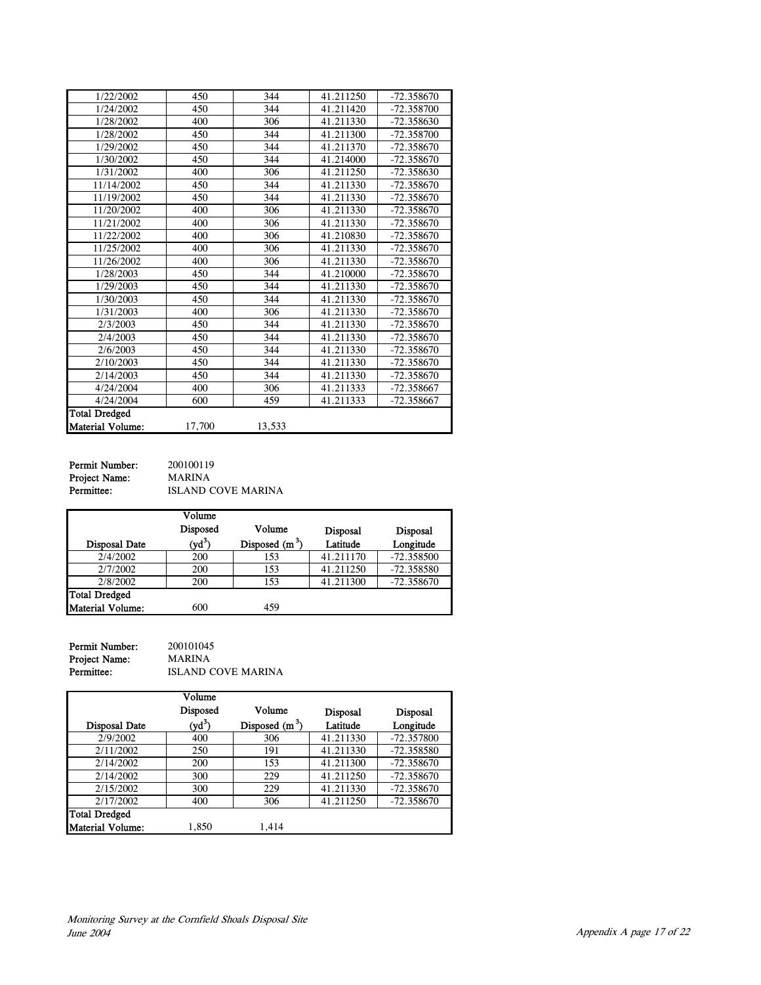| 450    | 344    | 41.211250 | $-72.358670$ |
|--------|--------|-----------|--------------|
| 450    | 344    | 41.211420 | $-72.358700$ |
| 400    | 306    | 41.211330 | -72.358630   |
| 450    | 344    | 41.211300 | $-72.358700$ |
| 450    | 344    | 41.211370 | $-72.358670$ |
| 450    | 344    | 41.214000 | $-72.358670$ |
| 400    | 306    | 41.211250 | -72.358630   |
| 450    | 344    | 41.211330 | -72.358670   |
| 450    | 344    | 41.211330 | $-72.358670$ |
| 400    | 306    | 41.211330 | -72.358670   |
| 400    | 306    | 41.211330 | -72.358670   |
| 400    | 306    | 41.210830 | $-72.358670$ |
| 400    | 306    | 41.211330 | $-72.358670$ |
| 400    | 306    | 41.211330 | -72.358670   |
| 450    | 344    | 41.210000 | -72.358670   |
| 450    | 344    | 41.211330 | $-72.358670$ |
| 450    | 344    | 41.211330 | -72.358670   |
| 400    | 306    | 41.211330 | -72.358670   |
| 450    | 344    | 41.211330 | $-72.358670$ |
| 450    | 344    | 41.211330 | $-72.358670$ |
| 450    | 344    | 41.211330 | -72.358670   |
| 450    | 344    | 41.211330 | -72.358670   |
| 450    | 344    | 41.211330 | $-72.358670$ |
| 400    | 306    | 41.211333 | -72.358667   |
| 600    | 459    | 41.211333 | -72.358667   |
|        |        |           |              |
| 17,700 | 13,533 |           |              |
|        |        |           |              |

**Permit Number:** 200100119 Project Name: MARINA

**ISLAND COVE MARINA** 

|                      | $\overline{\text{Volume}}$ |                  |                 |                 |
|----------------------|----------------------------|------------------|-----------------|-----------------|
|                      | Disposed                   | Volume           | <b>Disposal</b> | <b>Disposal</b> |
| <b>Disposal Date</b> | $(yd^3)$                   | Disposed $(m^3)$ | Latitude        | Longitude       |
| 2/4/2002             | 200                        | 153              | 41.211170       | $-72.358500$    |
| 2/7/2002             | 200                        | 153              | 41.211250       | $-72.358580$    |
| 2/8/2002             | 200                        | 153              | 41.211300       | $-72.358670$    |
| <b>Total Dredged</b> |                            |                  |                 |                 |
| Material Volume:     | 600                        | 459              |                 |                 |

**Permit Number:** 200101045<br>**Project Name:** MARINA Project Name:<br>Permittee: ISLAND COVE MARINA

|                      | Volume   |                  |                 |                 |
|----------------------|----------|------------------|-----------------|-----------------|
|                      | Disposed | Volume           | <b>Disposal</b> | <b>Disposal</b> |
| <b>Disposal Date</b> | $(yd^3)$ | Disposed $(m^3)$ | Latitude        | Longitude       |
| 2/9/2002             | 400      | 306              | 41.211330       | $-72.357800$    |
| 2/11/2002            | 250      | 191              | 41.211330       | -72.358580      |
| 2/14/2002            | 200      | 153              | 41.211300       | $-72.358670$    |
| 2/14/2002            | 300      | 229              | 41.211250       | $-72.358670$    |
| 2/15/2002            | 300      | 229              | 41.211330       | $-72.358670$    |
| 2/17/2002            | 400      | 306              | 41.211250       | $-72.358670$    |
| <b>Total Dredged</b> |          |                  |                 |                 |
| Material Volume:     | 1.850    | 1.414            |                 |                 |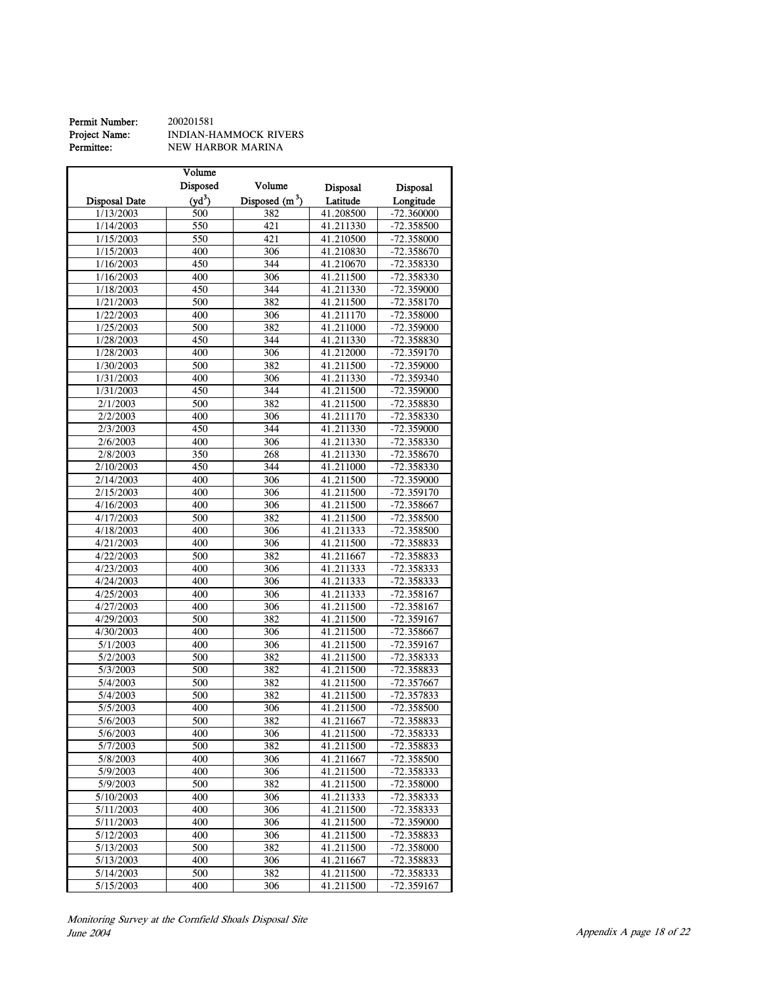#### **Permit Number:** 200201581<br>**Project Name:** INDIAN-H.<br>**Permittee:** NEW HAR Project Name: **INDIAN-HAMMOCK RIVERS** Permittee: NEW HARBOR MARINA

|                      | Volume   |                  |           |                 |
|----------------------|----------|------------------|-----------|-----------------|
|                      | Disposed | Volume           | Disposal  | <b>Disposal</b> |
| <b>Disposal Date</b> | $(yd^3)$ | Disposed $(m^3)$ | Latitude  | Longitude       |
| 1/13/2003            | 500      | 382              | 41.208500 | $-72.360000$    |
| 1/14/2003            | 550      | 421              | 41.211330 | $-72.358500$    |
| 1/15/2003            | 550      | 421              | 41.210500 | -72.358000      |
| 1/15/2003            | 400      | 306              | 41.210830 | -72.358670      |
| 1/16/2003            | 450      | 344              | 41.210670 | -72.358330      |
| 1/16/2003            | 400      | 306              | 41.211500 | -72.358330      |
| 1/18/2003            | 450      | 344              | 41.211330 | -72.359000      |
| 1/21/2003            | 500      | 382              | 41.211500 | -72.358170      |
| 1/22/2003            | 400      | 306              | 41.211170 | -72.358000      |
| 1/25/2003            | 500      | 382              | 41.211000 | $-72.359000$    |
| 1/28/2003            | 450      | 344              | 41.211330 | -72.358830      |
| 1/28/2003            | 400      | 306              | 41.212000 | -72.359170      |
| 1/30/2003            | 500      | 382              | 41.211500 | -72.359000      |
| 1/31/2003            | 400      | 306              | 41.211330 | -72.359340      |
| 1/31/2003            | 450      | 344              | 41.211500 | -72.359000      |
| 2/1/2003             | 500      | 382              | 41.211500 | -72.358830      |
| 2/2/2003             | 400      | 306              | 41.211170 | -72.358330      |
| 2/3/2003             | 450      | 344              | 41.211330 | $-72.359000$    |
| 2/6/2003             | 400      | 306              | 41.211330 | -72.358330      |
| 2/8/2003             | 350      | 268              | 41.211330 | -72.358670      |
| 2/10/2003            | 450      | 344              | 41.211000 | -72.358330      |
| 2/14/2003            | 400      | 306              | 41.211500 | -72.359000      |
| 2/15/2003            | 400      | 306              | 41.211500 | -72.359170      |
| 4/16/2003            | 400      | 306              | 41.211500 | -72.358667      |
| 4/17/2003            | 500      | 382              | 41.211500 | -72.358500      |
| 4/18/2003            | 400      | 306              | 41.211333 | -72.358500      |
| 4/21/2003            | 400      | 306              | 41.211500 | -72.358833      |
| 4/22/2003            | 500      | 382              | 41.211667 | -72.358833      |
| 4/23/2003            | 400      | 306              | 41.211333 | -72.358333      |
| 4/24/2003            | 400      | 306              | 41.211333 | -72.358333      |
| 4/25/2003            | 400      | 306              | 41.211333 | -72.358167      |
| 4/27/2003            | 400      | 306              | 41.211500 | $-72.358167$    |
| 4/29/2003            | 500      | 382              | 41.211500 | $-72.359167$    |
| 4/30/2003            | 400      | 306              | 41.211500 | -72.358667      |
| 5/1/2003             | 400      | 306              | 41.211500 | -72.359167      |
| 5/2/2003             | 500      | 382              | 41.211500 | -72.358333      |
| 5/3/2003             | 500      | 382              | 41.211500 | -72.358833      |
| 5/4/2003             | 500      | 382              | 41.211500 | -72.357667      |
| 5/4/2003             | 500      | 382              | 41.211500 | -72.357833      |
| 5/5/2003             | 400      | 306              | 41.211500 | -72.358500      |
| 5/6/2003             | 500      | 382              | 41.211667 | -72.358833      |
| 5/6/2003             | 400      | 306              | 41.211500 | -72.358333      |
| 5/7/2003             | 500      | 382              | 41.211500 | -72.358833      |
| 5/8/2003             | 400      | 306              | 41.211667 | $-72.358500$    |
| 5/9/2003             | 400      | 306              | 41.211500 | -72.358333      |
| 5/9/2003             | 500      | 382              | 41.211500 | -72.358000      |
| 5/10/2003            | 400      | 306              | 41.211333 | -72.358333      |
| 5/11/2003            | 400      | 306              | 41.211500 | -72.358333      |
| 5/11/2003            | 400      | 306              | 41.211500 | $-72.359000$    |
| 5/12/2003            | 400      | 306              | 41.211500 | -72.358833      |
| 5/13/2003            | 500      | 382              | 41.211500 | -72.358000      |
| 5/13/2003            | 400      | 306              | 41.211667 | -72.358833      |
| 5/14/2003            | 500      | 382              | 41.211500 | $-72.358333$    |
| 5/15/2003            | 400      | 306              | 41.211500 | -72.359167      |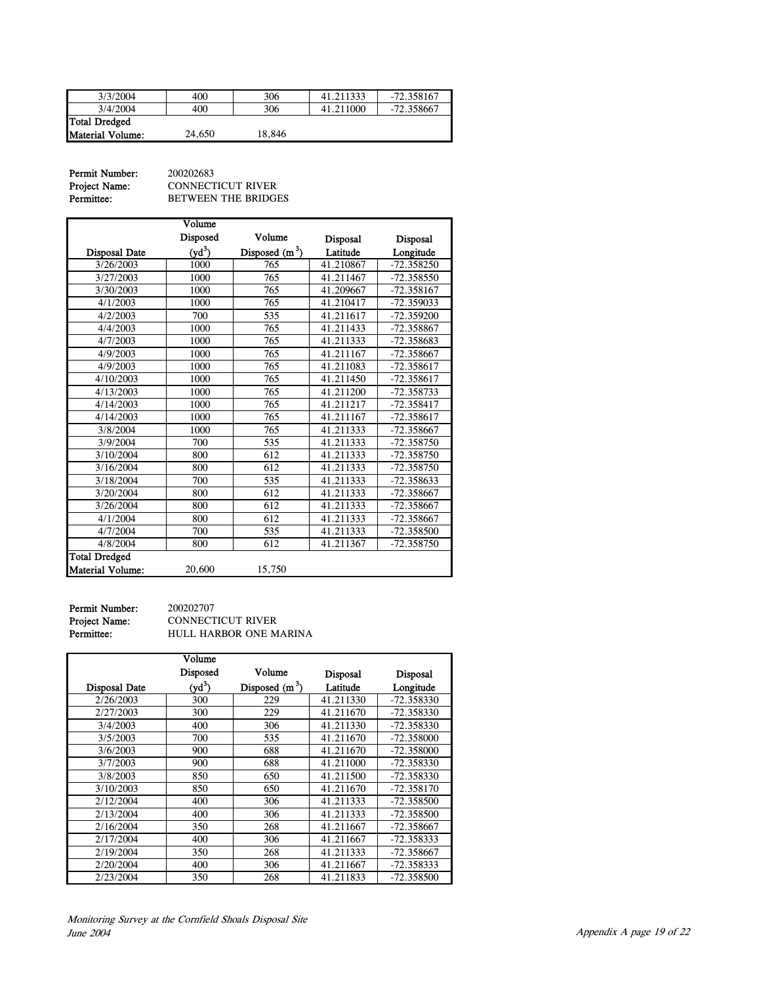| 3/3/2004                | 400    | 306    | 41.211333 | $-72.358167$ |
|-------------------------|--------|--------|-----------|--------------|
| 3/4/2004                | 400    | 306    | 41.211000 | -72.358667   |
| Total Dredged           |        |        |           |              |
| <b>Material Volume:</b> | 24,650 | 18.846 |           |              |

| Permit Number: | 200202683                  |
|----------------|----------------------------|
| Project Name:  | <b>CONNECTICUT RIVER</b>   |
| Permittee:     | <b>BETWEEN THE BRIDGES</b> |

Disposal Date Volume Disposed  $(yd^3)$ Volume Disposed  $(m^3)$ Disposal Latitude Disposal Longitude 1000 765 41.210867 -72.358250<br>3/27/2003 1000 765 41.211467 -72.358550 3/27/2003 1000 765 41.211467 -72.358550<br>3/30/2003 1000 765 41.209667 -72.358167 3/30/2003 1000 765 41.209667 -72.358167<br>4/1/2003 1000 765 41.210417 -72.359033 4/1/2003 1000 765 41.210417 -72.359033<br>4/2/2003 700 535 41.211617 -72.359200 -72.359200 4/4/2003 1000 765 41.211433 -72.358867<br>4/7/2003 1000 765 41.211333 -72.358683 -72.358683 4/9/2003 1000 765 41.211167 -72.358667<br>4/9/2003 1000 765 41.211083 -72.358617 11/9/2003 1000 765 41.211083 -72.358617<br>4/10/2003 1000 765 41.211450 -72.358617 41.211450 -72.358617<br>41.211200 -72.358733 4/13/2003 1000 765 41.211200<br>4/14/2003 1000 765 41.211217 -72.358417 4/14/2003 1000 765 41.211167 -72.358617 3/8/2004 1000 765 41.211333 -72.358667 3/9/2004 700 535 41.211333 -72.358750 13/10/2004 800 612 41.211333 -72.358750<br>3/16/2004 800 612 41.211333 -72.358750 3/16/2004 800 612 41.211333 -72.358750<br>3/18/2004 700 535 41.211333 -72.358633 3/18/2004 700 535 41.211333 -72.358633<br>3/20/2004 800 612 41.211333 -72.358667 3/20/2004 800 612 41.211333 -72.358667<br>3/26/2004 800 612 41.211333 -72.358667 41.211333 4/1/2004 800 612 41.211333 -72.358667 4/7/2004 700 535 41.211333 -72.358500<br>4/8/2004 800 612 41.211367 -72.358750 41.211367 20,600 15,750 Total Dredged Material Volume:

Permit Number: 200202707

Project Name: CONNECTICUT RIVER Permittee: HULL HARBOR ONE MARINA

|                      | Volume   |                  |                 |                 |
|----------------------|----------|------------------|-----------------|-----------------|
|                      | Disposed | Volume           | <b>Disposal</b> | <b>Disposal</b> |
| <b>Disposal Date</b> | $(yd^3)$ | Disposed $(m^3)$ | Latitude        | Longitude       |
| 2/26/2003            | 300      | 229              | 41.211330       | $-72.358330$    |
| 2/27/2003            | 300      | 229              | 41.211670       | -72.358330      |
| 3/4/2003             | 400      | 306              | 41.211330       | -72.358330      |
| 3/5/2003             | 700      | 535              | 41.211670       | $-72.358000$    |
| 3/6/2003             | 900      | 688              | 41.211670       | $-72.358000$    |
| 3/7/2003             | 900      | 688              | 41.211000       | $-72.358330$    |
| 3/8/2003             | 850      | 650              | 41.211500       | $-72.358330$    |
| 3/10/2003            | 850      | 650              | 41.211670       | $-72.358170$    |
| 2/12/2004            | 400      | 306              | 41.211333       | $-72.358500$    |
| 2/13/2004            | 400      | 306              | 41.211333       | $-72.358500$    |
| 2/16/2004            | 350      | 268              | 41.211667       | $-72.358667$    |
| 2/17/2004            | 400      | 306              | 41.211667       | -72.358333      |
| 2/19/2004            | 350      | 268              | 41.211333       | -72.358667      |
| 2/20/2004            | 400      | 306              | 41.211667       | -72.358333      |
| 2/23/2004            | 350      | 268              | 41.211833       | -72.358500      |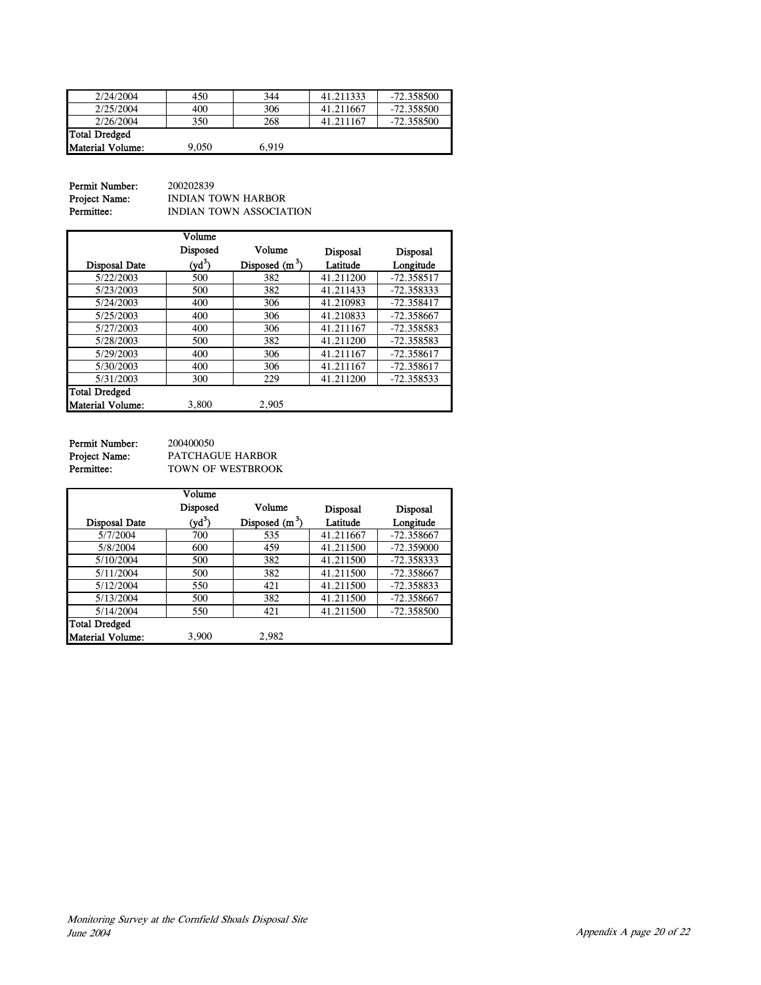| 2/24/2004               | 450   | 344   | 41.211333 | -72.358500   |
|-------------------------|-------|-------|-----------|--------------|
| 2/25/2004               | 400   | 306   | 41.211667 | $-72.358500$ |
| 2/26/2004               | 350   | 268   | 41.211167 | -72.358500   |
| Total Dredged           |       |       |           |              |
| <b>Material Volume:</b> | 9.050 | 6.919 |           |              |

Permit Number: 200202839<br>Project Name: INDIAN TO **Project Name:** INDIAN TOWN HARBOR<br>**Permittee:** INDIAN TOWN ASSOCIAT INDIAN TOWN ASSOCIATION

|                         | Volume   |                  |                 |                 |
|-------------------------|----------|------------------|-----------------|-----------------|
|                         | Disposed | Volume           | <b>Disposal</b> | <b>Disposal</b> |
| <b>Disposal Date</b>    | $(yd^3)$ | Disposed $(m^3)$ | Latitude        | Longitude       |
| 5/22/2003               | 500      | 382              | 41.211200       | $-72.358517$    |
| 5/23/2003               | 500      | 382              | 41.211433       | $-72.358333$    |
| 5/24/2003               | 400      | 306              | 41.210983       | $-72.358417$    |
| 5/25/2003               | 400      | 306              | 41.210833       | $-72.358667$    |
| 5/27/2003               | 400      | 306              | 41.211167       | $-72.358583$    |
| 5/28/2003               | 500      | 382              | 41.211200       | $-72.358583$    |
| 5/29/2003               | 400      | 306              | 41.211167       | $-72.358617$    |
| 5/30/2003               | 400      | 306              | 41.211167       | $-72.358617$    |
| 5/31/2003               | 300      | 229              | 41.211200       | $-72.358533$    |
| <b>Total Dredged</b>    |          |                  |                 |                 |
| <b>Material Volume:</b> | 3,800    | 2,905            |                 |                 |

Permit Number: 200400050<br>Project Name: PATCHAG<br>Permittee: TOWN OF

PATCHAGUE HARBOR TOWN OF WESTBROOK

|                         | Volume   |                  |                 |                 |
|-------------------------|----------|------------------|-----------------|-----------------|
|                         | Disposed | Volume           | <b>Disposal</b> | <b>Disposal</b> |
| <b>Disposal Date</b>    | $(yd^3)$ | Disposed $(m^3)$ | Latitude        | Longitude       |
| 5/7/2004                | 700      | 535              | 41.211667       | $-72.358667$    |
| 5/8/2004                | 600      | 459              | 41.211500       | $-72.359000$    |
| 5/10/2004               | 500      | 382              | 41.211500       | $-72.358333$    |
| 5/11/2004               | 500      | 382              | 41.211500       | $-72.358667$    |
| 5/12/2004               | 550      | 421              | 41.211500       | $-72.358833$    |
| 5/13/2004               | 500      | 382              | 41.211500       | $-72.358667$    |
| 5/14/2004               | 550      | 421              | 41.211500       | $-72.358500$    |
| <b>Total Dredged</b>    |          |                  |                 |                 |
| <b>Material Volume:</b> | 3,900    | 2,982            |                 |                 |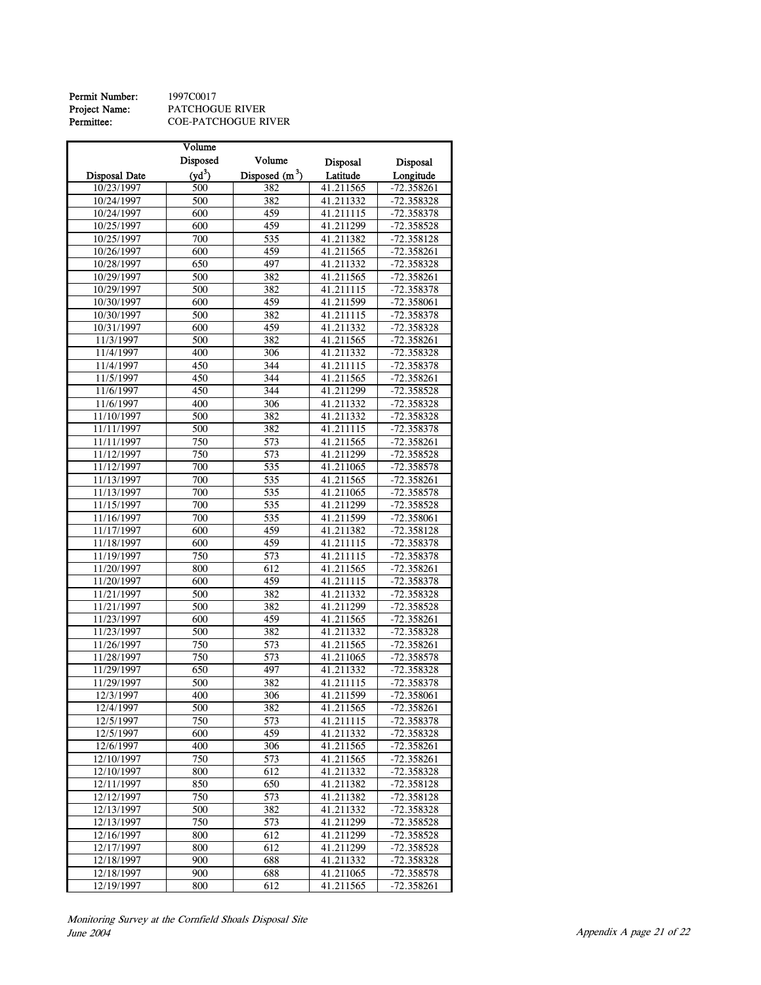**Permit Number:** 1997C0017<br> **Project Name:** PATCHOGI<br> **Permittee:** COE-PATC Project Name: PATCHOGUE RIVER Permittee: COE-PATCHOGUE RIVER

|                      | Volume   |                  |                         |              |
|----------------------|----------|------------------|-------------------------|--------------|
|                      | Disposed | Volume           | Disposal                | Disposal     |
| <b>Disposal Date</b> | $(yd^3)$ | Disposed $(m^3)$ | Latitude                | Longitude    |
| 10/23/1997           | 500      | 382              | 41.211565               | $-72.358261$ |
| 10/24/1997           | 500      | 382              | 41.211332               | -72.358328   |
| 10/24/1997           | 600      | 459              | 41.211115               | -72.358378   |
|                      |          |                  |                         |              |
| 10/25/1997           | 600      | 459              | 41.211299               | -72.358528   |
| 10/25/1997           | 700      | 535              | 41.211382               | $-72.358128$ |
| 10/26/1997           | 600      | 459              | 41.211565               | $-72.358261$ |
| 10/28/1997           | 650      | 497              | 41.211332               | -72.358328   |
| 10/29/1997           | 500      | 382              | 41.211565               | $-72.358261$ |
| 10/29/1997           | 500      | 382              | 41.211115               | -72.358378   |
| 10/30/1997           | 600      | 459              | 41.211599               | -72.358061   |
| 10/30/1997           | 500      | 382              | 41.211115               | -72.358378   |
| 10/31/1997           | 600      | 459              | 41.211332               | -72.358328   |
| 11/3/1997            | 500      | 382              | 41.211565               | $-72.358261$ |
| 11/4/1997            | 400      | 306              | 41.211332               | -72.358328   |
| 11/4/1997            | 450      | 344              | 41.211115               | -72.358378   |
| 11/5/1997            | 450      | 344              | $\overline{41}$ .211565 | $-72.358261$ |
| 11/6/1997            | 450      | 344              | 41.211299               | -72.358528   |
| 11/6/1997            | 400      | 306              | 41.211332               | -72.358328   |
| 11/10/1997           | 500      | 382              | 41.211332               | -72.358328   |
| 11/11/1997           | 500      | 382              | 41.211115               | -72.358378   |
| 11/11/1997           | 750      | 573              | 41.211565               | $-72.358261$ |
| 11/12/1997           | 750      | 573              | 41.211299               | -72.358528   |
| 11/12/1997           | 700      | 535              | 41.211065               | -72.358578   |
| 11/13/1997           | 700      | 535              | 41.211565               | $-72.358261$ |
| 11/13/1997           | 700      | 535              | 41.211065               | -72.358578   |
| 11/15/1997           | 700      | 535              | 41.211299               | $-72.358528$ |
| 11/16/1997           | 700      | 535              | 41.211599               | $-72.358061$ |
| 11/17/1997           | 600      | 459              | 41.211382               | -72.358128   |
| 11/18/1997           | 600      | 459              | 41.211115               | -72.358378   |
| 11/19/1997           | 750      | 573              | 41.211115               | -72.358378   |
| 11/20/1997           | 800      | 612              | 41.211565               | $-72.358261$ |
| 11/20/1997           | 600      | 459              | 41.211115               | -72.358378   |
| 11/21/1997           | 500      | 382              | 41.211332               | -72.358328   |
| 11/21/1997           | 500      | 382              | 41.211299               | -72.358528   |
| 11/23/1997           | 600      | 459              | 41.211565               | $-72.358261$ |
| 11/23/1997           | 500      | 382              | 41.211332               | -72.358328   |
| 11/26/1997           | 750      | 573              | 41.211565               | -72.358261   |
| 11/28/1997           | 750      | 573              | 41.211065               | -72.358578   |
| 11/29/1997           | 650      | 497              | 41.211332               | $-72.358328$ |
| 11/29/1997           | 500      | 382              | 41.211115               | -72.358378   |
| 12/3/1997            | 400      | 306              | 41.211599               | $-72.358061$ |
| 12/4/1997            | 500      | 382              | 41.211565               | -72.358261   |
| 12/5/1997            | 750      | 573              | 41.211115               | -72.358378   |
| 12/5/1997            | 600      | 459              | 41.211332               | -72.358328   |
| 12/6/1997            | 400      | 306              | 41.211565               | -72.358261   |
| 12/10/1997           | 750      | 573              | 41.211565               | $-72.358261$ |
| 12/10/1997           | 800      | 612              | 41.211332               | -72.358328   |
| 12/11/1997           | 850      | 650              | 41.211382               | $-72.358128$ |
| 12/12/1997           | 750      | 573              | 41.211382               | -72.358128   |
| 12/13/1997           | 500      | 382              | 41.211332               | -72.358328   |
| 12/13/1997           | 750      | 573              | 41.211299               | -72.358528   |
| 12/16/1997           | 800      | 612              | 41.211299               | -72.358528   |
| 12/17/1997           | 800      | 612              | 41.211299               | $-72.358528$ |
| 12/18/1997           | 900      | 688              | 41.211332               | -72.358328   |
| 12/18/1997           | 900      | 688              | 41.211065               | -72.358578   |
| 12/19/1997           | 800      | 612              | 41.211565               | $-72.358261$ |
|                      |          |                  |                         |              |